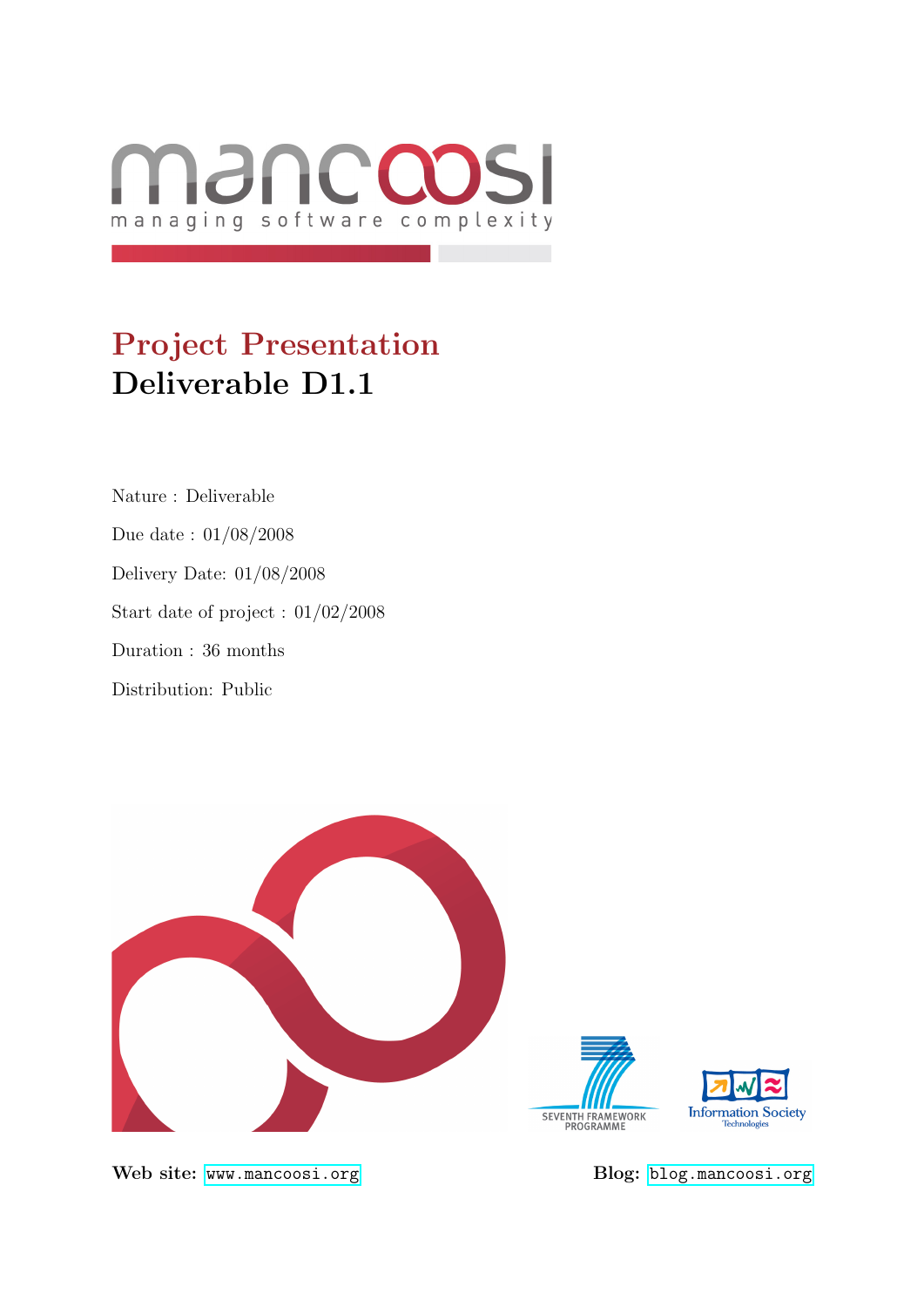

# Project Presentation Deliverable D1.1

Nature : Deliverable Due date : 01/08/2008 Delivery Date: 01/08/2008 Start date of project : 01/02/2008 Duration : 36 months Distribution: Public



Web site: <www.mancoosi.org> Blog: <blog.mancoosi.org>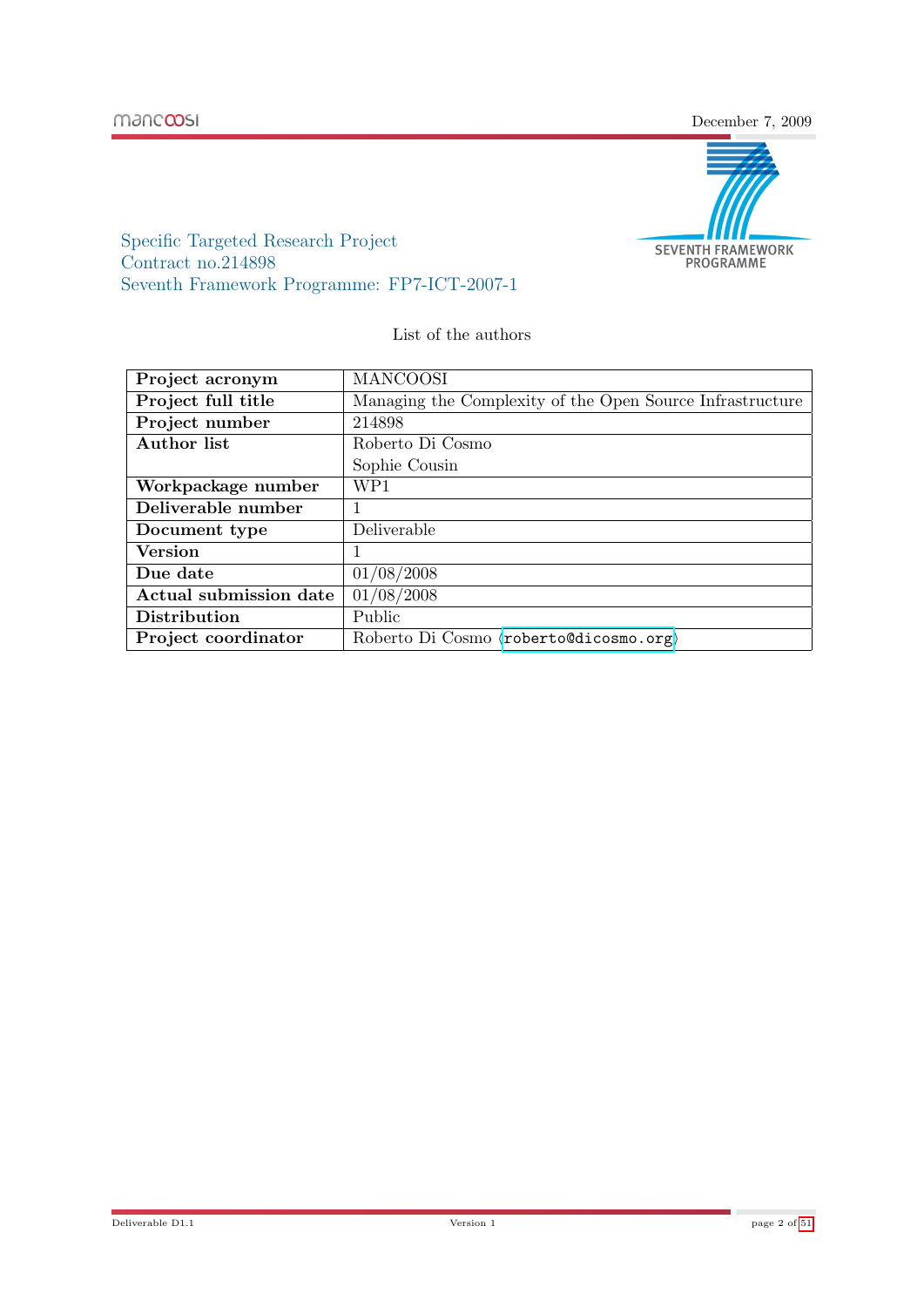manccosi

December 7, 2009



Specific Targeted Research Project Contract no.214898 Seventh Framework Programme: FP7-ICT-2007-1

List of the authors

| Project acronym        | <b>MANCOOSI</b>                                           |
|------------------------|-----------------------------------------------------------|
| Project full title     | Managing the Complexity of the Open Source Infrastructure |
| Project number         | 214898                                                    |
| Author list            | Roberto Di Cosmo                                          |
|                        | Sophie Cousin                                             |
| Workpackage number     | WP1                                                       |
| Deliverable number     |                                                           |
| Document type          | Deliverable                                               |
| <b>Version</b>         |                                                           |
| Due date               | 01/08/2008                                                |
| Actual submission date | 01/08/2008                                                |
| Distribution           | Public                                                    |
| Project coordinator    | Roberto Di Cosmo (roberto@dicosmo.org)                    |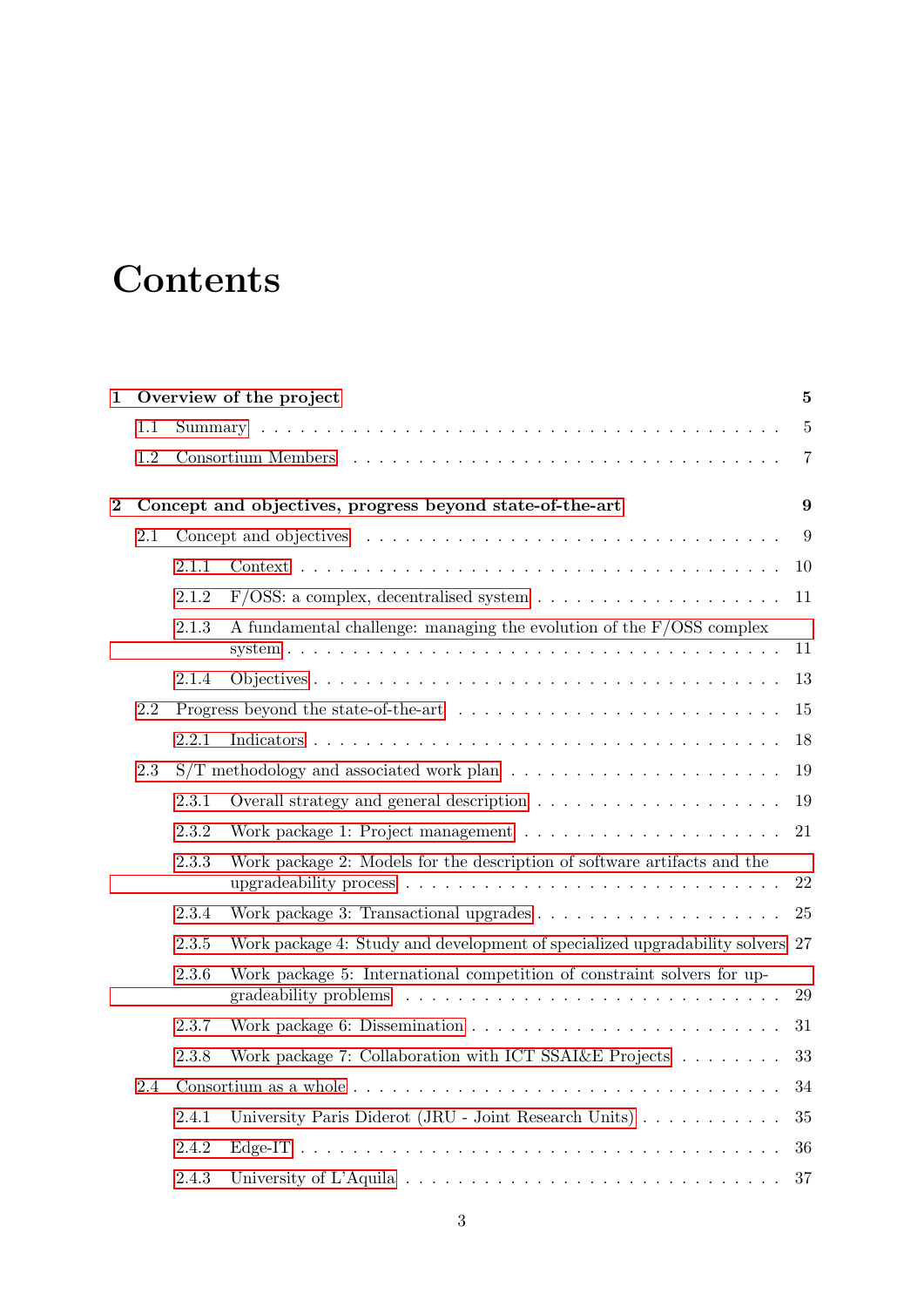# **Contents**

| 1              |     |       | Overview of the project                                                                                                                                             | 5              |
|----------------|-----|-------|---------------------------------------------------------------------------------------------------------------------------------------------------------------------|----------------|
|                | 1.1 |       |                                                                                                                                                                     | $\overline{5}$ |
|                | 1.2 |       |                                                                                                                                                                     | $\overline{7}$ |
| $\overline{2}$ |     |       | Concept and objectives, progress beyond state-of-the-art                                                                                                            | 9              |
|                | 2.1 |       |                                                                                                                                                                     | 9              |
|                |     | 2.1.1 |                                                                                                                                                                     | 10             |
|                |     | 2.1.2 |                                                                                                                                                                     | 11             |
|                |     | 2.1.3 | A fundamental challenge: managing the evolution of the $F/OSS$ complex                                                                                              | 11             |
|                |     | 2.1.4 |                                                                                                                                                                     | 13             |
|                | 2.2 |       |                                                                                                                                                                     | 15             |
|                |     | 2.2.1 |                                                                                                                                                                     | 18             |
|                | 2.3 |       |                                                                                                                                                                     | 19             |
|                |     | 2.3.1 |                                                                                                                                                                     | 19             |
|                |     | 2.3.2 |                                                                                                                                                                     | 21             |
|                |     | 2.3.3 | Work package 2: Models for the description of software artifacts and the<br>upgradeability process $\ldots \ldots \ldots \ldots \ldots \ldots \ldots \ldots \ldots$ | 22             |
|                |     | 2.3.4 |                                                                                                                                                                     | 25             |
|                |     | 2.3.5 | Work package 4: Study and development of specialized upgradability solvers 27                                                                                       |                |
|                |     | 2.3.6 | Work package 5: International competition of constraint solvers for up-<br>gradeability problems                                                                    | $\,29$         |
|                |     | 2.3.7 |                                                                                                                                                                     | 31             |
|                |     | 2.3.8 | Work package 7: Collaboration with ICT SSAI&E Projects                                                                                                              | 33             |
|                | 2.4 |       |                                                                                                                                                                     | 34             |
|                |     | 2.4.1 | University Paris Diderot (JRU - Joint Research Units)                                                                                                               | 35             |
|                |     | 2.4.2 |                                                                                                                                                                     | 36             |
|                |     | 2.4.3 |                                                                                                                                                                     | 37             |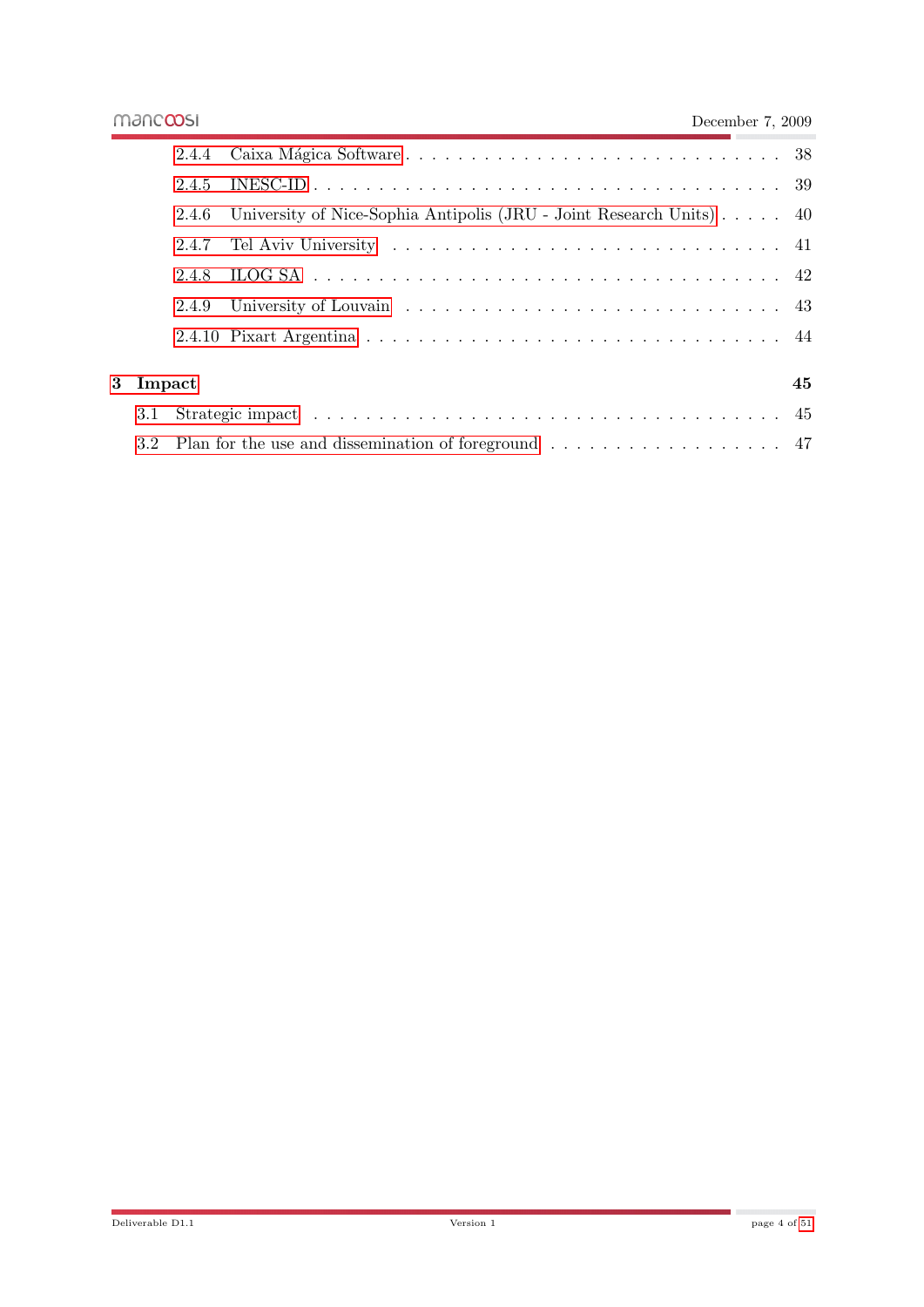÷

|          | 2.4.5 |                                                                                          |    |
|----------|-------|------------------------------------------------------------------------------------------|----|
|          | 2.4.6 | University of Nice-Sophia Antipolis (JRU - Joint Research Units) 40                      |    |
|          | 2.4.7 |                                                                                          |    |
|          | 2.4.8 |                                                                                          |    |
|          | 2.4.9 |                                                                                          |    |
|          |       |                                                                                          |    |
|          |       |                                                                                          |    |
| 3 Impact |       |                                                                                          | 45 |
| 3.1      |       |                                                                                          |    |
| 3.2      |       | Plan for the use and dissemination of foreground $\ldots \ldots \ldots \ldots \ldots$ 47 |    |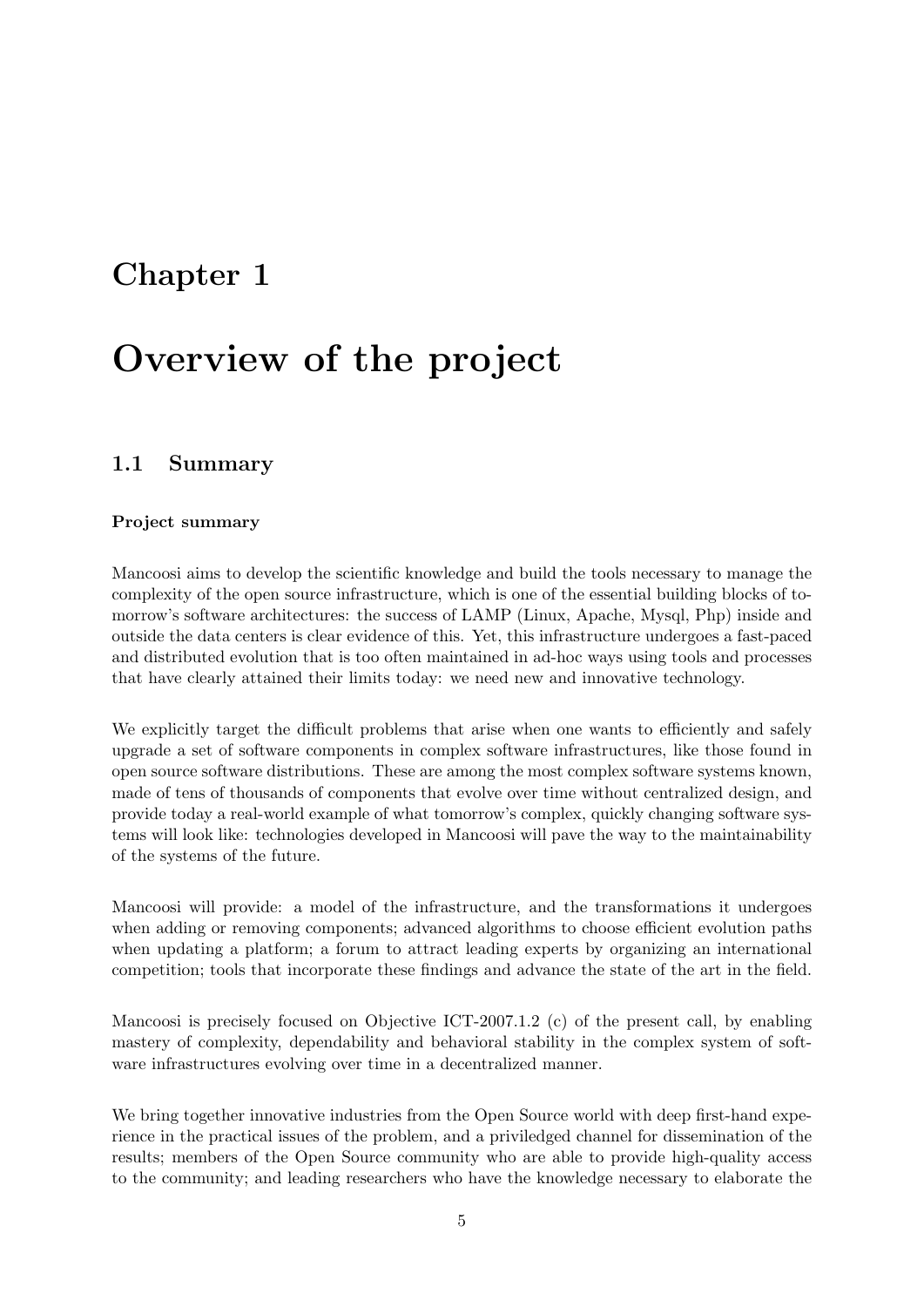## <span id="page-4-0"></span>Chapter 1

# Overview of the project

## <span id="page-4-1"></span>1.1 Summary

#### Project summary

Mancoosi aims to develop the scientific knowledge and build the tools necessary to manage the complexity of the open source infrastructure, which is one of the essential building blocks of tomorrow's software architectures: the success of LAMP (Linux, Apache, Mysql, Php) inside and outside the data centers is clear evidence of this. Yet, this infrastructure undergoes a fast-paced and distributed evolution that is too often maintained in ad-hoc ways using tools and processes that have clearly attained their limits today: we need new and innovative technology.

We explicitly target the difficult problems that arise when one wants to efficiently and safely upgrade a set of software components in complex software infrastructures, like those found in open source software distributions. These are among the most complex software systems known, made of tens of thousands of components that evolve over time without centralized design, and provide today a real-world example of what tomorrow's complex, quickly changing software systems will look like: technologies developed in Mancoosi will pave the way to the maintainability of the systems of the future.

Mancoosi will provide: a model of the infrastructure, and the transformations it undergoes when adding or removing components; advanced algorithms to choose efficient evolution paths when updating a platform; a forum to attract leading experts by organizing an international competition; tools that incorporate these findings and advance the state of the art in the field.

Mancoosi is precisely focused on Objective ICT-2007.1.2 (c) of the present call, by enabling mastery of complexity, dependability and behavioral stability in the complex system of software infrastructures evolving over time in a decentralized manner.

We bring together innovative industries from the Open Source world with deep first-hand experience in the practical issues of the problem, and a priviledged channel for dissemination of the results; members of the Open Source community who are able to provide high-quality access to the community; and leading researchers who have the knowledge necessary to elaborate the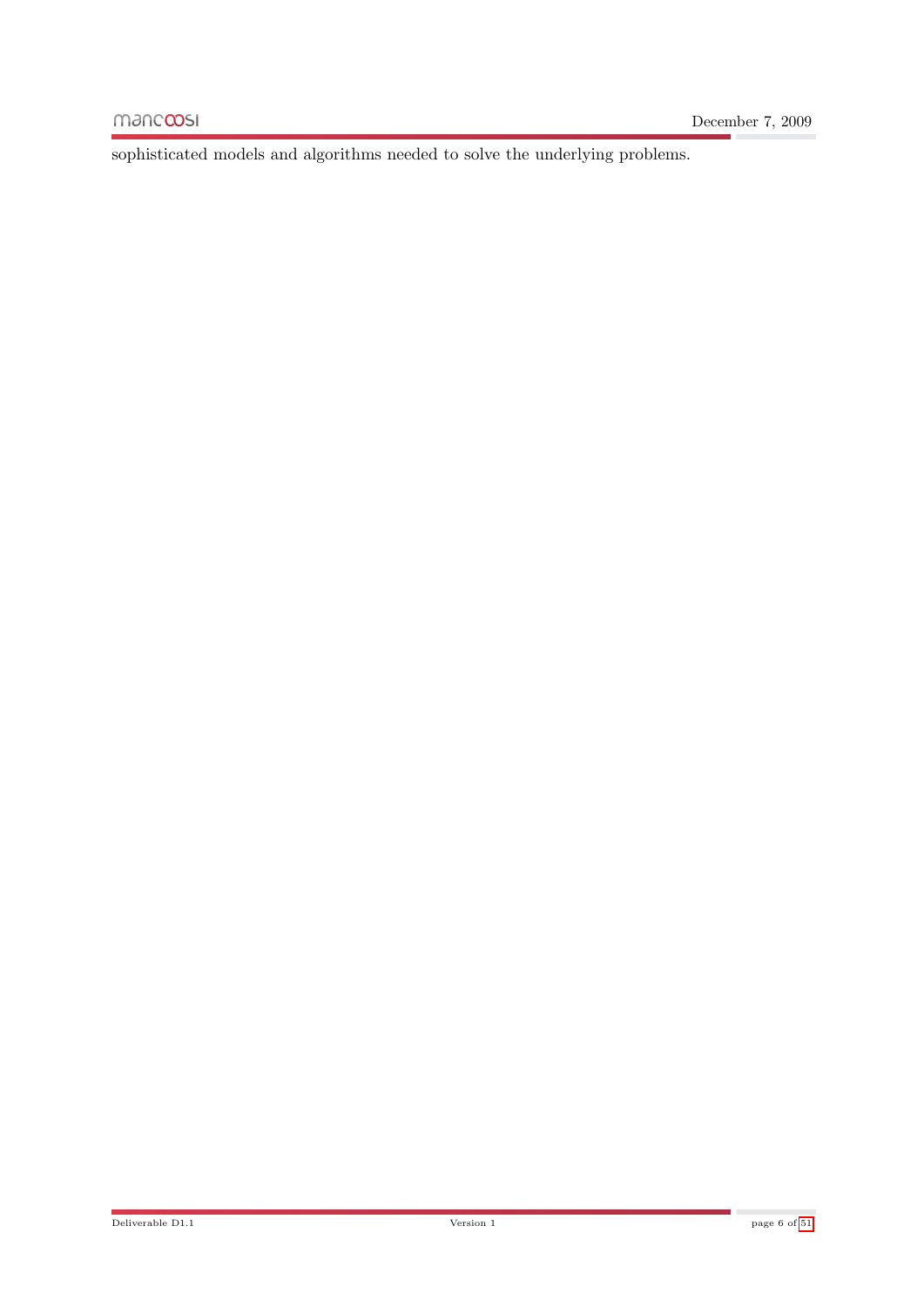sophisticated models and algorithms needed to solve the underlying problems.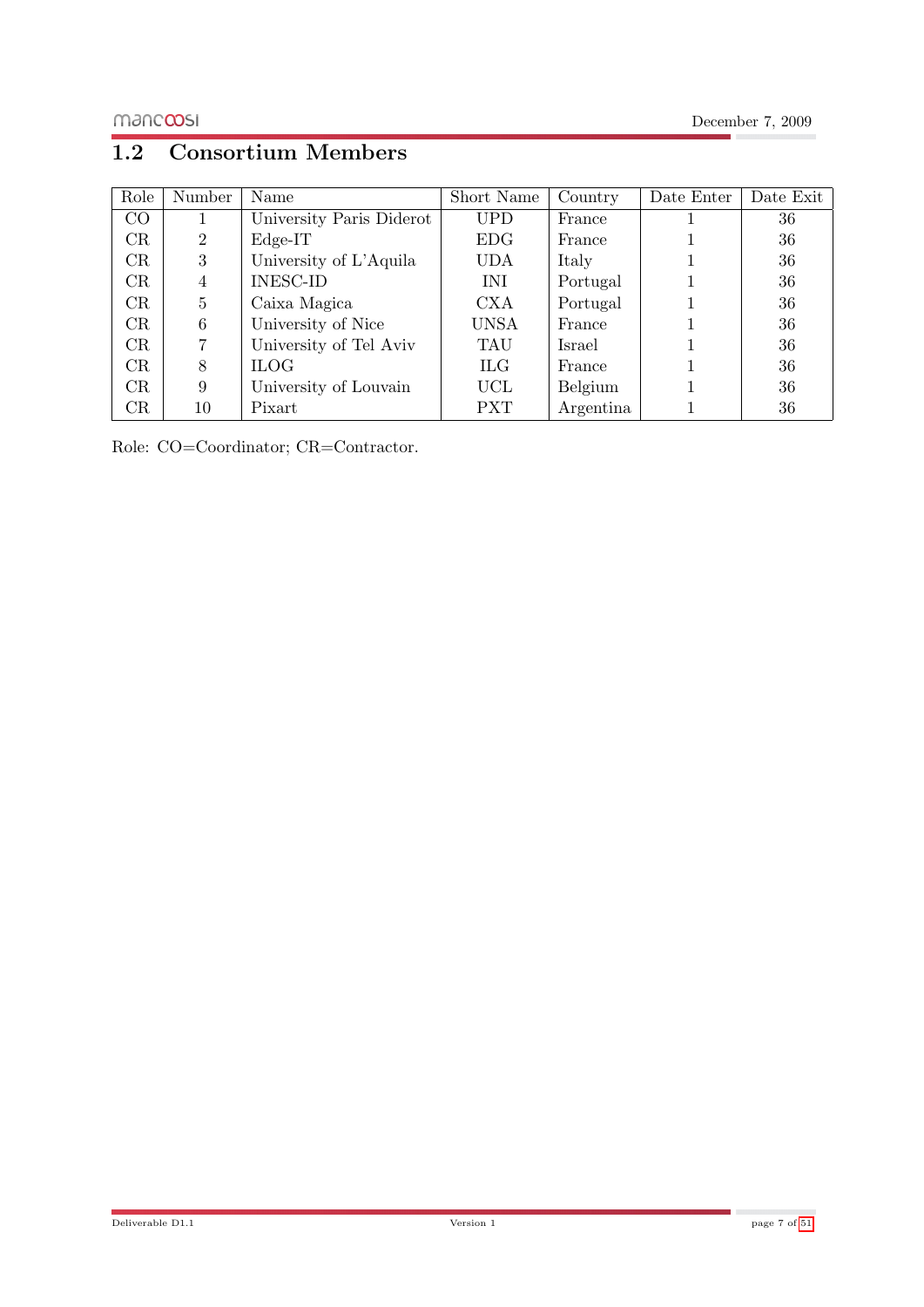## <span id="page-6-0"></span>1.2 Consortium Members

| Role | Number         | Name                     | Short Name  | Country   | Date Enter | Date Exit |
|------|----------------|--------------------------|-------------|-----------|------------|-----------|
| CO   |                | University Paris Diderot | <b>UPD</b>  | France    |            | 36        |
| CR   | $\overline{2}$ | $Edge-IT$                | <b>EDG</b>  | France    |            | 36        |
| CR   | 3              | University of L'Aquila   | <b>UDA</b>  | Italy     |            | 36        |
| CR   | $\overline{4}$ | <b>INESC-ID</b>          | INI         | Portugal  |            | 36        |
| CR   | 5              | Caixa Magica             | <b>CXA</b>  | Portugal  |            | 36        |
| CR   | 6              | University of Nice       | <b>UNSA</b> | France    |            | 36        |
| CR   | 7              | University of Tel Aviv   | TAU         | Israel    |            | 36        |
| CR   | 8              | <b>ILOG</b>              | <b>ILG</b>  | France    |            | 36        |
| CR   | 9              | University of Louvain    | UCL         | Belgium   |            | 36        |
| CR   | 10             | Pixart                   | <b>PXT</b>  | Argentina |            | 36        |

Role: CO=Coordinator; CR=Contractor.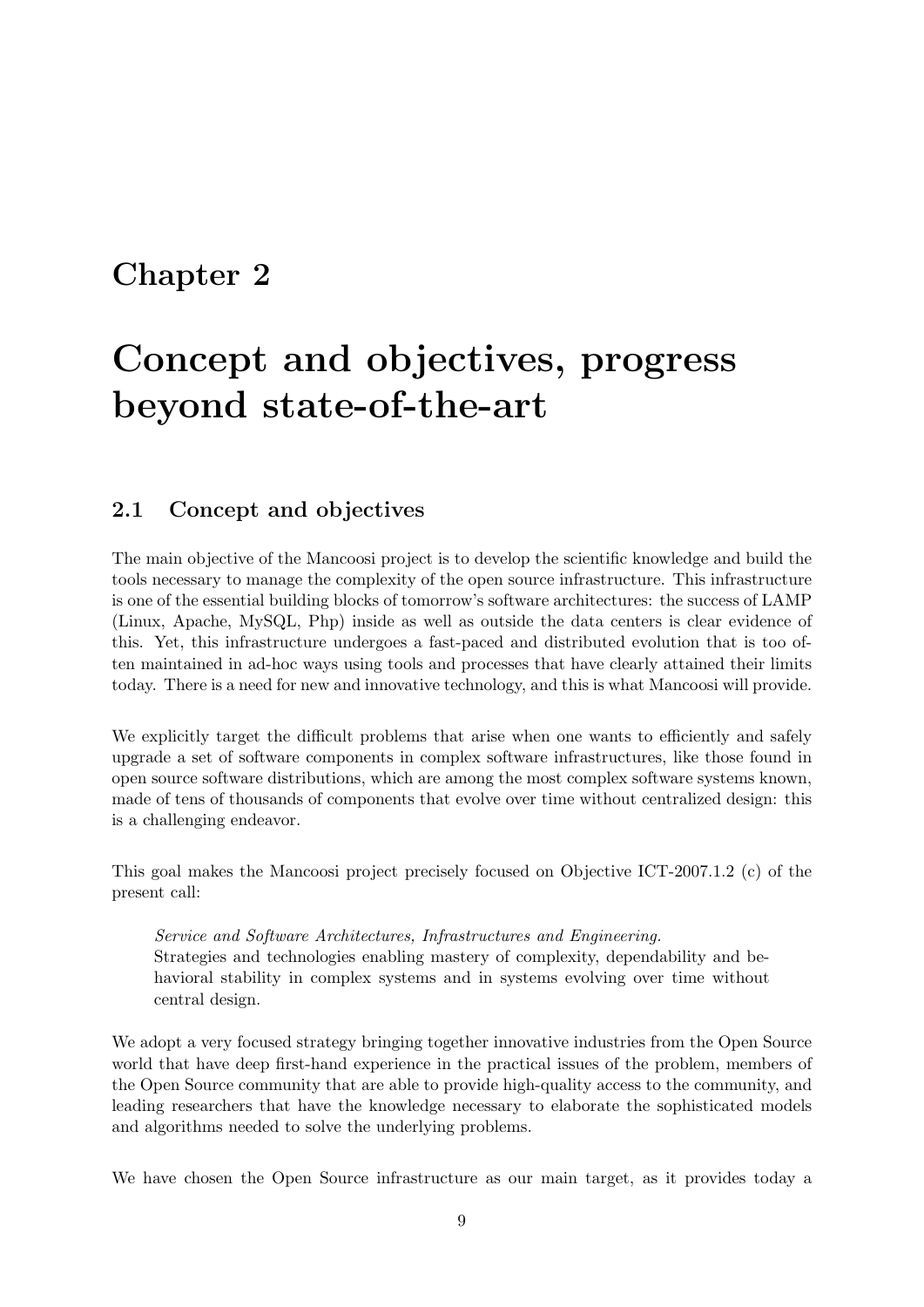## <span id="page-8-0"></span>Chapter 2

# Concept and objectives, progress beyond state-of-the-art

## <span id="page-8-1"></span>2.1 Concept and objectives

The main objective of the Mancoosi project is to develop the scientific knowledge and build the tools necessary to manage the complexity of the open source infrastructure. This infrastructure is one of the essential building blocks of tomorrow's software architectures: the success of LAMP (Linux, Apache, MySQL, Php) inside as well as outside the data centers is clear evidence of this. Yet, this infrastructure undergoes a fast-paced and distributed evolution that is too often maintained in ad-hoc ways using tools and processes that have clearly attained their limits today. There is a need for new and innovative technology, and this is what Mancoosi will provide.

We explicitly target the difficult problems that arise when one wants to efficiently and safely upgrade a set of software components in complex software infrastructures, like those found in open source software distributions, which are among the most complex software systems known, made of tens of thousands of components that evolve over time without centralized design: this is a challenging endeavor.

This goal makes the Mancoosi project precisely focused on Objective ICT-2007.1.2 (c) of the present call:

Service and Software Architectures, Infrastructures and Engineering. Strategies and technologies enabling mastery of complexity, dependability and behavioral stability in complex systems and in systems evolving over time without central design.

We adopt a very focused strategy bringing together innovative industries from the Open Source world that have deep first-hand experience in the practical issues of the problem, members of the Open Source community that are able to provide high-quality access to the community, and leading researchers that have the knowledge necessary to elaborate the sophisticated models and algorithms needed to solve the underlying problems.

We have chosen the Open Source infrastructure as our main target, as it provides today a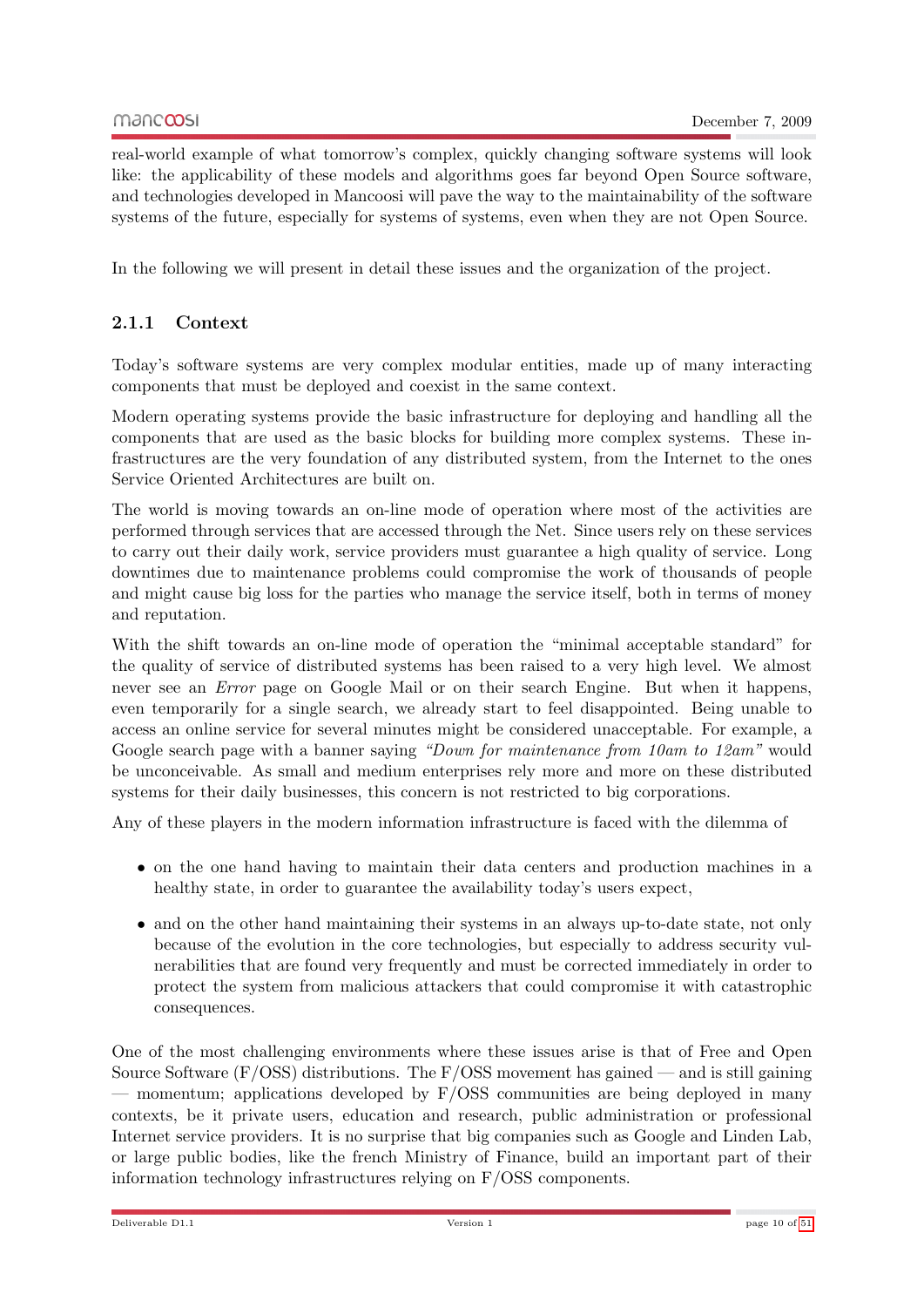real-world example of what tomorrow's complex, quickly changing software systems will look like: the applicability of these models and algorithms goes far beyond Open Source software, and technologies developed in Mancoosi will pave the way to the maintainability of the software systems of the future, especially for systems of systems, even when they are not Open Source.

In the following we will present in detail these issues and the organization of the project.

## <span id="page-9-0"></span>2.1.1 Context

Today's software systems are very complex modular entities, made up of many interacting components that must be deployed and coexist in the same context.

Modern operating systems provide the basic infrastructure for deploying and handling all the components that are used as the basic blocks for building more complex systems. These infrastructures are the very foundation of any distributed system, from the Internet to the ones Service Oriented Architectures are built on.

The world is moving towards an on-line mode of operation where most of the activities are performed through services that are accessed through the Net. Since users rely on these services to carry out their daily work, service providers must guarantee a high quality of service. Long downtimes due to maintenance problems could compromise the work of thousands of people and might cause big loss for the parties who manage the service itself, both in terms of money and reputation.

With the shift towards an on-line mode of operation the "minimal acceptable standard" for the quality of service of distributed systems has been raised to a very high level. We almost never see an Error page on Google Mail or on their search Engine. But when it happens, even temporarily for a single search, we already start to feel disappointed. Being unable to access an online service for several minutes might be considered unacceptable. For example, a Google search page with a banner saying "Down for maintenance from 10am to 12am" would be unconceivable. As small and medium enterprises rely more and more on these distributed systems for their daily businesses, this concern is not restricted to big corporations.

Any of these players in the modern information infrastructure is faced with the dilemma of

- on the one hand having to maintain their data centers and production machines in a healthy state, in order to guarantee the availability today's users expect,
- and on the other hand maintaining their systems in an always up-to-date state, not only because of the evolution in the core technologies, but especially to address security vulnerabilities that are found very frequently and must be corrected immediately in order to protect the system from malicious attackers that could compromise it with catastrophic consequences.

One of the most challenging environments where these issues arise is that of Free and Open Source Software (F/OSS) distributions. The  $F/OSS$  movement has gained — and is still gaining — momentum; applications developed by F/OSS communities are being deployed in many contexts, be it private users, education and research, public administration or professional Internet service providers. It is no surprise that big companies such as Google and Linden Lab, or large public bodies, like the french Ministry of Finance, build an important part of their information technology infrastructures relying on F/OSS components.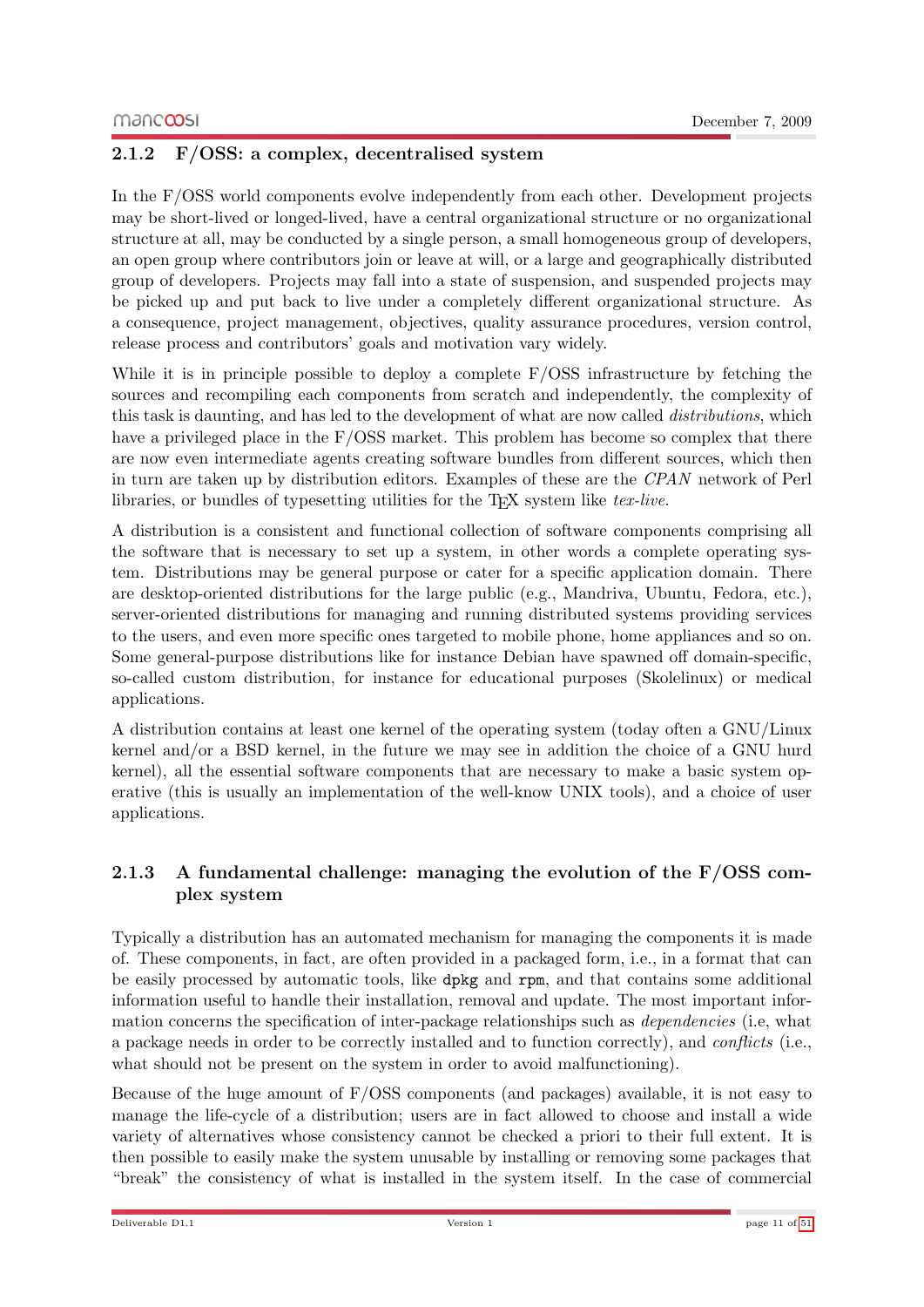## <span id="page-10-0"></span>2.1.2 F/OSS: a complex, decentralised system

In the F/OSS world components evolve independently from each other. Development projects may be short-lived or longed-lived, have a central organizational structure or no organizational structure at all, may be conducted by a single person, a small homogeneous group of developers, an open group where contributors join or leave at will, or a large and geographically distributed group of developers. Projects may fall into a state of suspension, and suspended projects may be picked up and put back to live under a completely different organizational structure. As a consequence, project management, objectives, quality assurance procedures, version control, release process and contributors' goals and motivation vary widely.

While it is in principle possible to deploy a complete F/OSS infrastructure by fetching the sources and recompiling each components from scratch and independently, the complexity of this task is daunting, and has led to the development of what are now called distributions, which have a privileged place in the F/OSS market. This problem has become so complex that there are now even intermediate agents creating software bundles from different sources, which then in turn are taken up by distribution editors. Examples of these are the CPAN network of Perl libraries, or bundles of typesetting utilities for the  $T_F X$  system like tex-live.

A distribution is a consistent and functional collection of software components comprising all the software that is necessary to set up a system, in other words a complete operating system. Distributions may be general purpose or cater for a specific application domain. There are desktop-oriented distributions for the large public (e.g., Mandriva, Ubuntu, Fedora, etc.), server-oriented distributions for managing and running distributed systems providing services to the users, and even more specific ones targeted to mobile phone, home appliances and so on. Some general-purpose distributions like for instance Debian have spawned off domain-specific, so-called custom distribution, for instance for educational purposes (Skolelinux) or medical applications.

A distribution contains at least one kernel of the operating system (today often a GNU/Linux kernel and/or a BSD kernel, in the future we may see in addition the choice of a GNU hurd kernel), all the essential software components that are necessary to make a basic system operative (this is usually an implementation of the well-know UNIX tools), and a choice of user applications.

## <span id="page-10-1"></span>2.1.3 A fundamental challenge: managing the evolution of the F/OSS complex system

Typically a distribution has an automated mechanism for managing the components it is made of. These components, in fact, are often provided in a packaged form, i.e., in a format that can be easily processed by automatic tools, like dpkg and rpm, and that contains some additional information useful to handle their installation, removal and update. The most important information concerns the specification of inter-package relationships such as dependencies (i.e, what a package needs in order to be correctly installed and to function correctly), and conflicts (i.e., what should not be present on the system in order to avoid malfunctioning).

Because of the huge amount of  $F/oss$  components (and packages) available, it is not easy to manage the life-cycle of a distribution; users are in fact allowed to choose and install a wide variety of alternatives whose consistency cannot be checked a priori to their full extent. It is then possible to easily make the system unusable by installing or removing some packages that "break" the consistency of what is installed in the system itself. In the case of commercial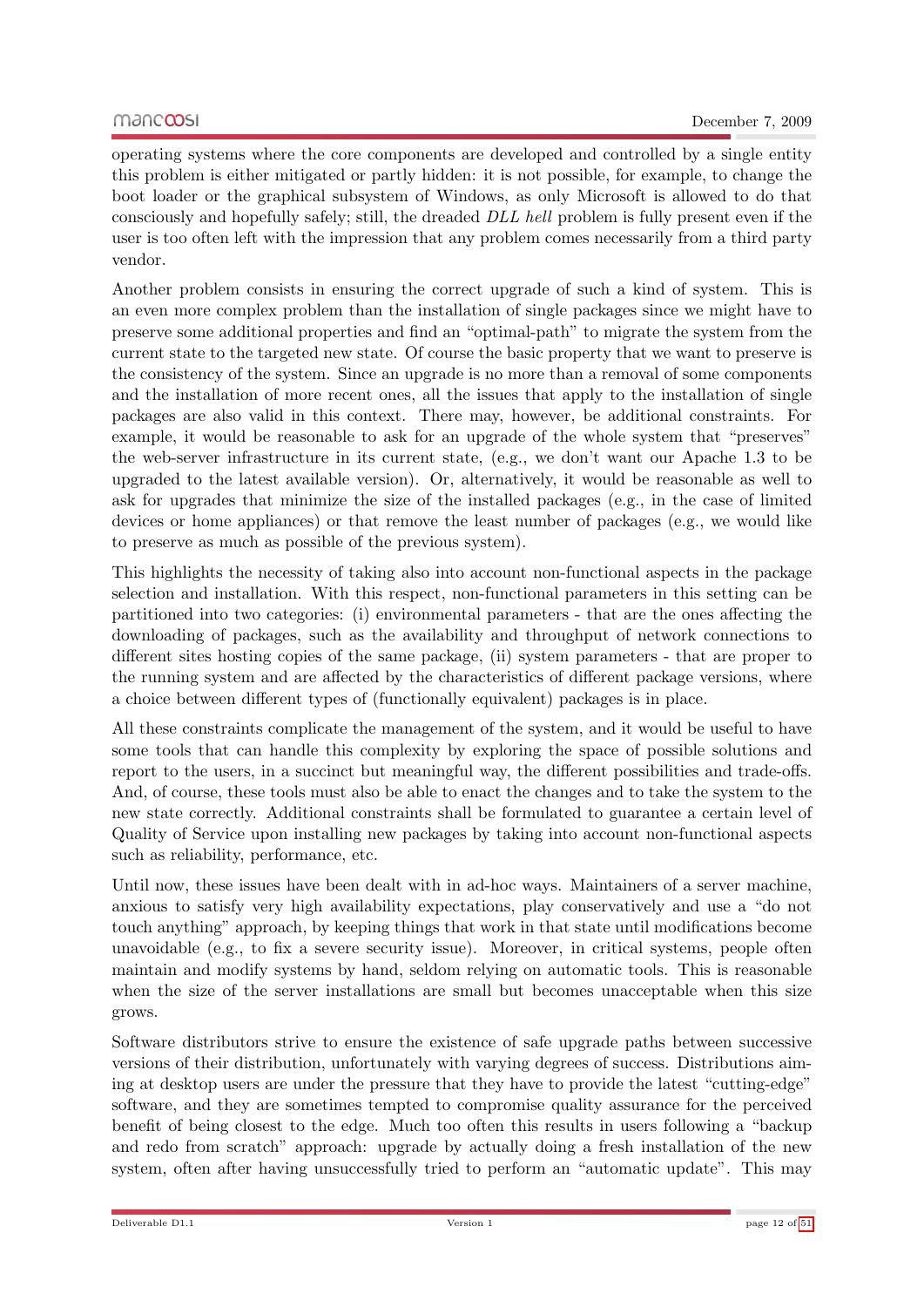operating systems where the core components are developed and controlled by a single entity this problem is either mitigated or partly hidden: it is not possible, for example, to change the boot loader or the graphical subsystem of Windows, as only Microsoft is allowed to do that consciously and hopefully safely; still, the dreaded DLL hell problem is fully present even if the user is too often left with the impression that any problem comes necessarily from a third party vendor.

Another problem consists in ensuring the correct upgrade of such a kind of system. This is an even more complex problem than the installation of single packages since we might have to preserve some additional properties and find an "optimal-path" to migrate the system from the current state to the targeted new state. Of course the basic property that we want to preserve is the consistency of the system. Since an upgrade is no more than a removal of some components and the installation of more recent ones, all the issues that apply to the installation of single packages are also valid in this context. There may, however, be additional constraints. For example, it would be reasonable to ask for an upgrade of the whole system that "preserves" the web-server infrastructure in its current state, (e.g., we don't want our Apache 1.3 to be upgraded to the latest available version). Or, alternatively, it would be reasonable as well to ask for upgrades that minimize the size of the installed packages (e.g., in the case of limited devices or home appliances) or that remove the least number of packages (e.g., we would like to preserve as much as possible of the previous system).

This highlights the necessity of taking also into account non-functional aspects in the package selection and installation. With this respect, non-functional parameters in this setting can be partitioned into two categories: (i) environmental parameters - that are the ones affecting the downloading of packages, such as the availability and throughput of network connections to different sites hosting copies of the same package, (ii) system parameters - that are proper to the running system and are affected by the characteristics of different package versions, where a choice between different types of (functionally equivalent) packages is in place.

All these constraints complicate the management of the system, and it would be useful to have some tools that can handle this complexity by exploring the space of possible solutions and report to the users, in a succinct but meaningful way, the different possibilities and trade-offs. And, of course, these tools must also be able to enact the changes and to take the system to the new state correctly. Additional constraints shall be formulated to guarantee a certain level of Quality of Service upon installing new packages by taking into account non-functional aspects such as reliability, performance, etc.

Until now, these issues have been dealt with in ad-hoc ways. Maintainers of a server machine, anxious to satisfy very high availability expectations, play conservatively and use a "do not touch anything" approach, by keeping things that work in that state until modifications become unavoidable (e.g., to fix a severe security issue). Moreover, in critical systems, people often maintain and modify systems by hand, seldom relying on automatic tools. This is reasonable when the size of the server installations are small but becomes unacceptable when this size grows.

Software distributors strive to ensure the existence of safe upgrade paths between successive versions of their distribution, unfortunately with varying degrees of success. Distributions aiming at desktop users are under the pressure that they have to provide the latest "cutting-edge" software, and they are sometimes tempted to compromise quality assurance for the perceived benefit of being closest to the edge. Much too often this results in users following a "backup and redo from scratch" approach: upgrade by actually doing a fresh installation of the new system, often after having unsuccessfully tried to perform an "automatic update". This may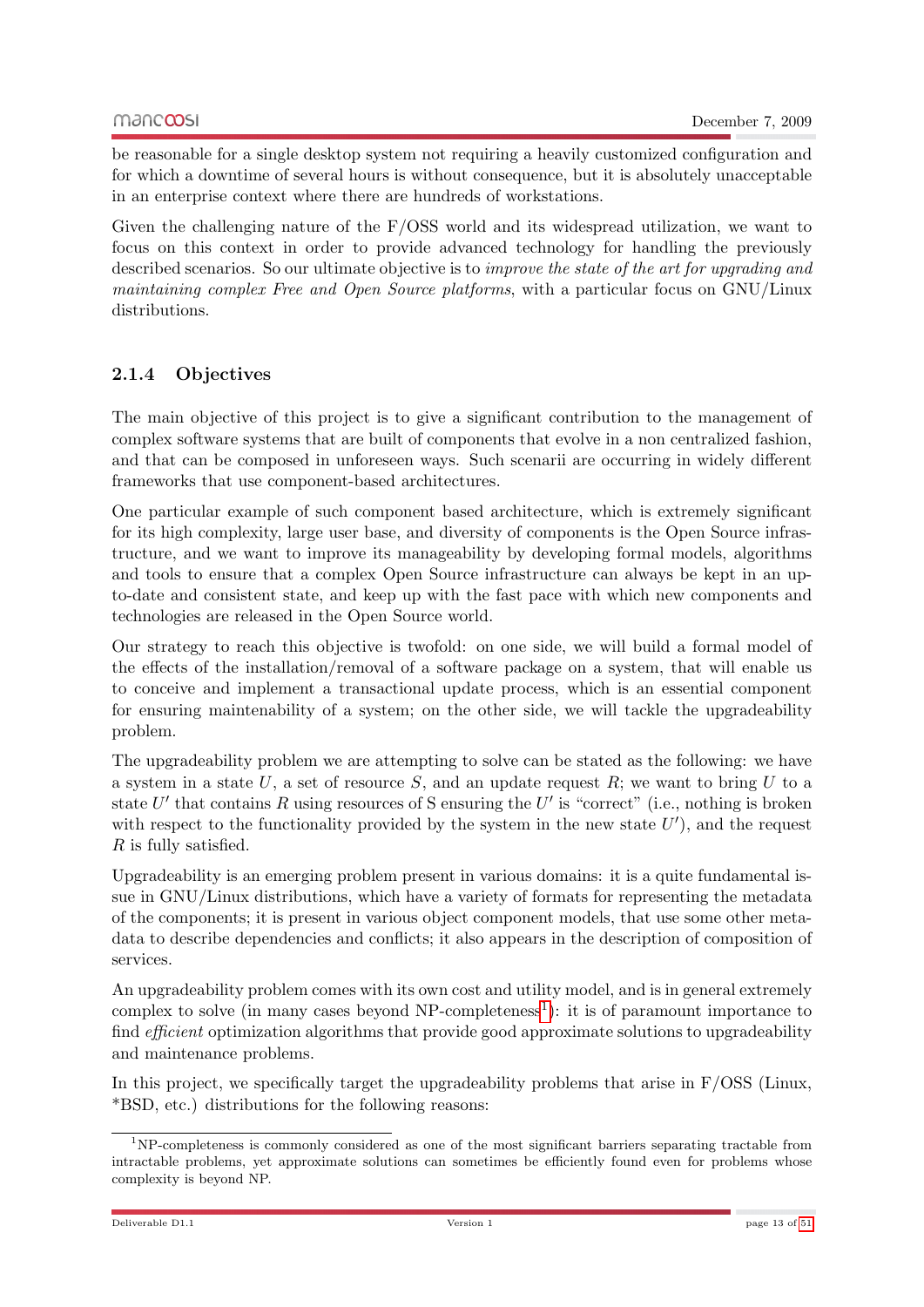be reasonable for a single desktop system not requiring a heavily customized configuration and for which a downtime of several hours is without consequence, but it is absolutely unacceptable in an enterprise context where there are hundreds of workstations.

Given the challenging nature of the F/OSS world and its widespread utilization, we want to focus on this context in order to provide advanced technology for handling the previously described scenarios. So our ultimate objective is to improve the state of the art for upgrading and maintaining complex Free and Open Source platforms, with a particular focus on GNU/Linux distributions.

## <span id="page-12-0"></span>2.1.4 Objectives

The main objective of this project is to give a significant contribution to the management of complex software systems that are built of components that evolve in a non centralized fashion, and that can be composed in unforeseen ways. Such scenarii are occurring in widely different frameworks that use component-based architectures.

One particular example of such component based architecture, which is extremely significant for its high complexity, large user base, and diversity of components is the Open Source infrastructure, and we want to improve its manageability by developing formal models, algorithms and tools to ensure that a complex Open Source infrastructure can always be kept in an upto-date and consistent state, and keep up with the fast pace with which new components and technologies are released in the Open Source world.

Our strategy to reach this objective is twofold: on one side, we will build a formal model of the effects of the installation/removal of a software package on a system, that will enable us to conceive and implement a transactional update process, which is an essential component for ensuring maintenability of a system; on the other side, we will tackle the upgradeability problem.

The upgradeability problem we are attempting to solve can be stated as the following: we have a system in a state U, a set of resource S, and an update request  $R$ ; we want to bring U to a state  $U'$  that contains R using resources of S ensuring the  $U'$  is "correct" (i.e., nothing is broken with respect to the functionality provided by the system in the new state  $U'$ ), and the request R is fully satisfied.

Upgradeability is an emerging problem present in various domains: it is a quite fundamental issue in GNU/Linux distributions, which have a variety of formats for representing the metadata of the components; it is present in various object component models, that use some other metadata to describe dependencies and conflicts; it also appears in the description of composition of services.

An upgradeability problem comes with its own cost and utility model, and is in general extremely complex to solve (in many cases beyond  $NP$ -completeness<sup>[1](#page-12-1)</sup>): it is of paramount importance to find *efficient* optimization algorithms that provide good approximate solutions to upgradeability and maintenance problems.

In this project, we specifically target the upgradeability problems that arise in  $F/oss$  (Linux, \*BSD, etc.) distributions for the following reasons:

<span id="page-12-1"></span><sup>1</sup>NP-completeness is commonly considered as one of the most significant barriers separating tractable from intractable problems, yet approximate solutions can sometimes be efficiently found even for problems whose complexity is beyond NP.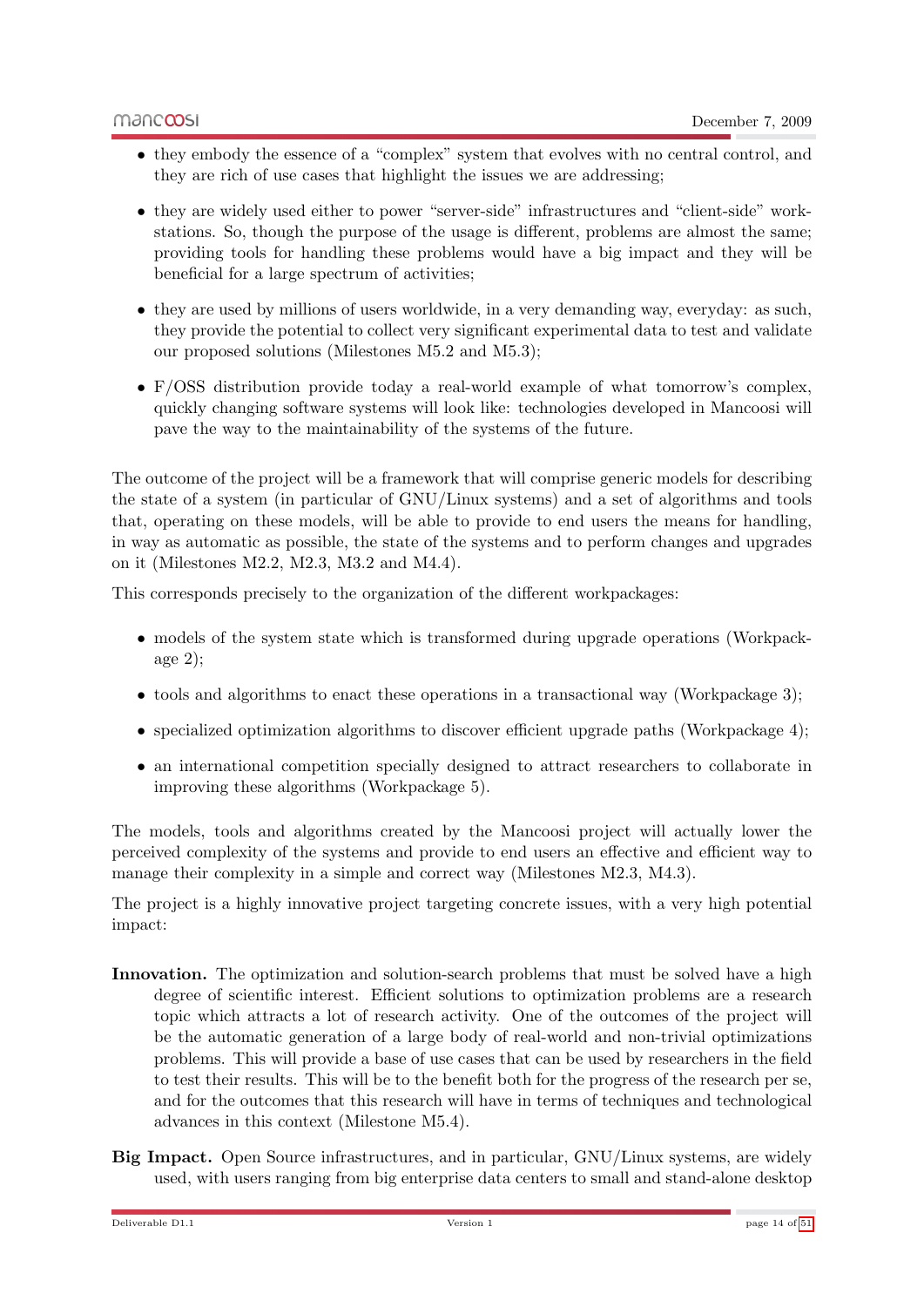- they embody the essence of a "complex" system that evolves with no central control, and they are rich of use cases that highlight the issues we are addressing;
- they are widely used either to power "server-side" infrastructures and "client-side" workstations. So, though the purpose of the usage is different, problems are almost the same; providing tools for handling these problems would have a big impact and they will be beneficial for a large spectrum of activities;
- they are used by millions of users worldwide, in a very demanding way, everyday: as such, they provide the potential to collect very significant experimental data to test and validate our proposed solutions (Milestones M5.2 and M5.3);
- F/OSS distribution provide today a real-world example of what tomorrow's complex, quickly changing software systems will look like: technologies developed in Mancoosi will pave the way to the maintainability of the systems of the future.

The outcome of the project will be a framework that will comprise generic models for describing the state of a system (in particular of GNU/Linux systems) and a set of algorithms and tools that, operating on these models, will be able to provide to end users the means for handling, in way as automatic as possible, the state of the systems and to perform changes and upgrades on it (Milestones M2.2, M2.3, M3.2 and M4.4).

This corresponds precisely to the organization of the different workpackages:

- models of the system state which is transformed during upgrade operations (Workpackage 2);
- tools and algorithms to enact these operations in a transactional way (Workpackage 3);
- specialized optimization algorithms to discover efficient upgrade paths (Workpackage 4);
- an international competition specially designed to attract researchers to collaborate in improving these algorithms (Workpackage 5).

The models, tools and algorithms created by the Mancoosi project will actually lower the perceived complexity of the systems and provide to end users an effective and efficient way to manage their complexity in a simple and correct way (Milestones M2.3, M4.3).

The project is a highly innovative project targeting concrete issues, with a very high potential impact:

- Innovation. The optimization and solution-search problems that must be solved have a high degree of scientific interest. Efficient solutions to optimization problems are a research topic which attracts a lot of research activity. One of the outcomes of the project will be the automatic generation of a large body of real-world and non-trivial optimizations problems. This will provide a base of use cases that can be used by researchers in the field to test their results. This will be to the benefit both for the progress of the research per se, and for the outcomes that this research will have in terms of techniques and technological advances in this context (Milestone M5.4).
- Big Impact. Open Source infrastructures, and in particular, GNU/Linux systems, are widely used, with users ranging from big enterprise data centers to small and stand-alone desktop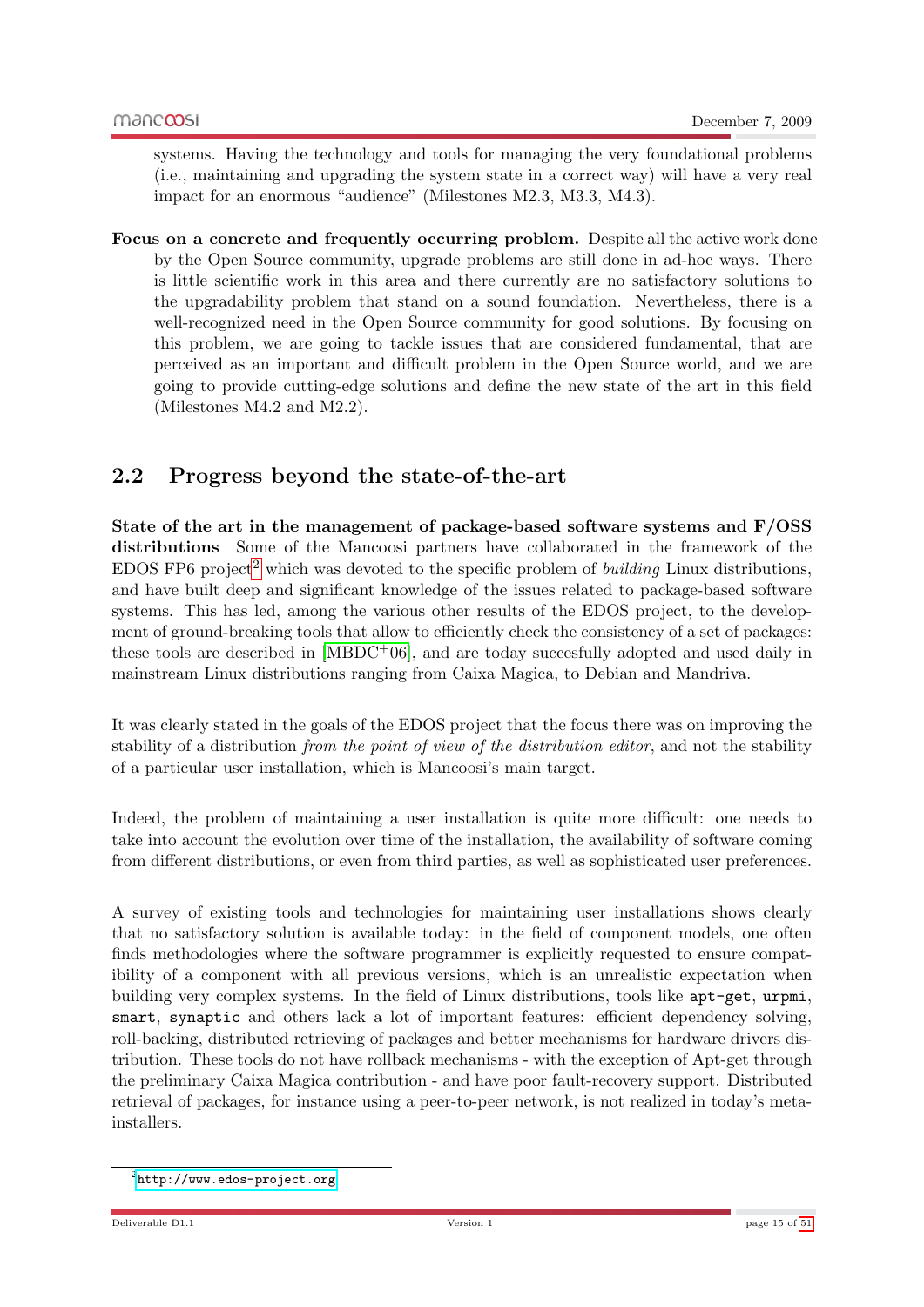systems. Having the technology and tools for managing the very foundational problems (i.e., maintaining and upgrading the system state in a correct way) will have a very real impact for an enormous "audience" (Milestones M2.3, M3.3, M4.3).

Focus on a concrete and frequently occurring problem. Despite all the active work done by the Open Source community, upgrade problems are still done in ad-hoc ways. There is little scientific work in this area and there currently are no satisfactory solutions to the upgradability problem that stand on a sound foundation. Nevertheless, there is a well-recognized need in the Open Source community for good solutions. By focusing on this problem, we are going to tackle issues that are considered fundamental, that are perceived as an important and difficult problem in the Open Source world, and we are going to provide cutting-edge solutions and define the new state of the art in this field (Milestones M4.2 and M2.2).

## <span id="page-14-0"></span>2.2 Progress beyond the state-of-the-art

State of the art in the management of package-based software systems and F/OSS distributions Some of the Mancoosi partners have collaborated in the framework of the EDOS FP6 project<sup>[2](#page-14-1)</sup> which was devoted to the specific problem of *building* Linux distributions, and have built deep and significant knowledge of the issues related to package-based software systems. This has led, among the various other results of the EDOS project, to the development of ground-breaking tools that allow to efficiently check the consistency of a set of packages: these tools are described in  $[MBDC+06]$  $[MBDC+06]$ , and are today succesfully adopted and used daily in mainstream Linux distributions ranging from Caixa Magica, to Debian and Mandriva.

It was clearly stated in the goals of the EDOS project that the focus there was on improving the stability of a distribution *from the point of view of the distribution editor*, and not the stability of a particular user installation, which is Mancoosi's main target.

Indeed, the problem of maintaining a user installation is quite more difficult: one needs to take into account the evolution over time of the installation, the availability of software coming from different distributions, or even from third parties, as well as sophisticated user preferences.

A survey of existing tools and technologies for maintaining user installations shows clearly that no satisfactory solution is available today: in the field of component models, one often finds methodologies where the software programmer is explicitly requested to ensure compatibility of a component with all previous versions, which is an unrealistic expectation when building very complex systems. In the field of Linux distributions, tools like apt-get, urpmi, smart, synaptic and others lack a lot of important features: efficient dependency solving, roll-backing, distributed retrieving of packages and better mechanisms for hardware drivers distribution. These tools do not have rollback mechanisms - with the exception of Apt-get through the preliminary Caixa Magica contribution - and have poor fault-recovery support. Distributed retrieval of packages, for instance using a peer-to-peer network, is not realized in today's metainstallers.

<span id="page-14-1"></span> $^{2}$ <http://www.edos-project.org>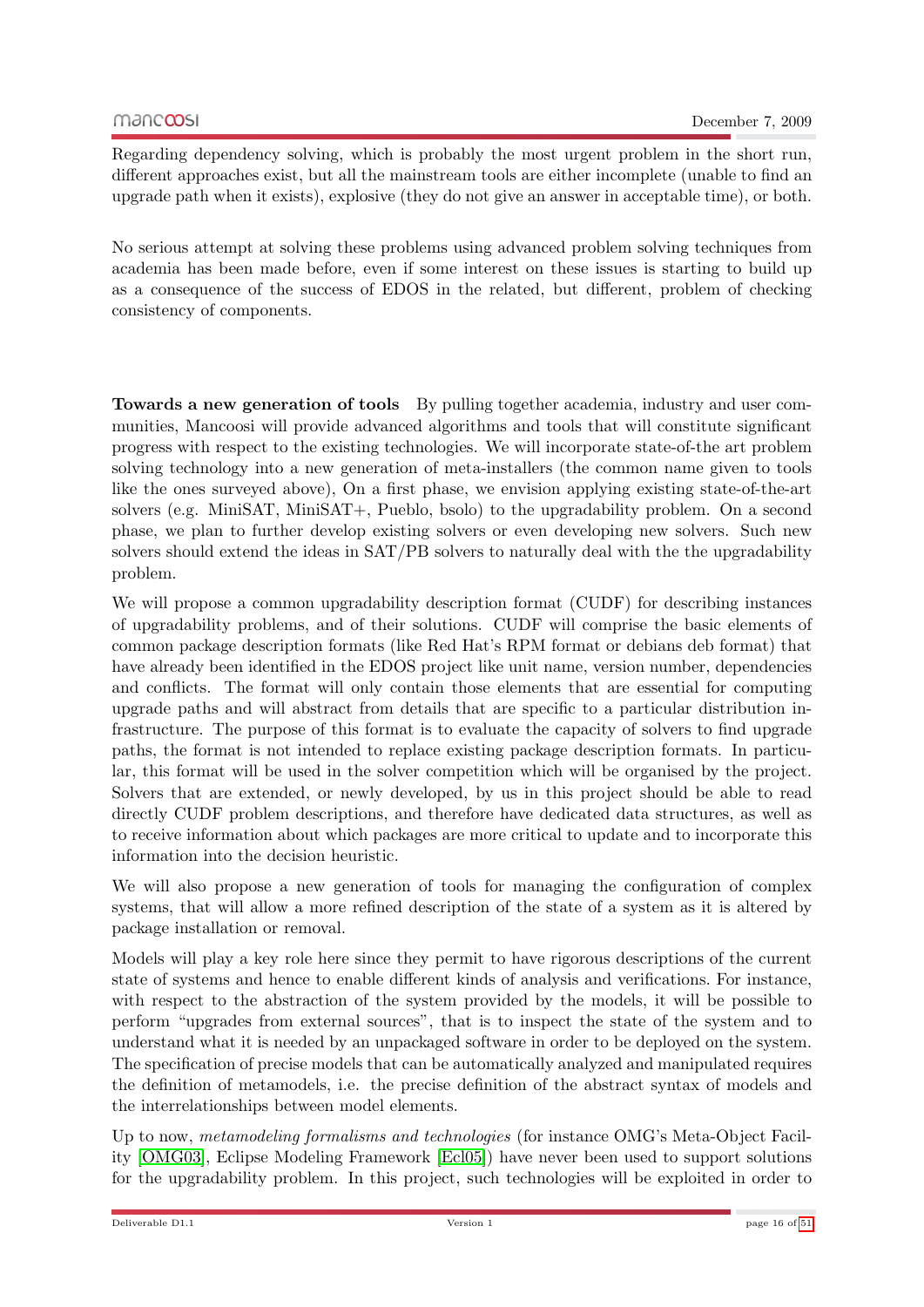Regarding dependency solving, which is probably the most urgent problem in the short run, different approaches exist, but all the mainstream tools are either incomplete (unable to find an upgrade path when it exists), explosive (they do not give an answer in acceptable time), or both.

No serious attempt at solving these problems using advanced problem solving techniques from academia has been made before, even if some interest on these issues is starting to build up as a consequence of the success of EDOS in the related, but different, problem of checking consistency of components.

Towards a new generation of tools By pulling together academia, industry and user communities, Mancoosi will provide advanced algorithms and tools that will constitute significant progress with respect to the existing technologies. We will incorporate state-of-the art problem solving technology into a new generation of meta-installers (the common name given to tools like the ones surveyed above), On a first phase, we envision applying existing state-of-the-art solvers (e.g. MiniSAT, MiniSAT+, Pueblo, bsolo) to the upgradability problem. On a second phase, we plan to further develop existing solvers or even developing new solvers. Such new solvers should extend the ideas in SAT/PB solvers to naturally deal with the the upgradability problem.

We will propose a common upgradability description format (CUDF) for describing instances of upgradability problems, and of their solutions. CUDF will comprise the basic elements of common package description formats (like Red Hat's RPM format or debians deb format) that have already been identified in the EDOS project like unit name, version number, dependencies and conflicts. The format will only contain those elements that are essential for computing upgrade paths and will abstract from details that are specific to a particular distribution infrastructure. The purpose of this format is to evaluate the capacity of solvers to find upgrade paths, the format is not intended to replace existing package description formats. In particular, this format will be used in the solver competition which will be organised by the project. Solvers that are extended, or newly developed, by us in this project should be able to read directly CUDF problem descriptions, and therefore have dedicated data structures, as well as to receive information about which packages are more critical to update and to incorporate this information into the decision heuristic.

We will also propose a new generation of tools for managing the configuration of complex systems, that will allow a more refined description of the state of a system as it is altered by package installation or removal.

Models will play a key role here since they permit to have rigorous descriptions of the current state of systems and hence to enable different kinds of analysis and verifications. For instance, with respect to the abstraction of the system provided by the models, it will be possible to perform "upgrades from external sources", that is to inspect the state of the system and to understand what it is needed by an unpackaged software in order to be deployed on the system. The specification of precise models that can be automatically analyzed and manipulated requires the definition of metamodels, i.e. the precise definition of the abstract syntax of models and the interrelationships between model elements.

Up to now, metamodeling formalisms and technologies (for instance OMG's Meta-Object Facility [\[OMG03\]](#page-50-2), Eclipse Modeling Framework [\[Ecl05\]](#page-50-3)) have never been used to support solutions for the upgradability problem. In this project, such technologies will be exploited in order to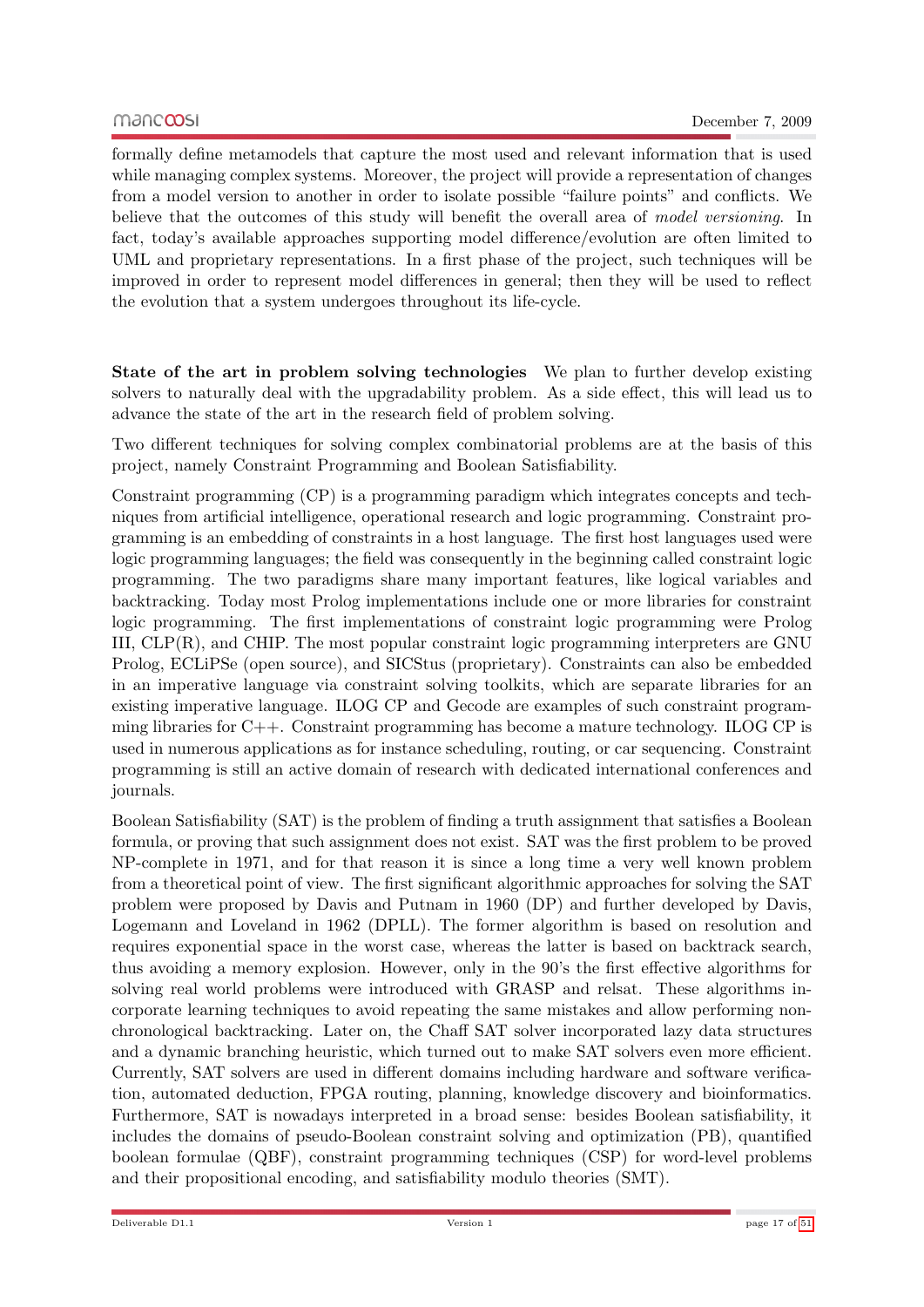formally define metamodels that capture the most used and relevant information that is used while managing complex systems. Moreover, the project will provide a representation of changes from a model version to another in order to isolate possible "failure points" and conflicts. We believe that the outcomes of this study will benefit the overall area of model versioning. In fact, today's available approaches supporting model difference/evolution are often limited to UML and proprietary representations. In a first phase of the project, such techniques will be improved in order to represent model differences in general; then they will be used to reflect the evolution that a system undergoes throughout its life-cycle.

State of the art in problem solving technologies We plan to further develop existing solvers to naturally deal with the upgradability problem. As a side effect, this will lead us to advance the state of the art in the research field of problem solving.

Two different techniques for solving complex combinatorial problems are at the basis of this project, namely Constraint Programming and Boolean Satisfiability.

Constraint programming (CP) is a programming paradigm which integrates concepts and techniques from artificial intelligence, operational research and logic programming. Constraint programming is an embedding of constraints in a host language. The first host languages used were logic programming languages; the field was consequently in the beginning called constraint logic programming. The two paradigms share many important features, like logical variables and backtracking. Today most Prolog implementations include one or more libraries for constraint logic programming. The first implementations of constraint logic programming were Prolog III, CLP(R), and CHIP. The most popular constraint logic programming interpreters are GNU Prolog, ECLiPSe (open source), and SICStus (proprietary). Constraints can also be embedded in an imperative language via constraint solving toolkits, which are separate libraries for an existing imperative language. ILOG CP and Gecode are examples of such constraint programming libraries for C++. Constraint programming has become a mature technology. ILOG CP is used in numerous applications as for instance scheduling, routing, or car sequencing. Constraint programming is still an active domain of research with dedicated international conferences and journals.

Boolean Satisfiability (SAT) is the problem of finding a truth assignment that satisfies a Boolean formula, or proving that such assignment does not exist. SAT was the first problem to be proved NP-complete in 1971, and for that reason it is since a long time a very well known problem from a theoretical point of view. The first significant algorithmic approaches for solving the SAT problem were proposed by Davis and Putnam in 1960 (DP) and further developed by Davis, Logemann and Loveland in 1962 (DPLL). The former algorithm is based on resolution and requires exponential space in the worst case, whereas the latter is based on backtrack search, thus avoiding a memory explosion. However, only in the 90's the first effective algorithms for solving real world problems were introduced with GRASP and relsat. These algorithms incorporate learning techniques to avoid repeating the same mistakes and allow performing nonchronological backtracking. Later on, the Chaff SAT solver incorporated lazy data structures and a dynamic branching heuristic, which turned out to make SAT solvers even more efficient. Currently, SAT solvers are used in different domains including hardware and software verification, automated deduction, FPGA routing, planning, knowledge discovery and bioinformatics. Furthermore, SAT is nowadays interpreted in a broad sense: besides Boolean satisfiability, it includes the domains of pseudo-Boolean constraint solving and optimization (PB), quantified boolean formulae (QBF), constraint programming techniques (CSP) for word-level problems and their propositional encoding, and satisfiability modulo theories (SMT).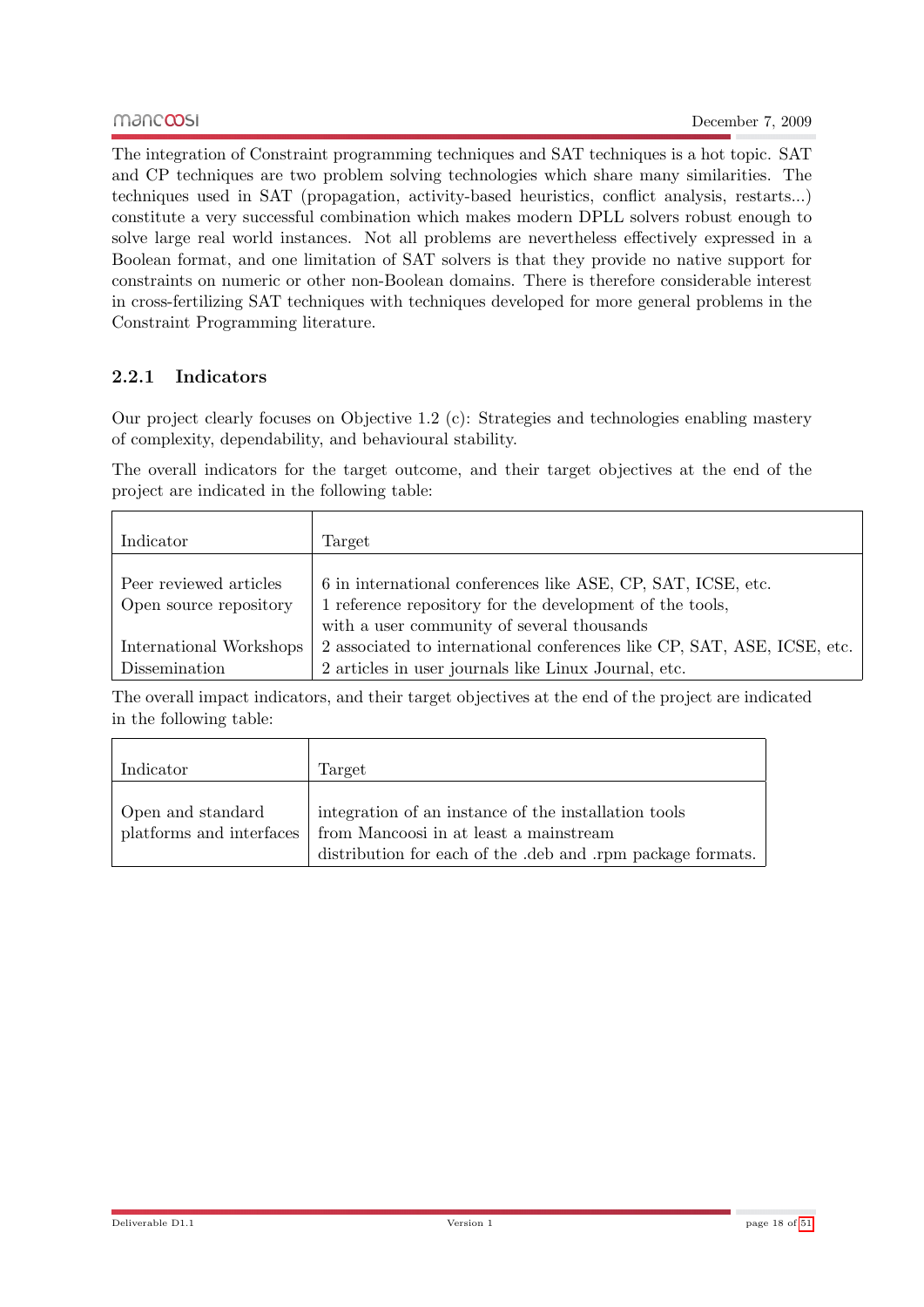The integration of Constraint programming techniques and SAT techniques is a hot topic. SAT and CP techniques are two problem solving technologies which share many similarities. The techniques used in SAT (propagation, activity-based heuristics, conflict analysis, restarts...) constitute a very successful combination which makes modern DPLL solvers robust enough to solve large real world instances. Not all problems are nevertheless effectively expressed in a Boolean format, and one limitation of SAT solvers is that they provide no native support for constraints on numeric or other non-Boolean domains. There is therefore considerable interest in cross-fertilizing SAT techniques with techniques developed for more general problems in the Constraint Programming literature.

## <span id="page-17-0"></span>2.2.1 Indicators

Our project clearly focuses on Objective 1.2 (c): Strategies and technologies enabling mastery of complexity, dependability, and behavioural stability.

The overall indicators for the target outcome, and their target objectives at the end of the project are indicated in the following table:

| Indicator                                        | Target                                                                                                                   |
|--------------------------------------------------|--------------------------------------------------------------------------------------------------------------------------|
| Peer reviewed articles<br>Open source repository | 6 in international conferences like ASE, CP, SAT, ICSE, etc.<br>1 reference repository for the development of the tools, |
|                                                  | with a user community of several thousands                                                                               |
| International Workshops                          | 2 associated to international conferences like CP, SAT, ASE, ICSE, etc.                                                  |
| Dissemination                                    | 2 articles in user journals like Linux Journal, etc.                                                                     |

The overall impact indicators, and their target objectives at the end of the project are indicated in the following table:

| Indicator                                     | Target                                                                                                                                                      |
|-----------------------------------------------|-------------------------------------------------------------------------------------------------------------------------------------------------------------|
| Open and standard<br>platforms and interfaces | integration of an instance of the installation tools<br>from Mancoosi in at least a mainstream<br>distribution for each of the deb and rpm package formats. |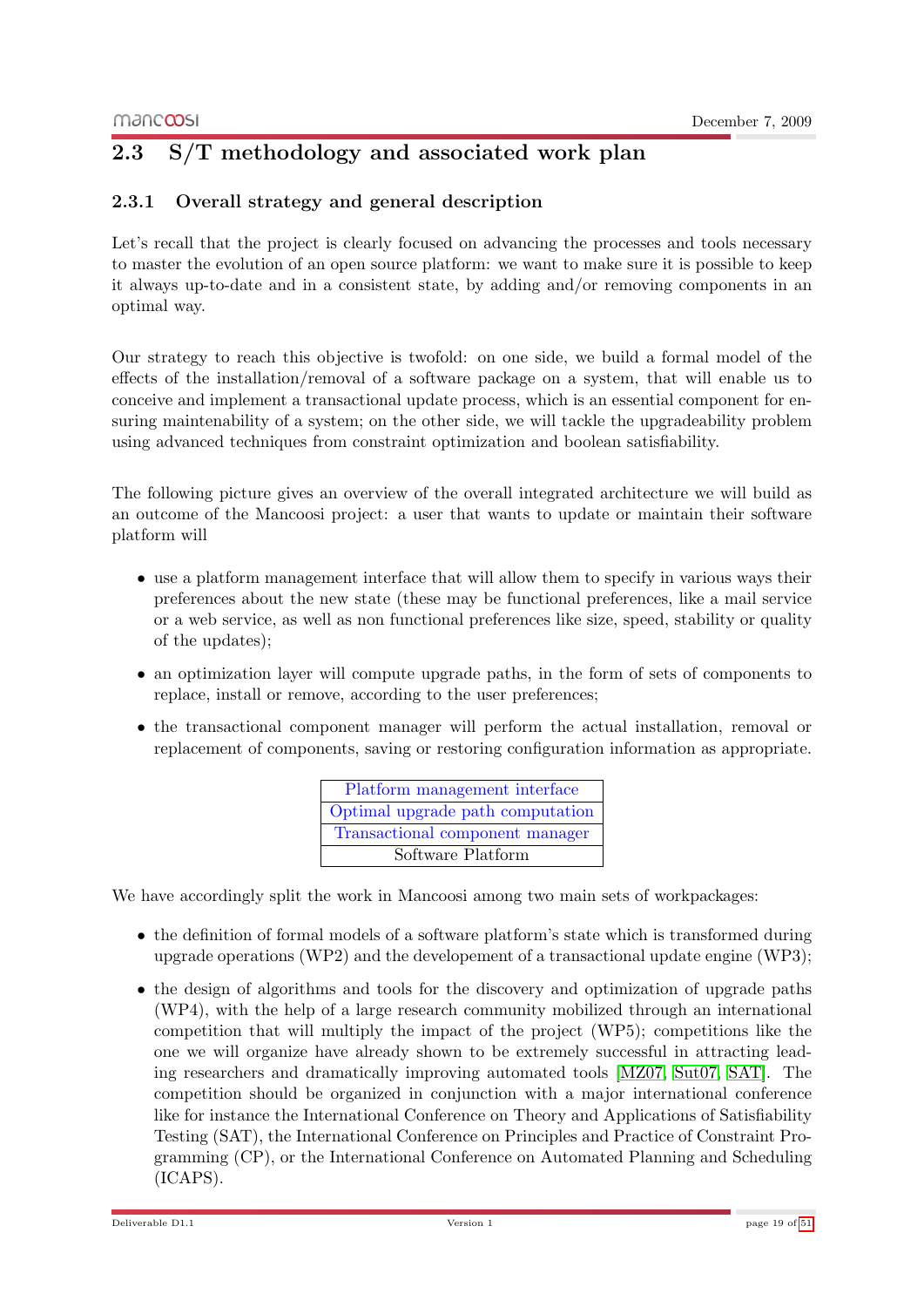## <span id="page-18-0"></span>2.3 S/T methodology and associated work plan

## <span id="page-18-1"></span>2.3.1 Overall strategy and general description

Let's recall that the project is clearly focused on advancing the processes and tools necessary to master the evolution of an open source platform: we want to make sure it is possible to keep it always up-to-date and in a consistent state, by adding and/or removing components in an optimal way.

Our strategy to reach this objective is twofold: on one side, we build a formal model of the effects of the installation/removal of a software package on a system, that will enable us to conceive and implement a transactional update process, which is an essential component for ensuring maintenability of a system; on the other side, we will tackle the upgradeability problem using advanced techniques from constraint optimization and boolean satisfiability.

The following picture gives an overview of the overall integrated architecture we will build as an outcome of the Mancoosi project: a user that wants to update or maintain their software platform will

- use a platform management interface that will allow them to specify in various ways their preferences about the new state (these may be functional preferences, like a mail service or a web service, as well as non functional preferences like size, speed, stability or quality of the updates);
- an optimization layer will compute upgrade paths, in the form of sets of components to replace, install or remove, according to the user preferences;
- the transactional component manager will perform the actual installation, removal or replacement of components, saving or restoring configuration information as appropriate.

| Platform management interface    |
|----------------------------------|
| Optimal upgrade path computation |
| Transactional component manager  |
| Software Platform                |

We have accordingly split the work in Mancoosi among two main sets of workpackages:

- the definition of formal models of a software platform's state which is transformed during upgrade operations (WP2) and the developement of a transactional update engine (WP3);
- the design of algorithms and tools for the discovery and optimization of upgrade paths (WP4), with the help of a large research community mobilized through an international competition that will multiply the impact of the project (WP5); competitions like the one we will organize have already shown to be extremely successful in attracting leading researchers and dramatically improving automated tools [\[MZ07,](#page-50-4) [Sut07,](#page-50-5) [SAT\]](#page-50-6). The competition should be organized in conjunction with a major international conference like for instance the International Conference on Theory and Applications of Satisfiability Testing (SAT), the International Conference on Principles and Practice of Constraint Programming (CP), or the International Conference on Automated Planning and Scheduling (ICAPS).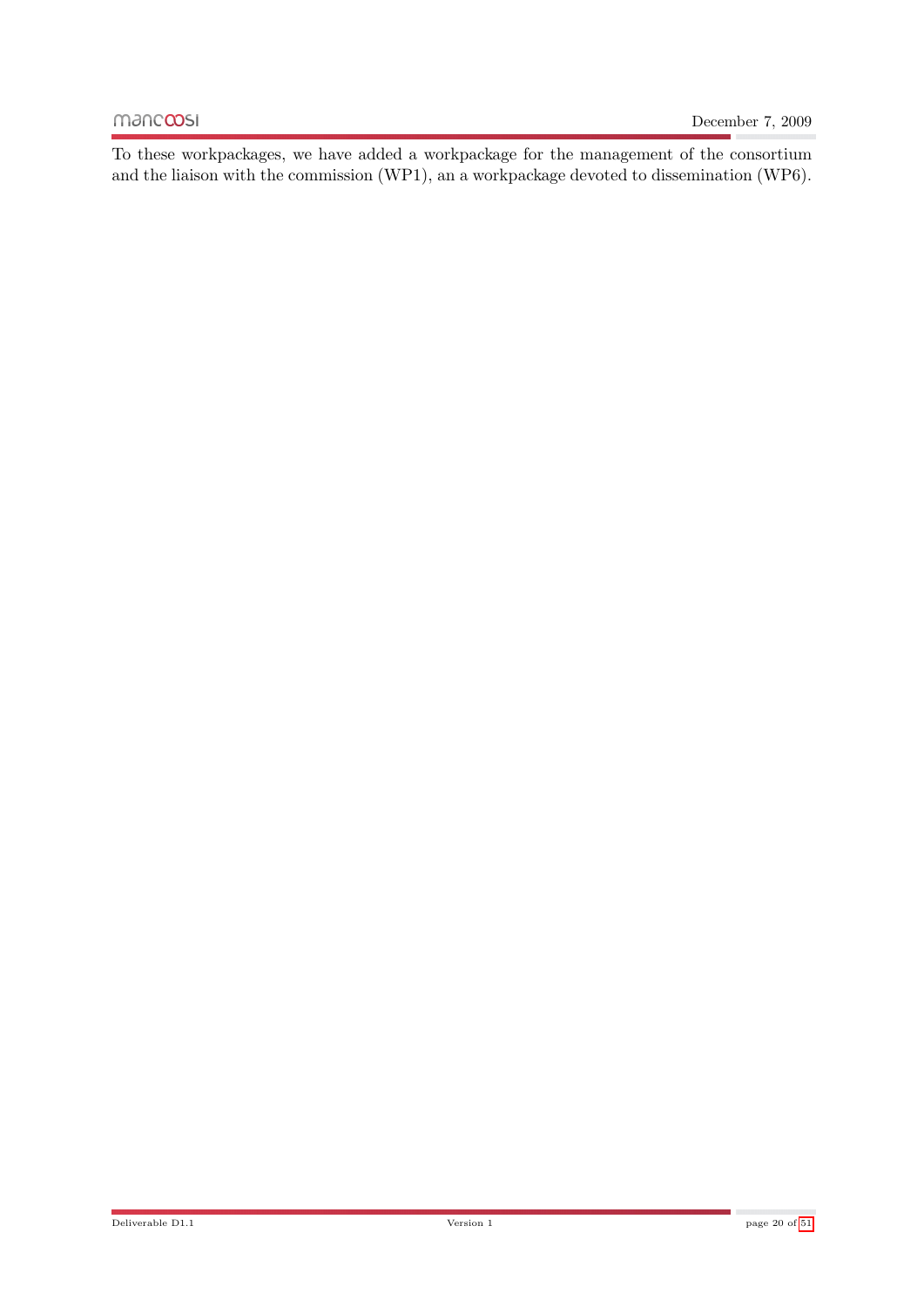To these workpackages, we have added a workpackage for the management of the consortium and the liaison with the commission (WP1), an a workpackage devoted to dissemination (WP6).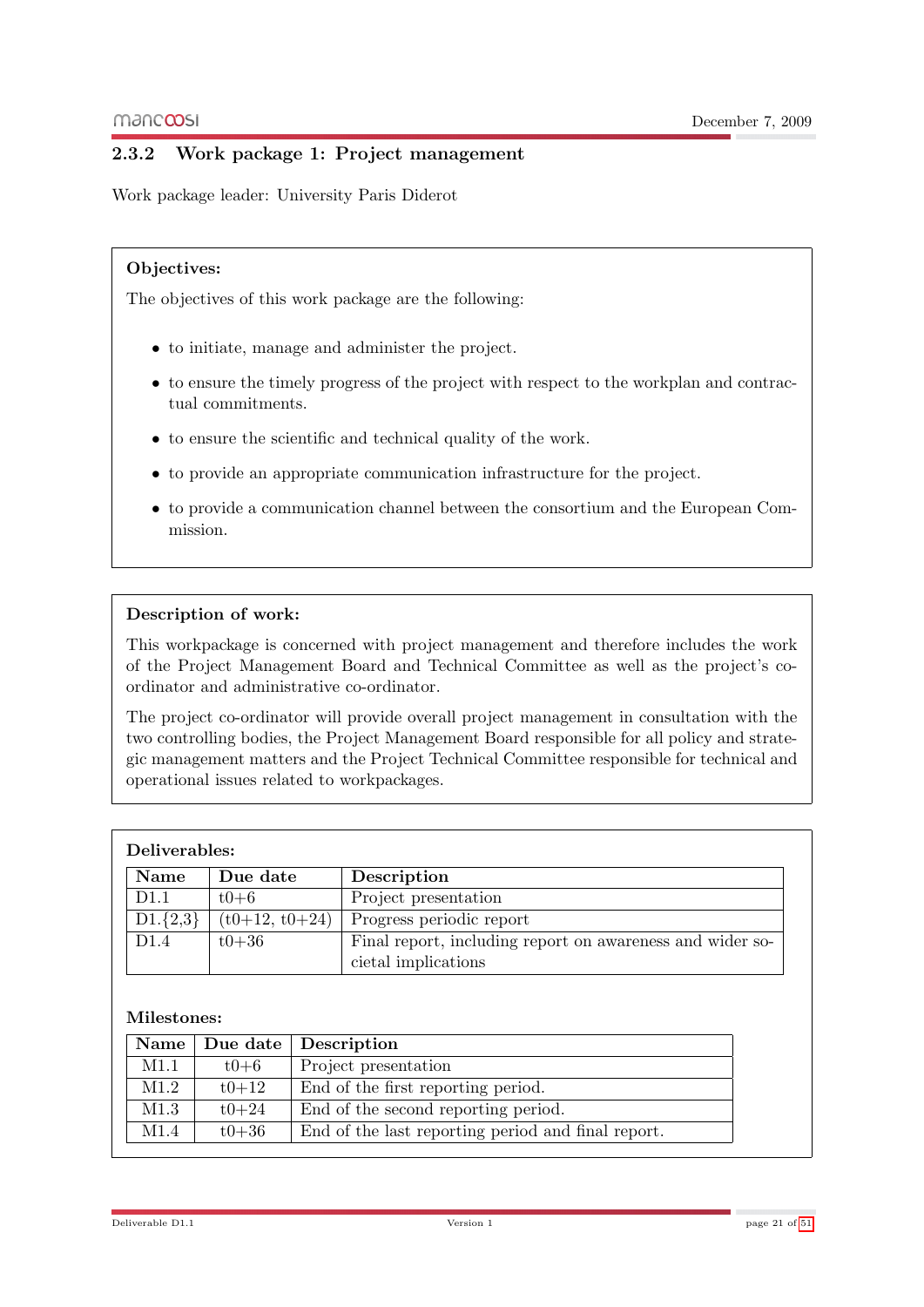## <span id="page-20-0"></span>2.3.2 Work package 1: Project management

Work package leader: University Paris Diderot

#### Objectives:

The objectives of this work package are the following:

- to initiate, manage and administer the project.
- to ensure the timely progress of the project with respect to the workplan and contractual commitments.
- to ensure the scientific and technical quality of the work.
- to provide an appropriate communication infrastructure for the project.
- to provide a communication channel between the consortium and the European Commission.

#### Description of work:

This workpackage is concerned with project management and therefore includes the work of the Project Management Board and Technical Committee as well as the project's coordinator and administrative co-ordinator.

The project co-ordinator will provide overall project management in consultation with the two controlling bodies, the Project Management Board responsible for all policy and strategic management matters and the Project Technical Committee responsible for technical and operational issues related to workpackages.

| Deliverables:    |                  |                                                           |
|------------------|------------------|-----------------------------------------------------------|
| <b>Name</b>      | Due date         | Description                                               |
| D <sub>1.1</sub> | $t0+6$           | Project presentation                                      |
| $D1.\{2,3\}$     | $(t0+12, t0+24)$ | Progress periodic report                                  |
| D <sub>1.4</sub> | $t0 + 36$        | Final report, including report on awareness and wider so- |
|                  |                  | cietal implications                                       |

#### Milestones:

|      |           | Name   Due date   Description                      |
|------|-----------|----------------------------------------------------|
| M1.1 | $t0 + 6$  | Project presentation                               |
| M1.2 | $t0 + 12$ | End of the first reporting period.                 |
| M1.3 | $t0 + 24$ | End of the second reporting period.                |
| M1.4 | $t0 + 36$ | End of the last reporting period and final report. |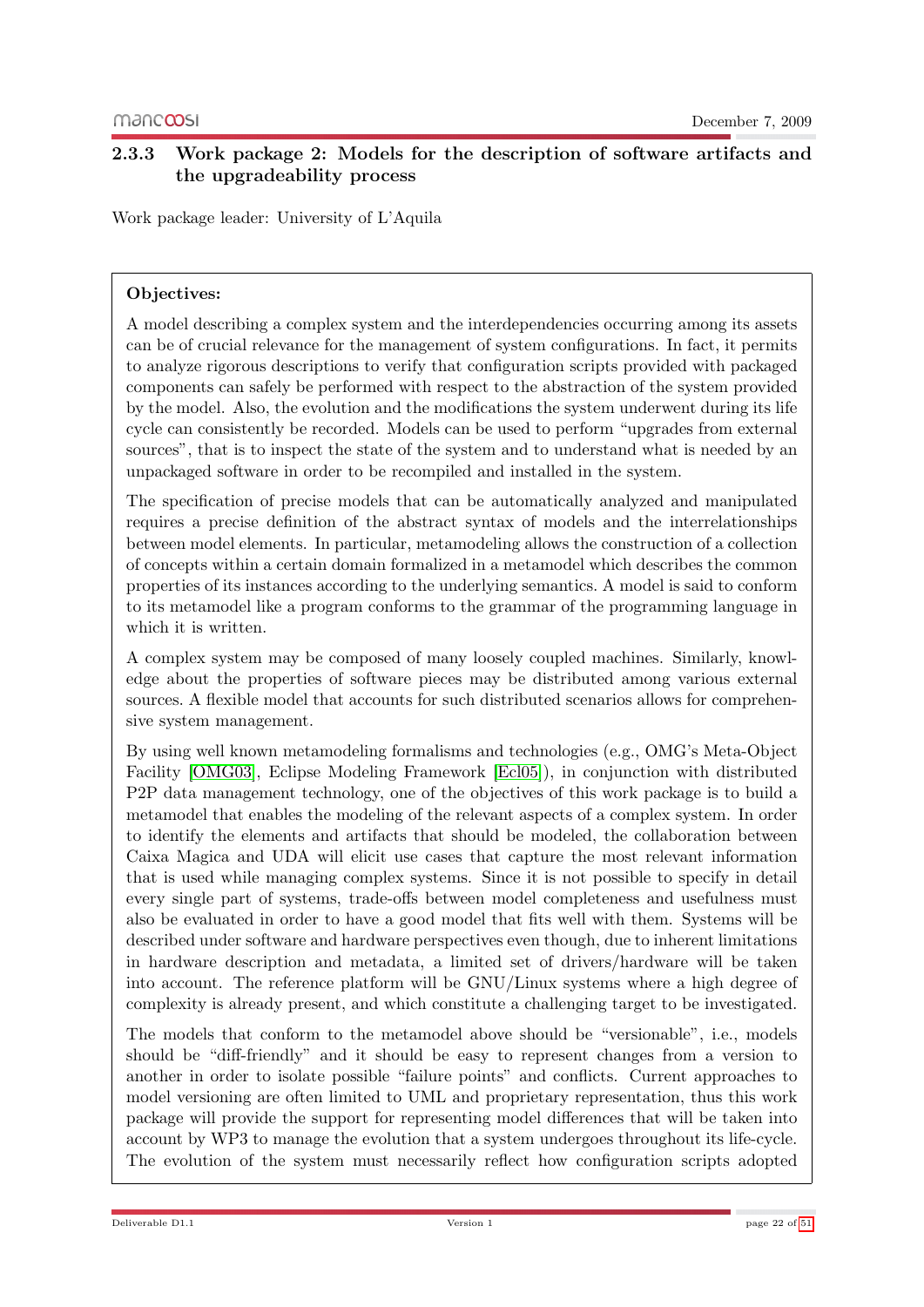## <span id="page-21-0"></span>2.3.3 Work package 2: Models for the description of software artifacts and the upgradeability process

Work package leader: University of L'Aquila

#### Objectives:

A model describing a complex system and the interdependencies occurring among its assets can be of crucial relevance for the management of system configurations. In fact, it permits to analyze rigorous descriptions to verify that configuration scripts provided with packaged components can safely be performed with respect to the abstraction of the system provided by the model. Also, the evolution and the modifications the system underwent during its life cycle can consistently be recorded. Models can be used to perform "upgrades from external sources", that is to inspect the state of the system and to understand what is needed by an unpackaged software in order to be recompiled and installed in the system.

The specification of precise models that can be automatically analyzed and manipulated requires a precise definition of the abstract syntax of models and the interrelationships between model elements. In particular, metamodeling allows the construction of a collection of concepts within a certain domain formalized in a metamodel which describes the common properties of its instances according to the underlying semantics. A model is said to conform to its metamodel like a program conforms to the grammar of the programming language in which it is written.

A complex system may be composed of many loosely coupled machines. Similarly, knowledge about the properties of software pieces may be distributed among various external sources. A flexible model that accounts for such distributed scenarios allows for comprehensive system management.

By using well known metamodeling formalisms and technologies (e.g., OMG's Meta-Object Facility [\[OMG03\]](#page-50-2), Eclipse Modeling Framework [\[Ecl05\]](#page-50-3)), in conjunction with distributed P2P data management technology, one of the objectives of this work package is to build a metamodel that enables the modeling of the relevant aspects of a complex system. In order to identify the elements and artifacts that should be modeled, the collaboration between Caixa Magica and UDA will elicit use cases that capture the most relevant information that is used while managing complex systems. Since it is not possible to specify in detail every single part of systems, trade-offs between model completeness and usefulness must also be evaluated in order to have a good model that fits well with them. Systems will be described under software and hardware perspectives even though, due to inherent limitations in hardware description and metadata, a limited set of drivers/hardware will be taken into account. The reference platform will be GNU/Linux systems where a high degree of complexity is already present, and which constitute a challenging target to be investigated.

The models that conform to the metamodel above should be "versionable", i.e., models should be "diff-friendly" and it should be easy to represent changes from a version to another in order to isolate possible "failure points" and conflicts. Current approaches to model versioning are often limited to UML and proprietary representation, thus this work package will provide the support for representing model differences that will be taken into account by WP3 to manage the evolution that a system undergoes throughout its life-cycle. The evolution of the system must necessarily reflect how configuration scripts adopted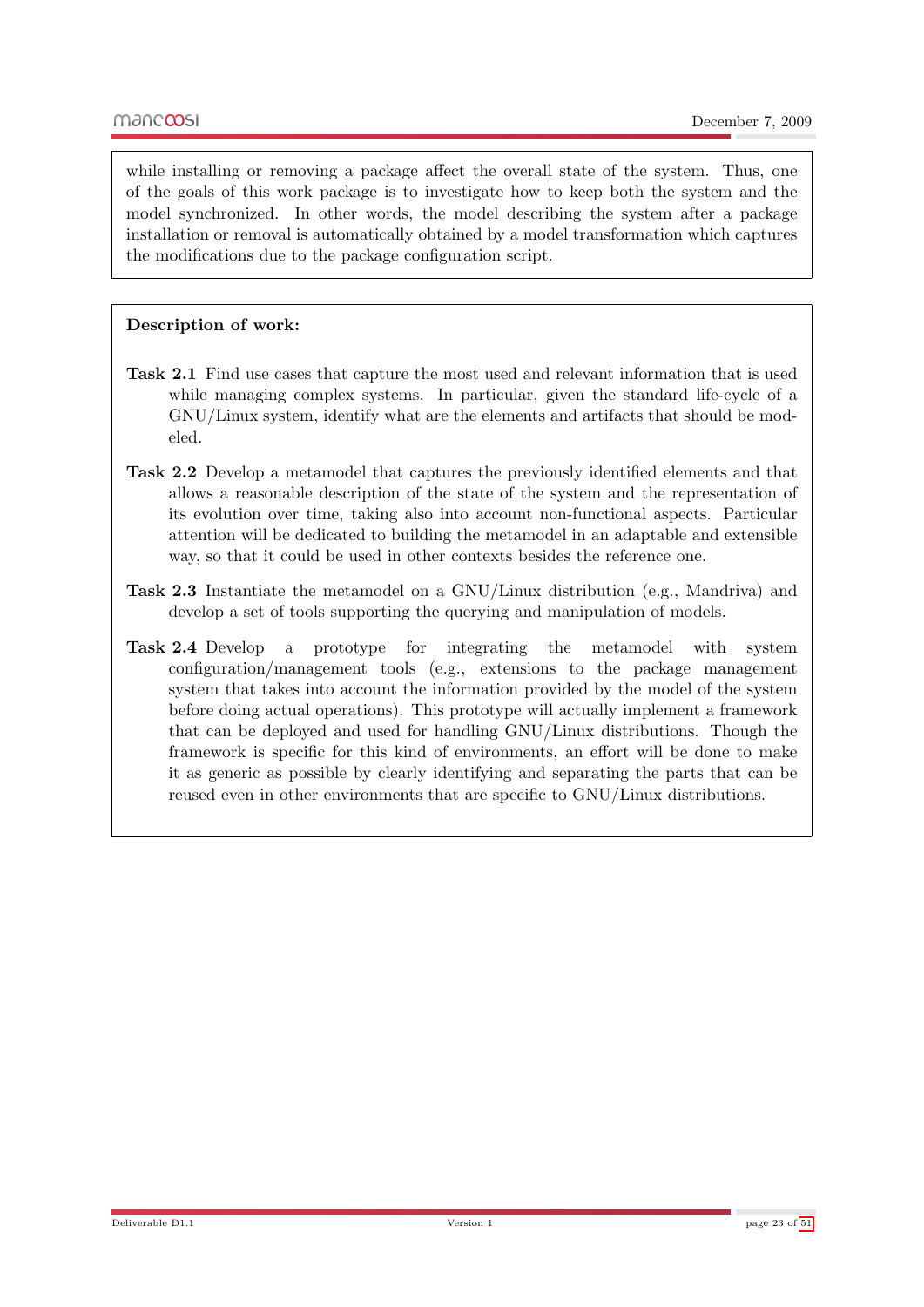while installing or removing a package affect the overall state of the system. Thus, one of the goals of this work package is to investigate how to keep both the system and the model synchronized. In other words, the model describing the system after a package installation or removal is automatically obtained by a model transformation which captures the modifications due to the package configuration script.

#### Description of work:

- Task 2.1 Find use cases that capture the most used and relevant information that is used while managing complex systems. In particular, given the standard life-cycle of a GNU/Linux system, identify what are the elements and artifacts that should be modeled.
- Task 2.2 Develop a metamodel that captures the previously identified elements and that allows a reasonable description of the state of the system and the representation of its evolution over time, taking also into account non-functional aspects. Particular attention will be dedicated to building the metamodel in an adaptable and extensible way, so that it could be used in other contexts besides the reference one.
- Task 2.3 Instantiate the metamodel on a GNU/Linux distribution (e.g., Mandriva) and develop a set of tools supporting the querying and manipulation of models.
- Task 2.4 Develop a prototype for integrating the metamodel with system configuration/management tools (e.g., extensions to the package management system that takes into account the information provided by the model of the system before doing actual operations). This prototype will actually implement a framework that can be deployed and used for handling GNU/Linux distributions. Though the framework is specific for this kind of environments, an effort will be done to make it as generic as possible by clearly identifying and separating the parts that can be reused even in other environments that are specific to GNU/Linux distributions.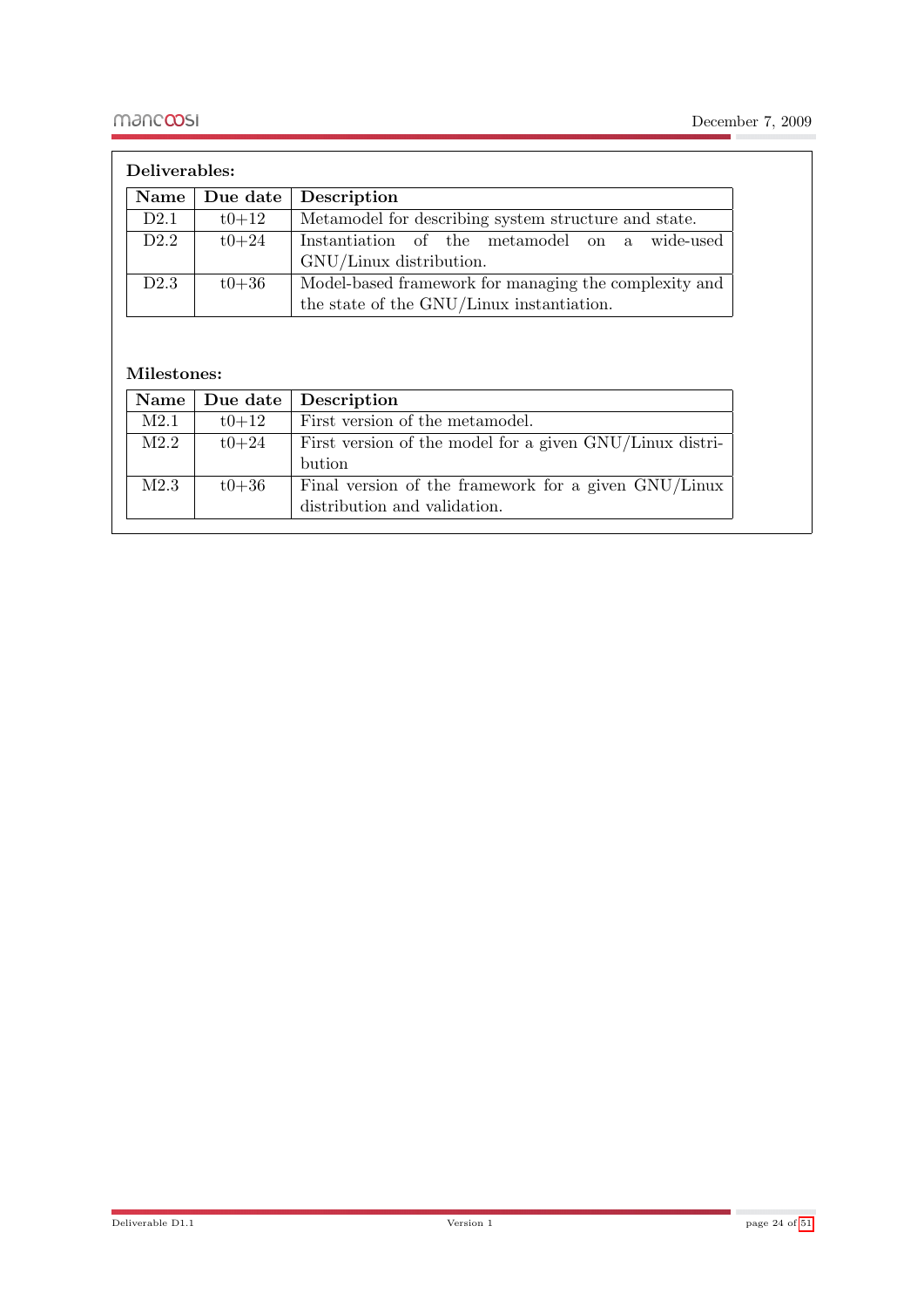| Deliverables:   |           |                                                       |
|-----------------|-----------|-------------------------------------------------------|
| $\mathbf{Name}$ |           | Due date   Description                                |
| D2.1            | $t0 + 12$ | Metamodel for describing system structure and state.  |
| D2.2            | $t0 + 24$ | Instantiation of the metamodel on a wide-used         |
|                 |           | GNU/Linux distribution.                               |
| D2.3            | $t0 + 36$ | Model-based framework for managing the complexity and |
|                 |           | the state of the GNU/Linux instantiation.             |

#### Milestones:

|      |           | Name   Due date   Description                            |
|------|-----------|----------------------------------------------------------|
| M2.1 | $t0 + 12$ | First version of the metamodel.                          |
| M2.2 | $t0 + 24$ | First version of the model for a given GNU/Linux distri- |
|      |           | bution                                                   |
| M2.3 | $t0 + 36$ | Final version of the framework for a given GNU/Linux     |
|      |           | distribution and validation.                             |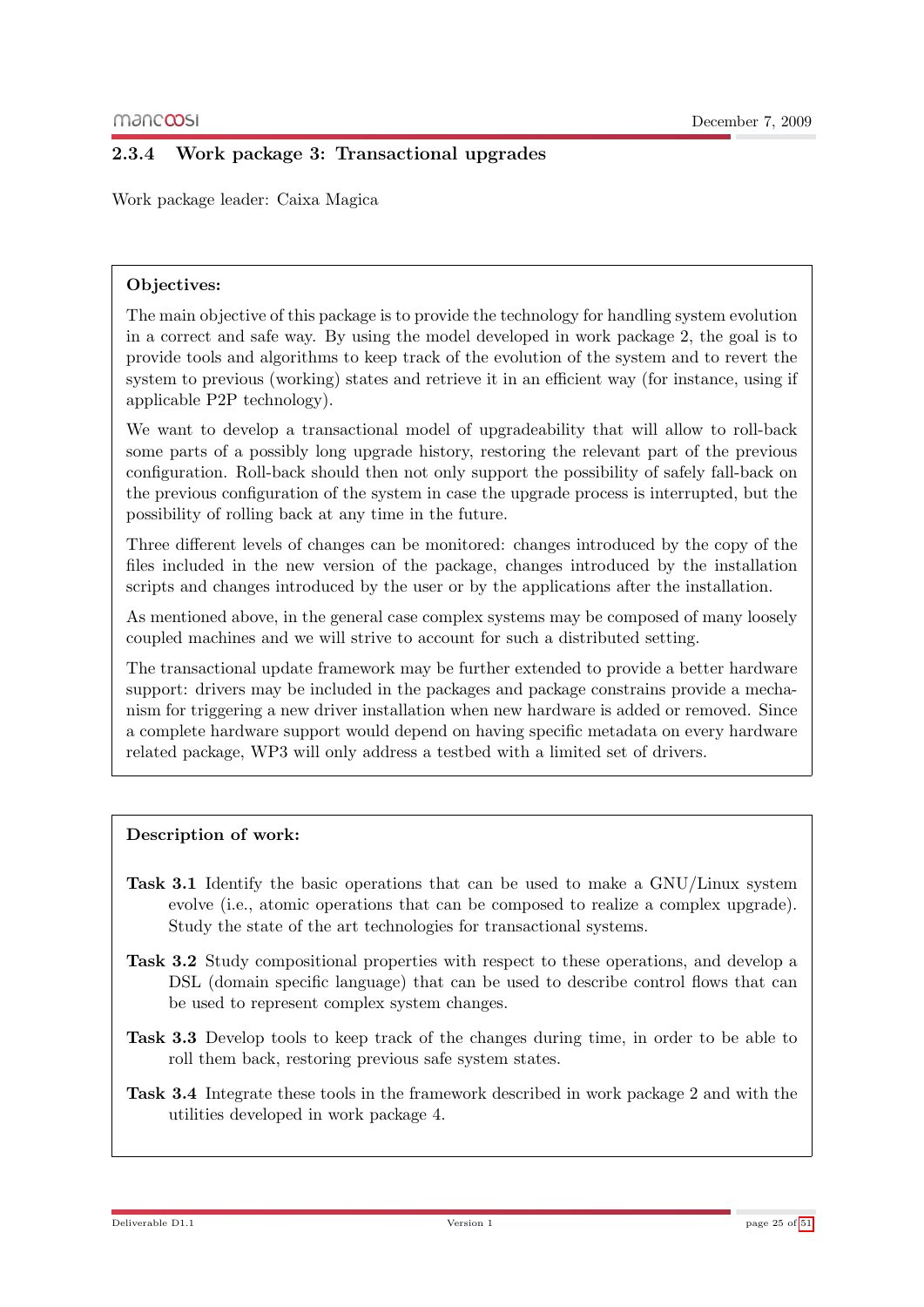## <span id="page-24-0"></span>2.3.4 Work package 3: Transactional upgrades

Work package leader: Caixa Magica

#### Objectives:

The main objective of this package is to provide the technology for handling system evolution in a correct and safe way. By using the model developed in work package 2, the goal is to provide tools and algorithms to keep track of the evolution of the system and to revert the system to previous (working) states and retrieve it in an efficient way (for instance, using if applicable P2P technology).

We want to develop a transactional model of upgradeability that will allow to roll-back some parts of a possibly long upgrade history, restoring the relevant part of the previous configuration. Roll-back should then not only support the possibility of safely fall-back on the previous configuration of the system in case the upgrade process is interrupted, but the possibility of rolling back at any time in the future.

Three different levels of changes can be monitored: changes introduced by the copy of the files included in the new version of the package, changes introduced by the installation scripts and changes introduced by the user or by the applications after the installation.

As mentioned above, in the general case complex systems may be composed of many loosely coupled machines and we will strive to account for such a distributed setting.

The transactional update framework may be further extended to provide a better hardware support: drivers may be included in the packages and package constrains provide a mechanism for triggering a new driver installation when new hardware is added or removed. Since a complete hardware support would depend on having specific metadata on every hardware related package, WP3 will only address a testbed with a limited set of drivers.

#### Description of work:

- Task 3.1 Identify the basic operations that can be used to make a GNU/Linux system evolve (i.e., atomic operations that can be composed to realize a complex upgrade). Study the state of the art technologies for transactional systems.
- Task 3.2 Study compositional properties with respect to these operations, and develop a DSL (domain specific language) that can be used to describe control flows that can be used to represent complex system changes.
- Task 3.3 Develop tools to keep track of the changes during time, in order to be able to roll them back, restoring previous safe system states.
- Task 3.4 Integrate these tools in the framework described in work package 2 and with the utilities developed in work package 4.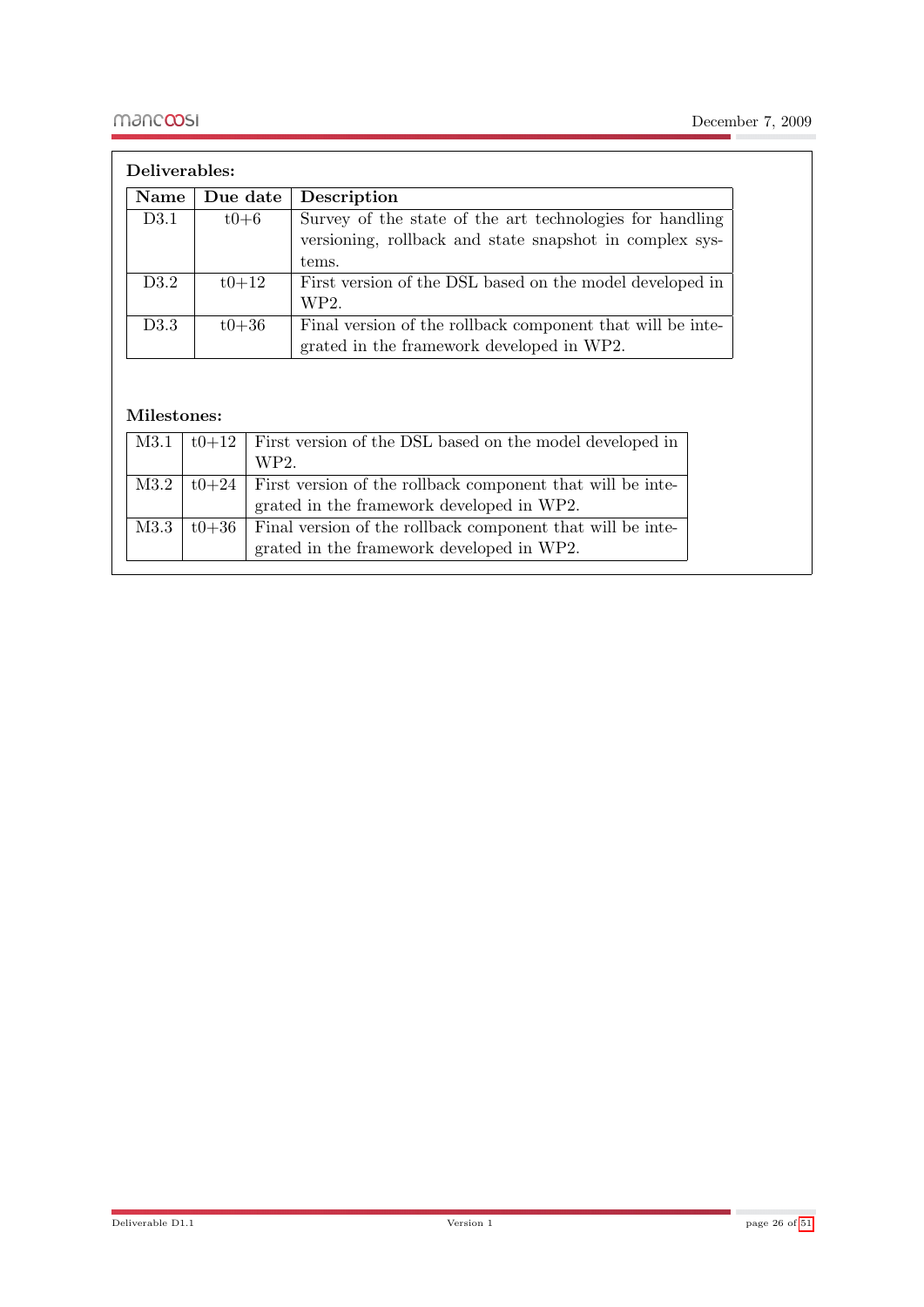| Name | Due date  | Description                                                |
|------|-----------|------------------------------------------------------------|
| D3.1 | $t0+6$    | Survey of the state of the art technologies for handling   |
|      |           | versioning, rollback and state snapshot in complex sys-    |
|      |           | tems.                                                      |
| D3.2 | $t0 + 12$ | First version of the DSL based on the model developed in   |
|      |           | WP2.                                                       |
| D3.3 | $t0 + 36$ | Final version of the rollback component that will be inte- |
|      |           | grated in the framework developed in WP2.                  |

#### Milestones:

| M3.1 | $t0+12$ First version of the DSL based on the model developed in          |
|------|---------------------------------------------------------------------------|
|      | WP2.                                                                      |
| M3.2 | $\mid$ t0+24   First version of the rollback component that will be inte- |
|      | grated in the framework developed in WP2.                                 |
| M3.3 | $t0+36$   Final version of the rollback component that will be inte-      |
|      | grated in the framework developed in WP2.                                 |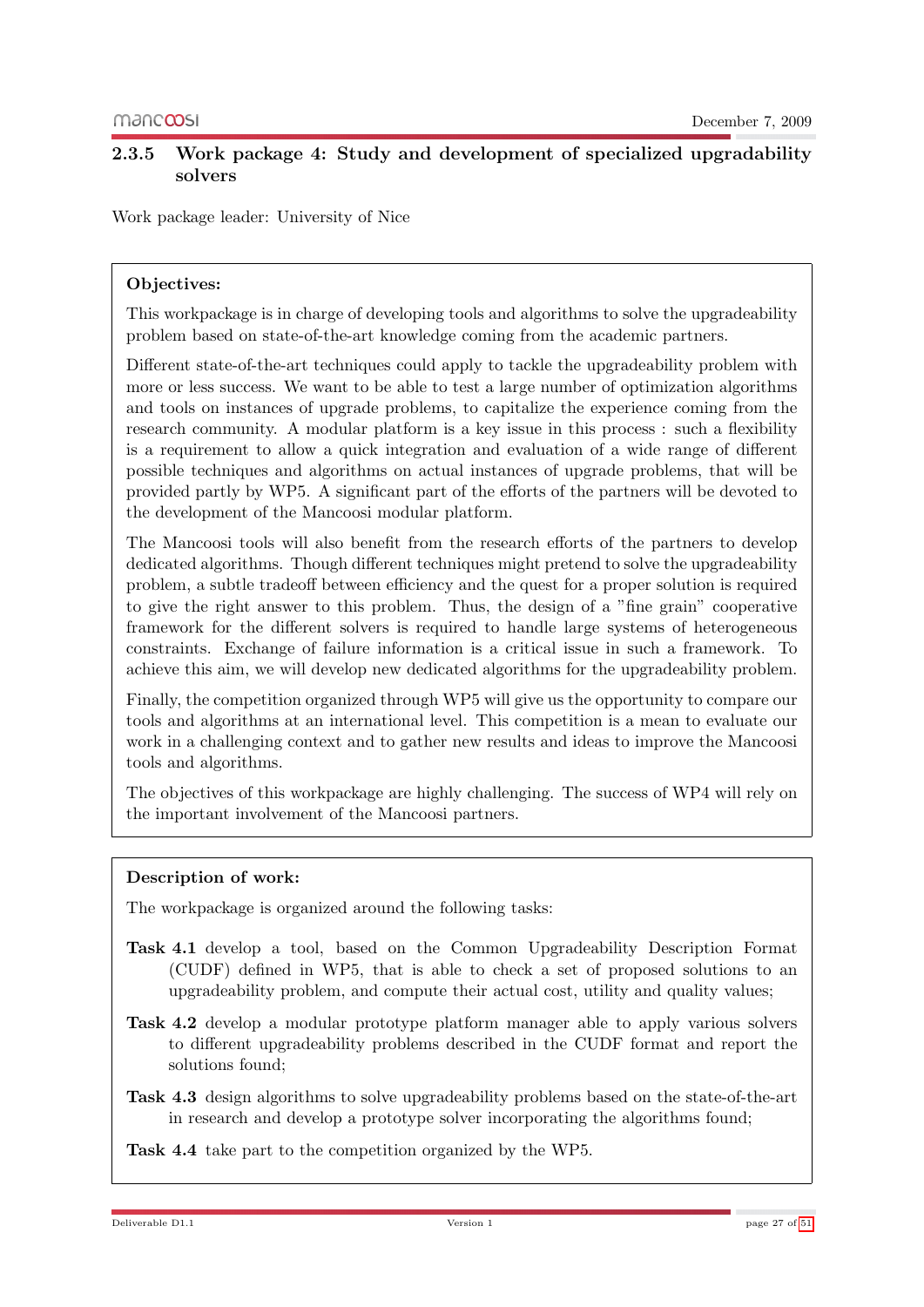### <span id="page-26-0"></span>2.3.5 Work package 4: Study and development of specialized upgradability solvers

Work package leader: University of Nice

#### Objectives:

This workpackage is in charge of developing tools and algorithms to solve the upgradeability problem based on state-of-the-art knowledge coming from the academic partners.

Different state-of-the-art techniques could apply to tackle the upgradeability problem with more or less success. We want to be able to test a large number of optimization algorithms and tools on instances of upgrade problems, to capitalize the experience coming from the research community. A modular platform is a key issue in this process : such a flexibility is a requirement to allow a quick integration and evaluation of a wide range of different possible techniques and algorithms on actual instances of upgrade problems, that will be provided partly by WP5. A significant part of the efforts of the partners will be devoted to the development of the Mancoosi modular platform.

The Mancoosi tools will also benefit from the research efforts of the partners to develop dedicated algorithms. Though different techniques might pretend to solve the upgradeability problem, a subtle tradeoff between efficiency and the quest for a proper solution is required to give the right answer to this problem. Thus, the design of a "fine grain" cooperative framework for the different solvers is required to handle large systems of heterogeneous constraints. Exchange of failure information is a critical issue in such a framework. To achieve this aim, we will develop new dedicated algorithms for the upgradeability problem.

Finally, the competition organized through WP5 will give us the opportunity to compare our tools and algorithms at an international level. This competition is a mean to evaluate our work in a challenging context and to gather new results and ideas to improve the Mancoosi tools and algorithms.

The objectives of this workpackage are highly challenging. The success of WP4 will rely on the important involvement of the Mancoosi partners.

#### Description of work:

The workpackage is organized around the following tasks:

- Task 4.1 develop a tool, based on the Common Upgradeability Description Format (CUDF) defined in WP5, that is able to check a set of proposed solutions to an upgradeability problem, and compute their actual cost, utility and quality values;
- Task 4.2 develop a modular prototype platform manager able to apply various solvers to different upgradeability problems described in the CUDF format and report the solutions found;
- Task 4.3 design algorithms to solve upgradeability problems based on the state-of-the-art in research and develop a prototype solver incorporating the algorithms found;

Task 4.4 take part to the competition organized by the WP5.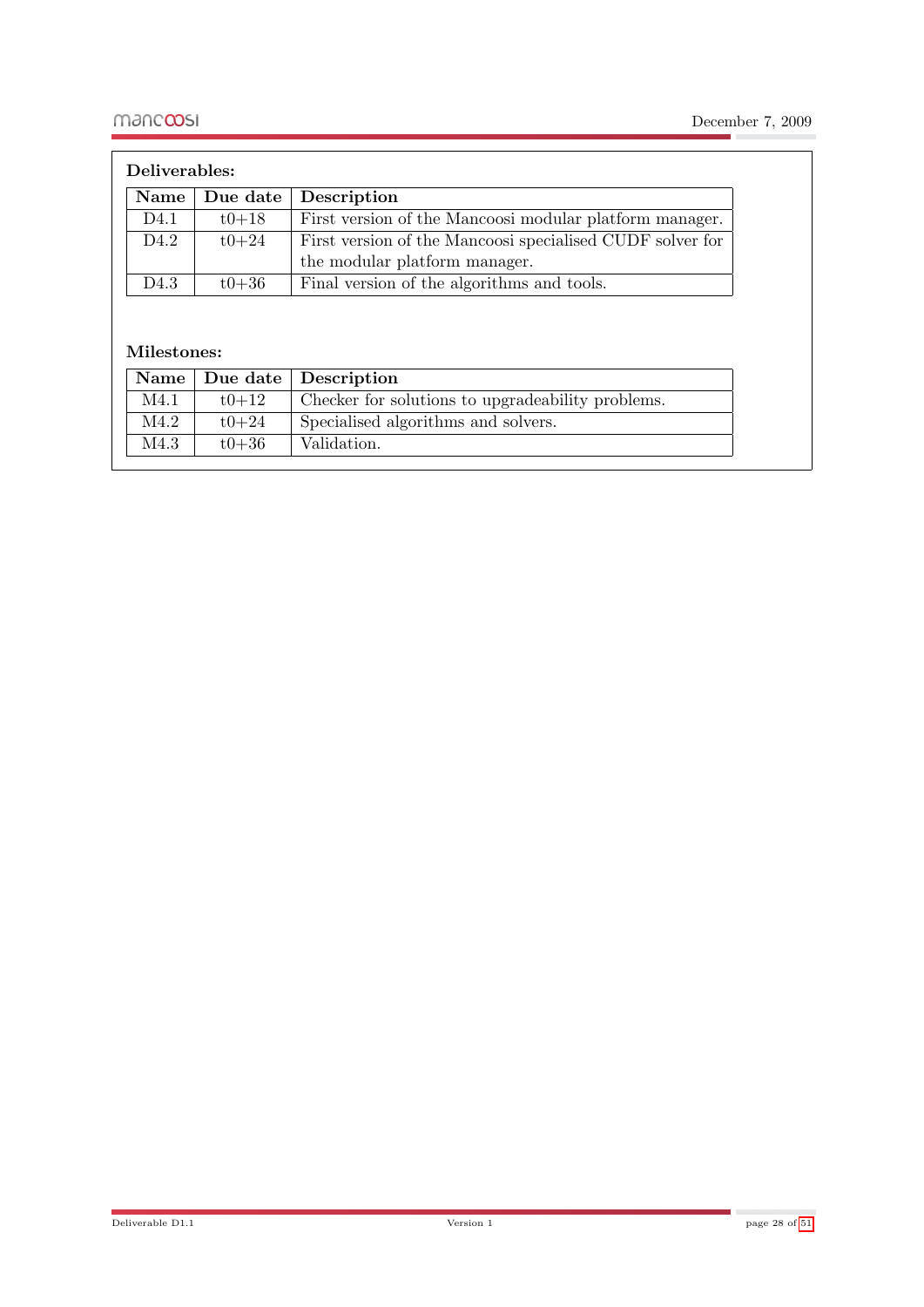| Deliverables: |           |                                                           |
|---------------|-----------|-----------------------------------------------------------|
| Name $ $      | Due date  | Description                                               |
| D4.1          | $t0 + 18$ | First version of the Mancoosi modular platform manager.   |
| D4.2          | $t0 + 24$ | First version of the Mancoosi specialised CUDF solver for |
|               |           | the modular platform manager.                             |
| D4.3          | $t0 + 36$ | Final version of the algorithms and tools.                |

## Milestones:

|      |           | Name   Due date   Description                     |
|------|-----------|---------------------------------------------------|
| M4.1 | $t$ 0+12  | Checker for solutions to upgradeability problems. |
| M4.2 | $t0+24$   | Specialised algorithms and solvers.               |
| M4.3 | $t0 + 36$ | Validation.                                       |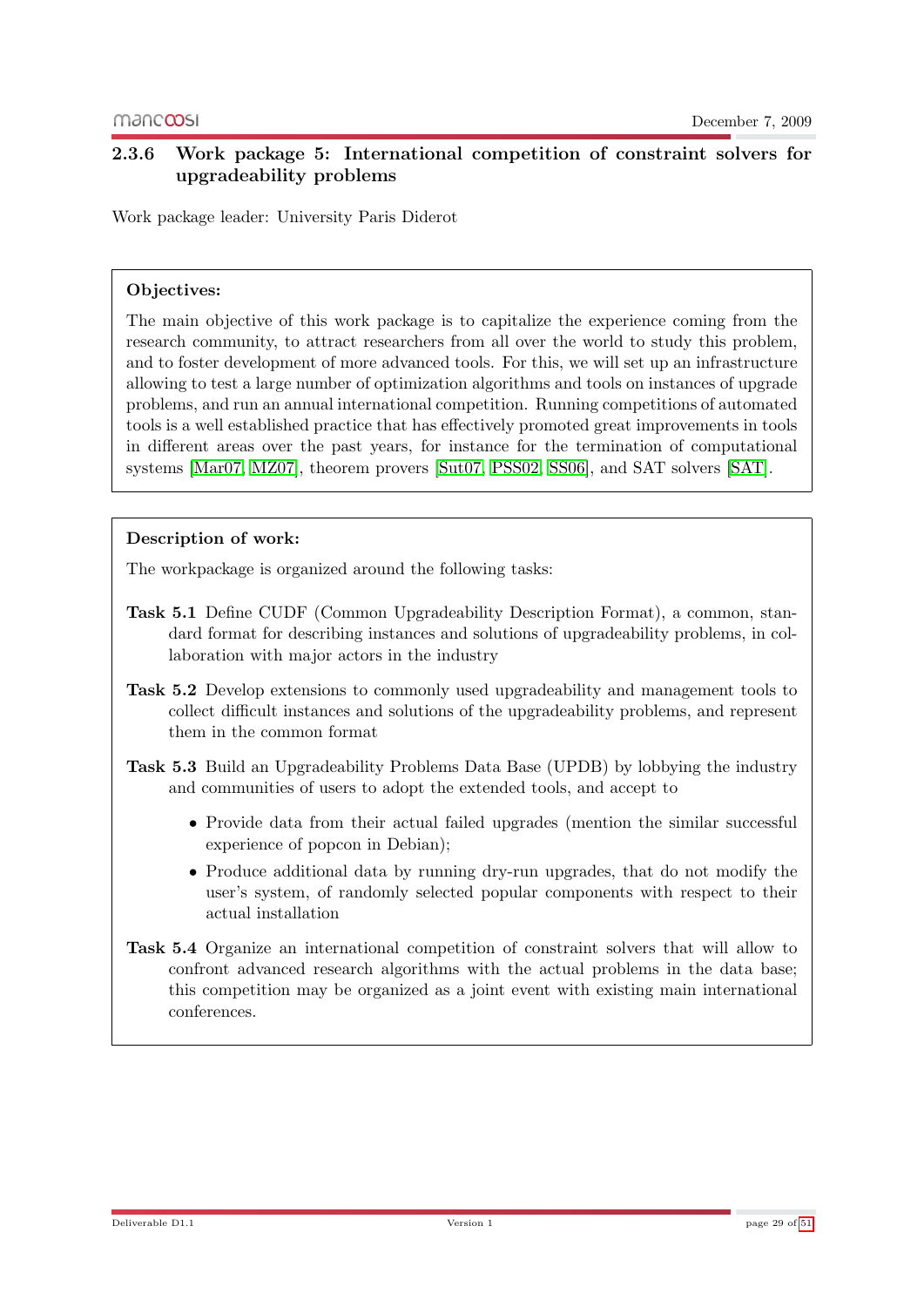## <span id="page-28-0"></span>2.3.6 Work package 5: International competition of constraint solvers for upgradeability problems

Work package leader: University Paris Diderot

#### Objectives:

The main objective of this work package is to capitalize the experience coming from the research community, to attract researchers from all over the world to study this problem, and to foster development of more advanced tools. For this, we will set up an infrastructure allowing to test a large number of optimization algorithms and tools on instances of upgrade problems, and run an annual international competition. Running competitions of automated tools is a well established practice that has effectively promoted great improvements in tools in different areas over the past years, for instance for the termination of computational systems [\[Mar07,](#page-50-7) [MZ07\]](#page-50-4), theorem provers [\[Sut07,](#page-50-5) [PSS02,](#page-50-8) [SS06\]](#page-50-9), and SAT solvers [\[SAT\]](#page-50-6).

#### Description of work:

The workpackage is organized around the following tasks:

- Task 5.1 Define CUDF (Common Upgradeability Description Format), a common, standard format for describing instances and solutions of upgradeability problems, in collaboration with major actors in the industry
- Task 5.2 Develop extensions to commonly used upgradeability and management tools to collect difficult instances and solutions of the upgradeability problems, and represent them in the common format
- Task 5.3 Build an Upgradeability Problems Data Base (UPDB) by lobbying the industry and communities of users to adopt the extended tools, and accept to
	- Provide data from their actual failed upgrades (mention the similar successful experience of popcon in Debian);
	- Produce additional data by running dry-run upgrades, that do not modify the user's system, of randomly selected popular components with respect to their actual installation
- Task 5.4 Organize an international competition of constraint solvers that will allow to confront advanced research algorithms with the actual problems in the data base; this competition may be organized as a joint event with existing main international conferences.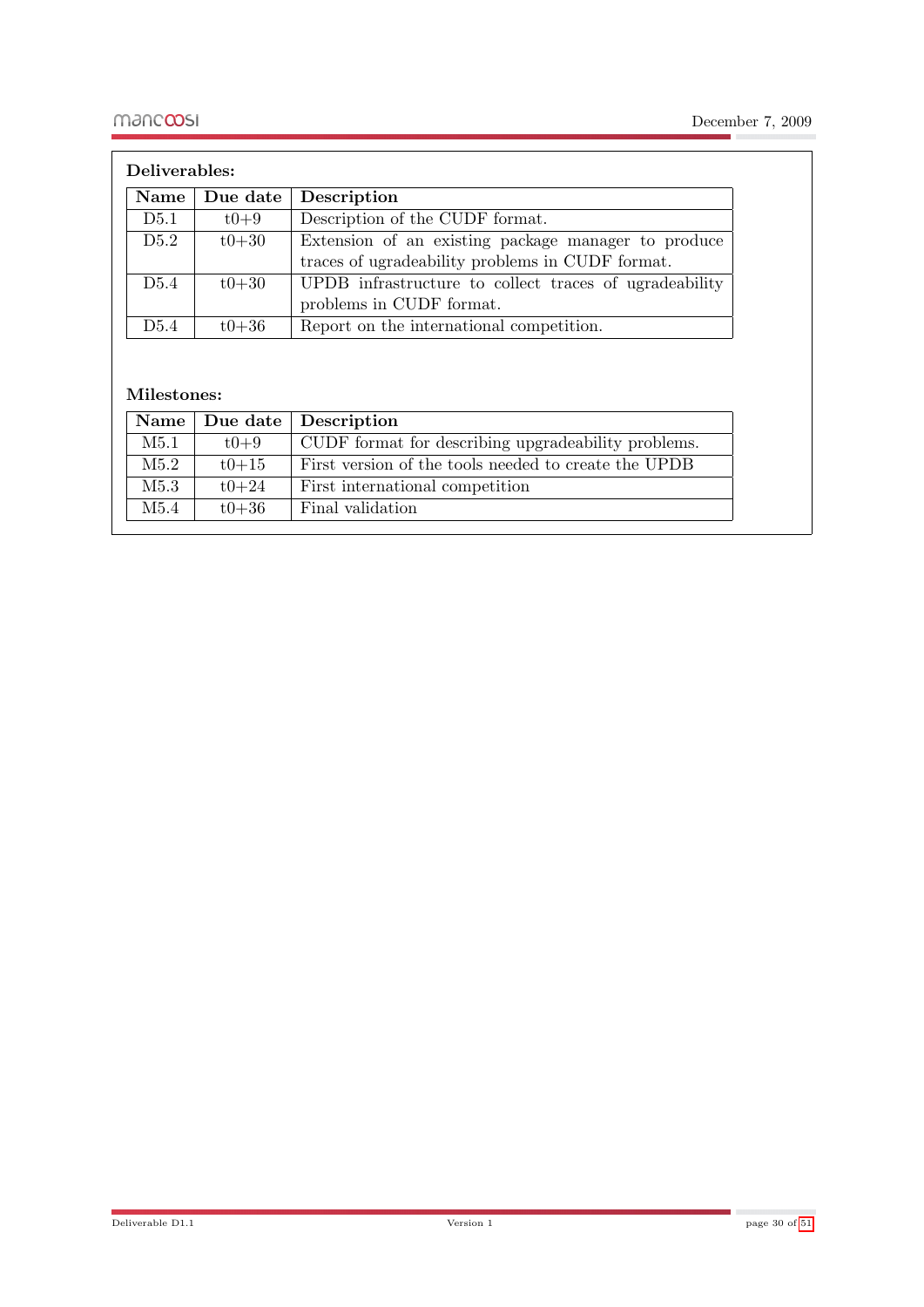| Deliverables:    |           |                                                        |
|------------------|-----------|--------------------------------------------------------|
| Name             | Due date  | Description                                            |
| D5.1             | $t0+9$    | Description of the CUDF format.                        |
| D5.2             | $t0 + 30$ | Extension of an existing package manager to produce    |
|                  |           | traces of ugradeability problems in CUDF format.       |
| D <sub>5.4</sub> | $t0 + 30$ | UPDB infrastructure to collect traces of ugradeability |
|                  |           | problems in CUDF format.                               |
| D <sub>5.4</sub> | $t0 + 36$ | Report on the international competition.               |

#### Milestones:

|      |           | Name   Due date   Description                        |
|------|-----------|------------------------------------------------------|
| M5.1 | $t0 + 9$  | CUDF format for describing upgradeability problems.  |
| M5.2 | $t0 + 15$ | First version of the tools needed to create the UPDB |
| M5.3 | $t0+24$   | First international competition                      |
| M5.4 | $t0 + 36$ | Final validation                                     |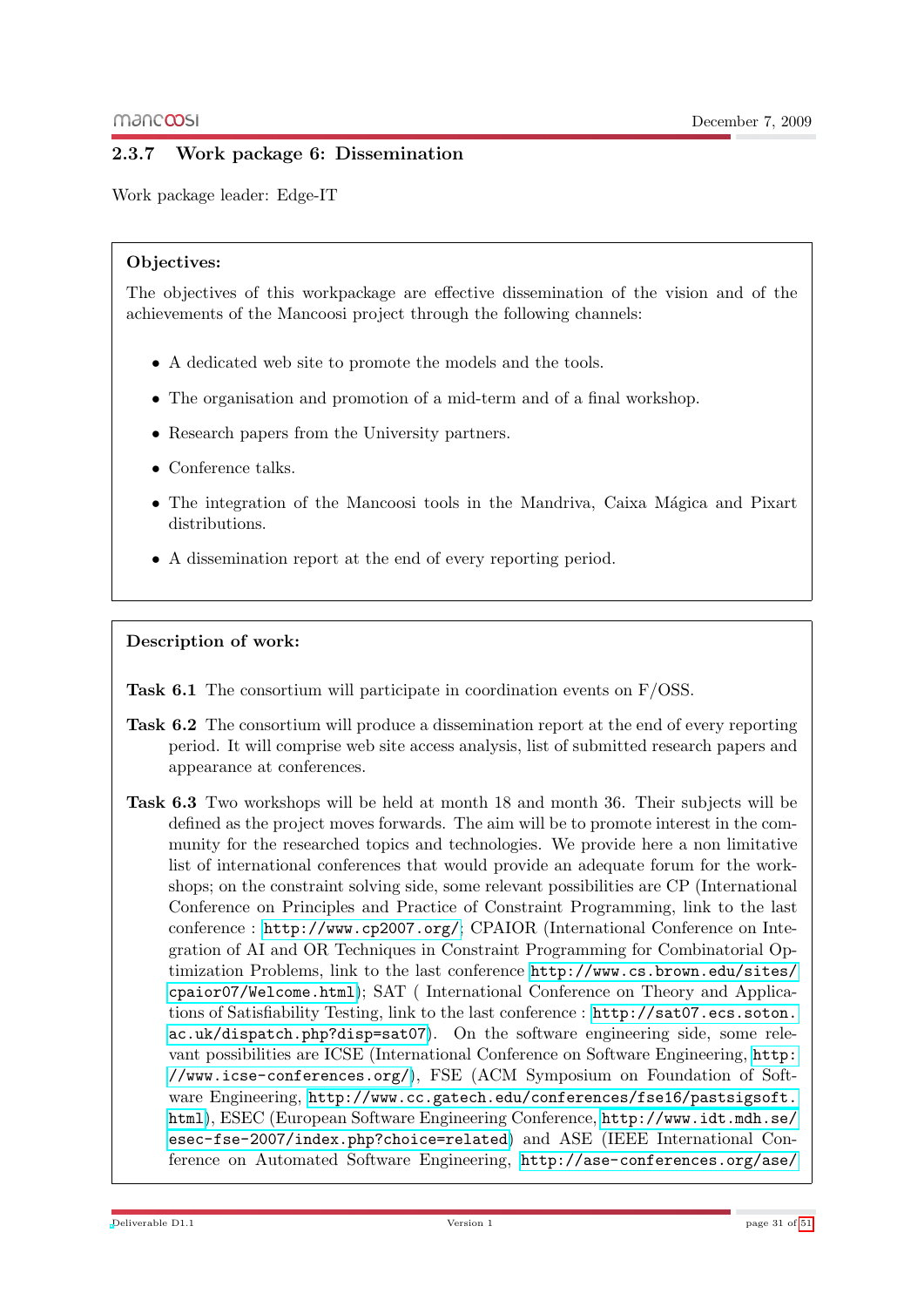## <span id="page-30-0"></span>2.3.7 Work package 6: Dissemination

Work package leader: Edge-IT

#### Objectives:

The objectives of this workpackage are effective dissemination of the vision and of the achievements of the Mancoosi project through the following channels:

- A dedicated web site to promote the models and the tools.
- The organisation and promotion of a mid-term and of a final workshop.
- Research papers from the University partners.
- Conference talks.
- The integration of the Mancoosi tools in the Mandriva, Caixa Mágica and Pixart distributions.
- A dissemination report at the end of every reporting period.

#### Description of work:

Task 6.1 The consortium will participate in coordination events on F/OSS.

- Task 6.2 The consortium will produce a dissemination report at the end of every reporting period. It will comprise web site access analysis, list of submitted research papers and appearance at conferences.
- Task 6.3 Two workshops will be held at month 18 and month 36. Their subjects will be defined as the project moves forwards. The aim will be to promote interest in the community for the researched topics and technologies. We provide here a non limitative list of international conferences that would provide an adequate forum for the workshops; on the constraint solving side, some relevant possibilities are CP (International Conference on Principles and Practice of Constraint Programming, link to the last conference : <http://www.cp2007.org/>; CPAIOR (International Conference on Integration of AI and OR Techniques in Constraint Programming for Combinatorial Optimization Problems, link to the last conference [http://www.cs.brown.edu/sites/](http://www.cs.brown.edu/sites/cpaior07/Welcome.html) [cpaior07/Welcome.html](http://www.cs.brown.edu/sites/cpaior07/Welcome.html)); SAT ( International Conference on Theory and Applications of Satisfiability Testing, link to the last conference : [http://sat07.ecs.soton.](http://sat07.ecs.soton.ac.uk/dispatch.php?disp=sat07) [ac.uk/dispatch.php?disp=sat07](http://sat07.ecs.soton.ac.uk/dispatch.php?disp=sat07)). On the software engineering side, some relevant possibilities are ICSE (International Conference on Software Engineering, [http:](http://www.icse-conferences.org/) [//www.icse-conferences.org/](http://www.icse-conferences.org/)), FSE (ACM Symposium on Foundation of Software Engineering, [http://www.cc.gatech.edu/conferences/fse16/pastsigsoft.](http://www.cc.gatech.edu/conferences/fse16/pastsigsoft.html) [html](http://www.cc.gatech.edu/conferences/fse16/pastsigsoft.html)), ESEC (European Software Engineering Conference, [http://www.idt.mdh.se/](http://www.idt.mdh.se/esec-fse-2007/index.php?choice=related) [esec-fse-2007/index.php?choice=related](http://www.idt.mdh.se/esec-fse-2007/index.php?choice=related)) and ASE (IEEE International Conference on Automated Software Engineering, [http://ase-conferences.org/ase/](http://ase-conferences.org/ase/past/)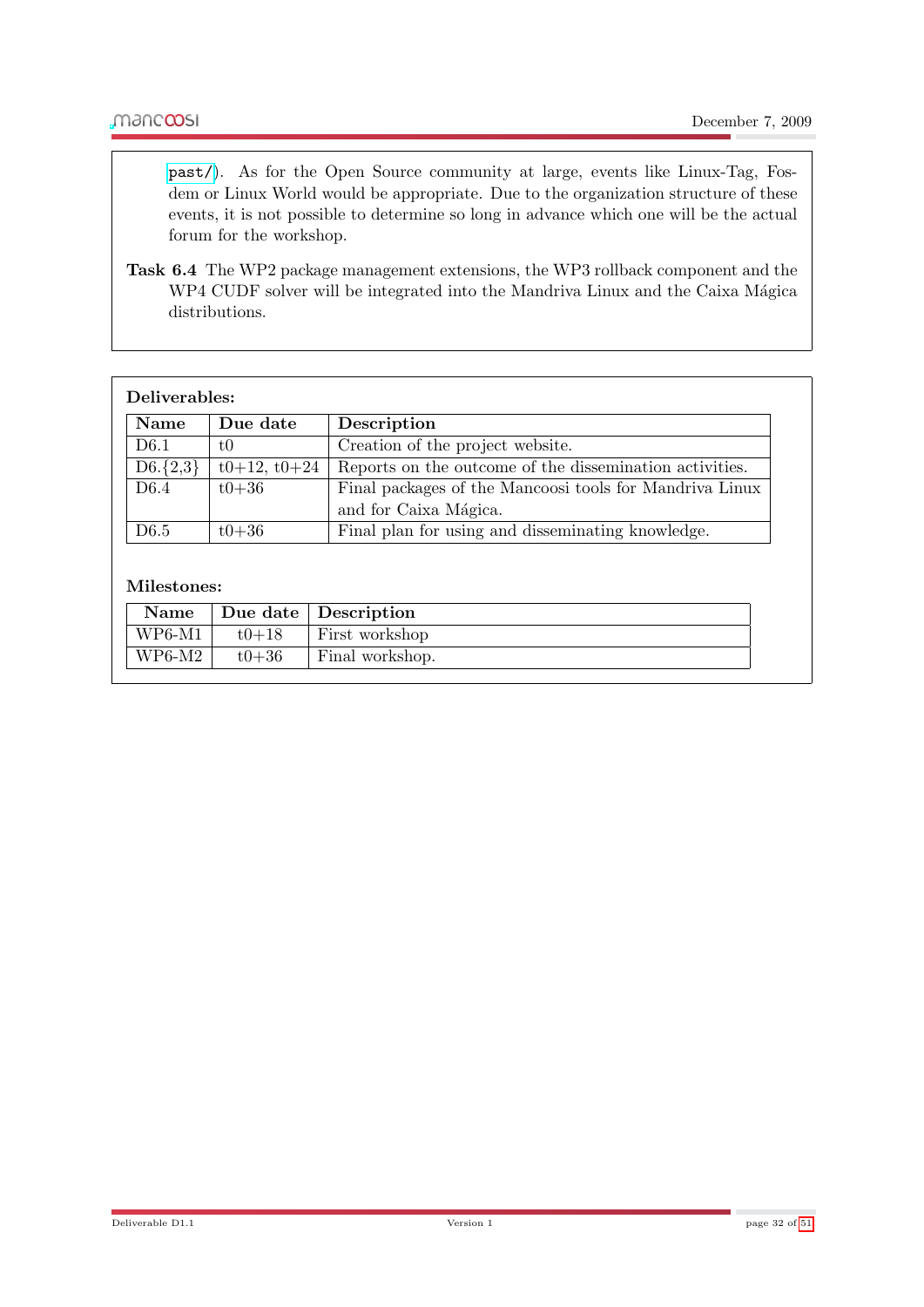[past/](http://ase-conferences.org/ase/past/)). As for the Open Source community at large, events like Linux-Tag, Fosdem or Linux World would be appropriate. Due to the organization structure of these events, it is not possible to determine so long in advance which one will be the actual forum for the workshop.

Task 6.4 The WP2 package management extensions, the WP3 rollback component and the WP4 CUDF solver will be integrated into the Mandriva Linux and the Caixa Mágica distributions.

| Deliverables:    |                |                                                         |
|------------------|----------------|---------------------------------------------------------|
| Name             | Due date       | Description                                             |
| D <sub>6.1</sub> | t0             | Creation of the project website.                        |
| $D6.\{2,3\}$     | $t0+12, t0+24$ | Reports on the outcome of the dissemination activities. |
| D <sub>6.4</sub> | $t0 + 36$      | Final packages of the Mancoosi tools for Mandriva Linux |
|                  |                | and for Caixa Mágica.                                   |
| D <sub>6.5</sub> | $t0 + 36$      | Final plan for using and disseminating knowledge.       |

#### Milestones:

| Name     |           | Due date Description |
|----------|-----------|----------------------|
| $WP6-M1$ | $t0+18$   | First workshop       |
| $WP6-M2$ | $t0 + 36$ | Final workshop.      |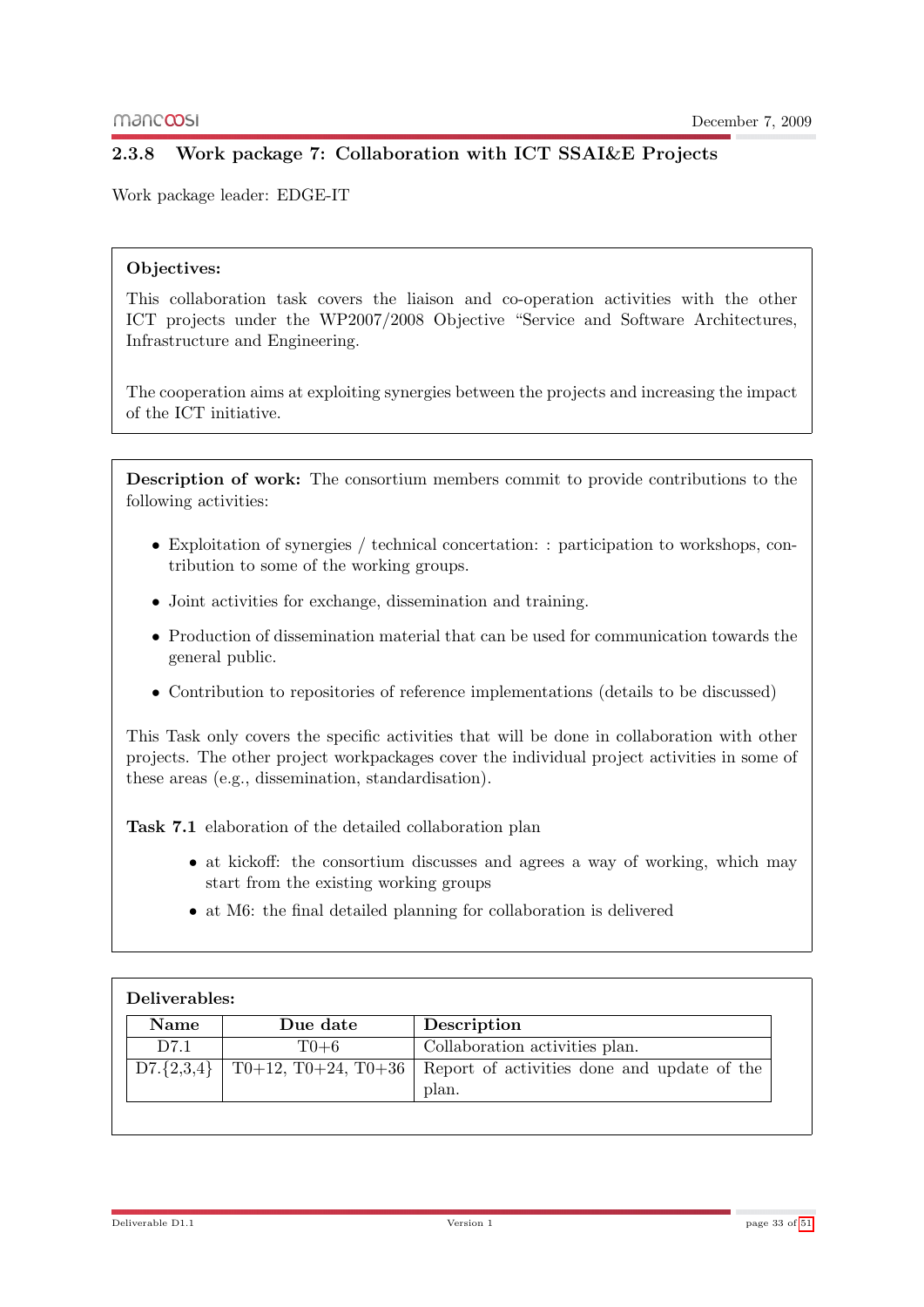## <span id="page-32-0"></span>2.3.8 Work package 7: Collaboration with ICT SSAI&E Projects

Work package leader: EDGE-IT

#### Objectives:

This collaboration task covers the liaison and co-operation activities with the other ICT projects under the WP2007/2008 Objective "Service and Software Architectures, Infrastructure and Engineering.

The cooperation aims at exploiting synergies between the projects and increasing the impact of the ICT initiative.

Description of work: The consortium members commit to provide contributions to the following activities:

- Exploitation of synergies / technical concertation: : participation to workshops, contribution to some of the working groups.
- Joint activities for exchange, dissemination and training.
- Production of dissemination material that can be used for communication towards the general public.
- Contribution to repositories of reference implementations (details to be discussed)

This Task only covers the specific activities that will be done in collaboration with other projects. The other project workpackages cover the individual project activities in some of these areas (e.g., dissemination, standardisation).

Task 7.1 elaboration of the detailed collaboration plan

- at kickoff: the consortium discusses and agrees a way of working, which may start from the existing working groups
- at M6: the final detailed planning for collaboration is delivered

| Deliverables:  |                     |                                             |  |
|----------------|---------------------|---------------------------------------------|--|
| <b>Name</b>    | Due date            | Description                                 |  |
| D7.1           | $T0+6$              | Collaboration activities plan.              |  |
| $D7.\{2,3,4\}$ | T0+12, T0+24, T0+36 | Report of activities done and update of the |  |
|                |                     | plan.                                       |  |

Deliverable D1.1 Version 1 page 33 of [51](#page-50-0)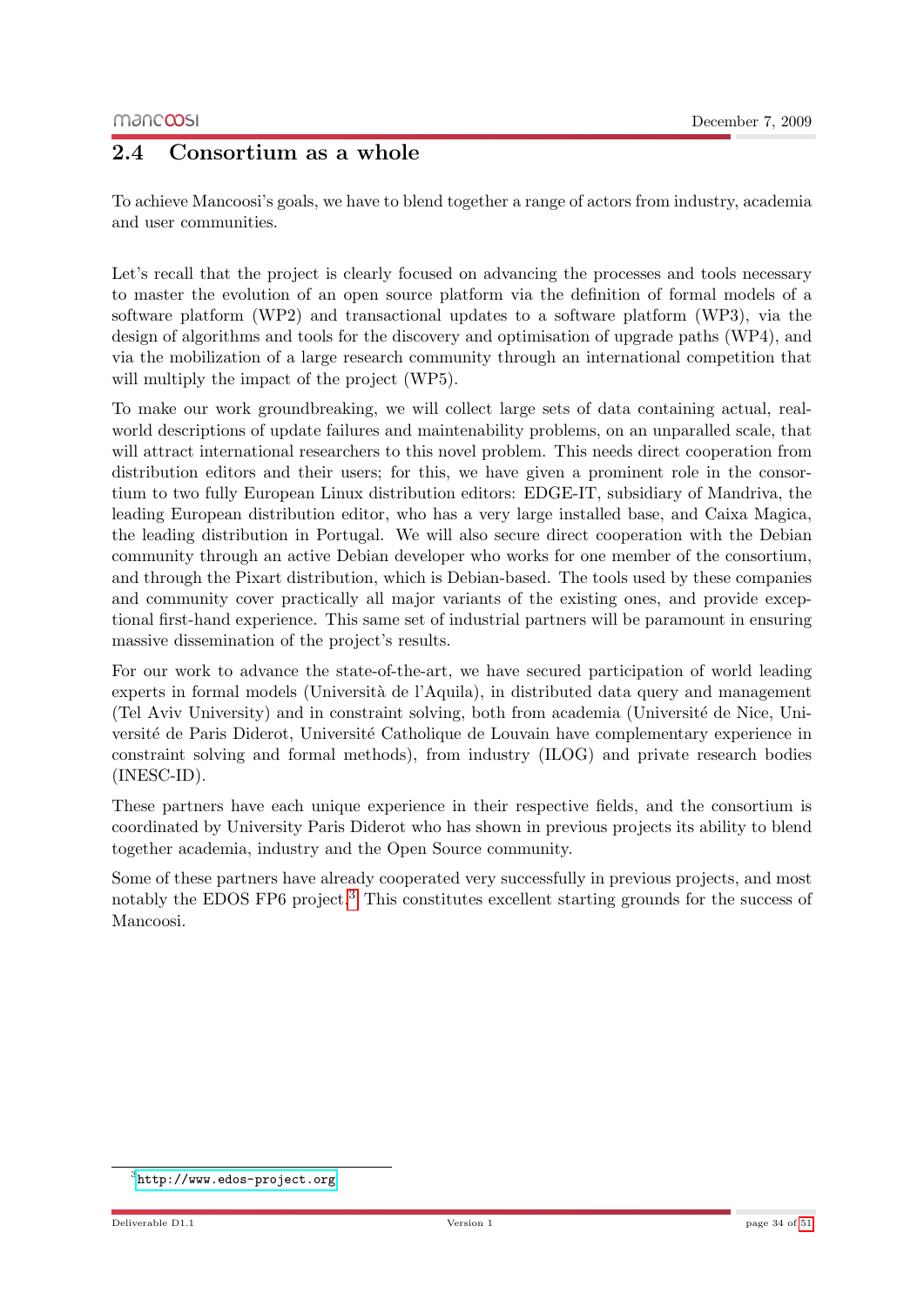## <span id="page-33-0"></span>2.4 Consortium as a whole

To achieve Mancoosi's goals, we have to blend together a range of actors from industry, academia and user communities.

Let's recall that the project is clearly focused on advancing the processes and tools necessary to master the evolution of an open source platform via the definition of formal models of a software platform (WP2) and transactional updates to a software platform (WP3), via the design of algorithms and tools for the discovery and optimisation of upgrade paths (WP4), and via the mobilization of a large research community through an international competition that will multiply the impact of the project (WP5).

To make our work groundbreaking, we will collect large sets of data containing actual, realworld descriptions of update failures and maintenability problems, on an unparalled scale, that will attract international researchers to this novel problem. This needs direct cooperation from distribution editors and their users; for this, we have given a prominent role in the consortium to two fully European Linux distribution editors: EDGE-IT, subsidiary of Mandriva, the leading European distribution editor, who has a very large installed base, and Caixa Magica, the leading distribution in Portugal. We will also secure direct cooperation with the Debian community through an active Debian developer who works for one member of the consortium, and through the Pixart distribution, which is Debian-based. The tools used by these companies and community cover practically all major variants of the existing ones, and provide exceptional first-hand experience. This same set of industrial partners will be paramount in ensuring massive dissemination of the project's results.

For our work to advance the state-of-the-art, we have secured participation of world leading experts in formal models (Università de l'Aquila), in distributed data query and management (Tel Aviv University) and in constraint solving, both from academia (Universit´e de Nice, Université de Paris Diderot, Université Catholique de Louvain have complementary experience in constraint solving and formal methods), from industry (ILOG) and private research bodies (INESC-ID).

These partners have each unique experience in their respective fields, and the consortium is coordinated by University Paris Diderot who has shown in previous projects its ability to blend together academia, industry and the Open Source community.

Some of these partners have already cooperated very successfully in previous projects, and most notably the EDOS FP6 project.<sup>[3](#page-33-1)</sup> This constitutes excellent starting grounds for the success of Mancoosi.

<span id="page-33-1"></span><sup>3</sup> <http://www.edos-project.org>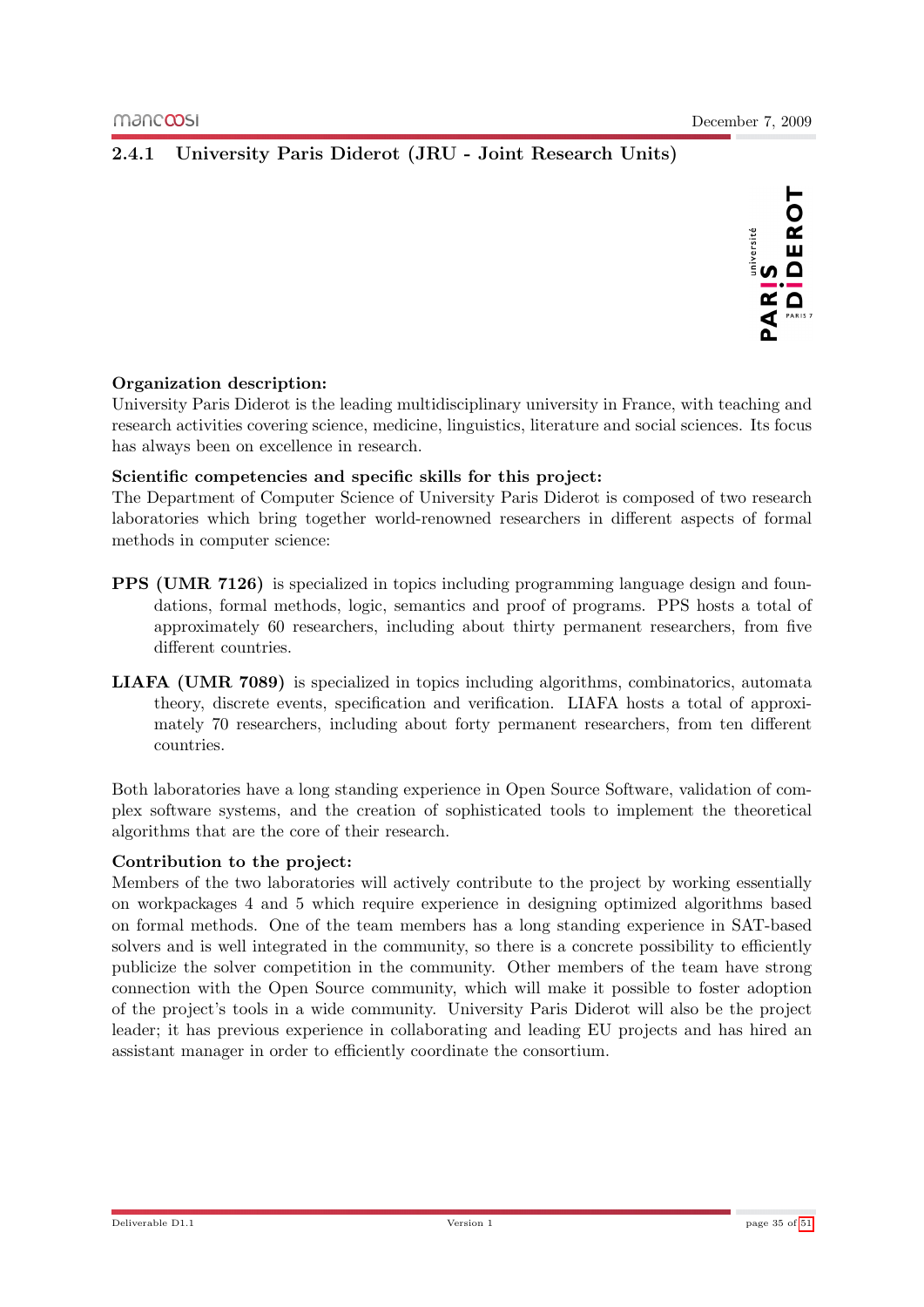DIDEROT

## <span id="page-34-0"></span>2.4.1 University Paris Diderot (JRU - Joint Research Units)

#### Organization description:

University Paris Diderot is the leading multidisciplinary university in France, with teaching and research activities covering science, medicine, linguistics, literature and social sciences. Its focus has always been on excellence in research.

#### Scientific competencies and specific skills for this project:

The Department of Computer Science of University Paris Diderot is composed of two research laboratories which bring together world-renowned researchers in different aspects of formal methods in computer science:

- PPS (UMR 7126) is specialized in topics including programming language design and foundations, formal methods, logic, semantics and proof of programs. PPS hosts a total of approximately 60 researchers, including about thirty permanent researchers, from five different countries.
- LIAFA (UMR 7089) is specialized in topics including algorithms, combinatorics, automata theory, discrete events, specification and verification. LIAFA hosts a total of approximately 70 researchers, including about forty permanent researchers, from ten different countries.

Both laboratories have a long standing experience in Open Source Software, validation of complex software systems, and the creation of sophisticated tools to implement the theoretical algorithms that are the core of their research.

#### Contribution to the project:

Members of the two laboratories will actively contribute to the project by working essentially on workpackages 4 and 5 which require experience in designing optimized algorithms based on formal methods. One of the team members has a long standing experience in SAT-based solvers and is well integrated in the community, so there is a concrete possibility to efficiently publicize the solver competition in the community. Other members of the team have strong connection with the Open Source community, which will make it possible to foster adoption of the project's tools in a wide community. University Paris Diderot will also be the project leader; it has previous experience in collaborating and leading EU projects and has hired an assistant manager in order to efficiently coordinate the consortium.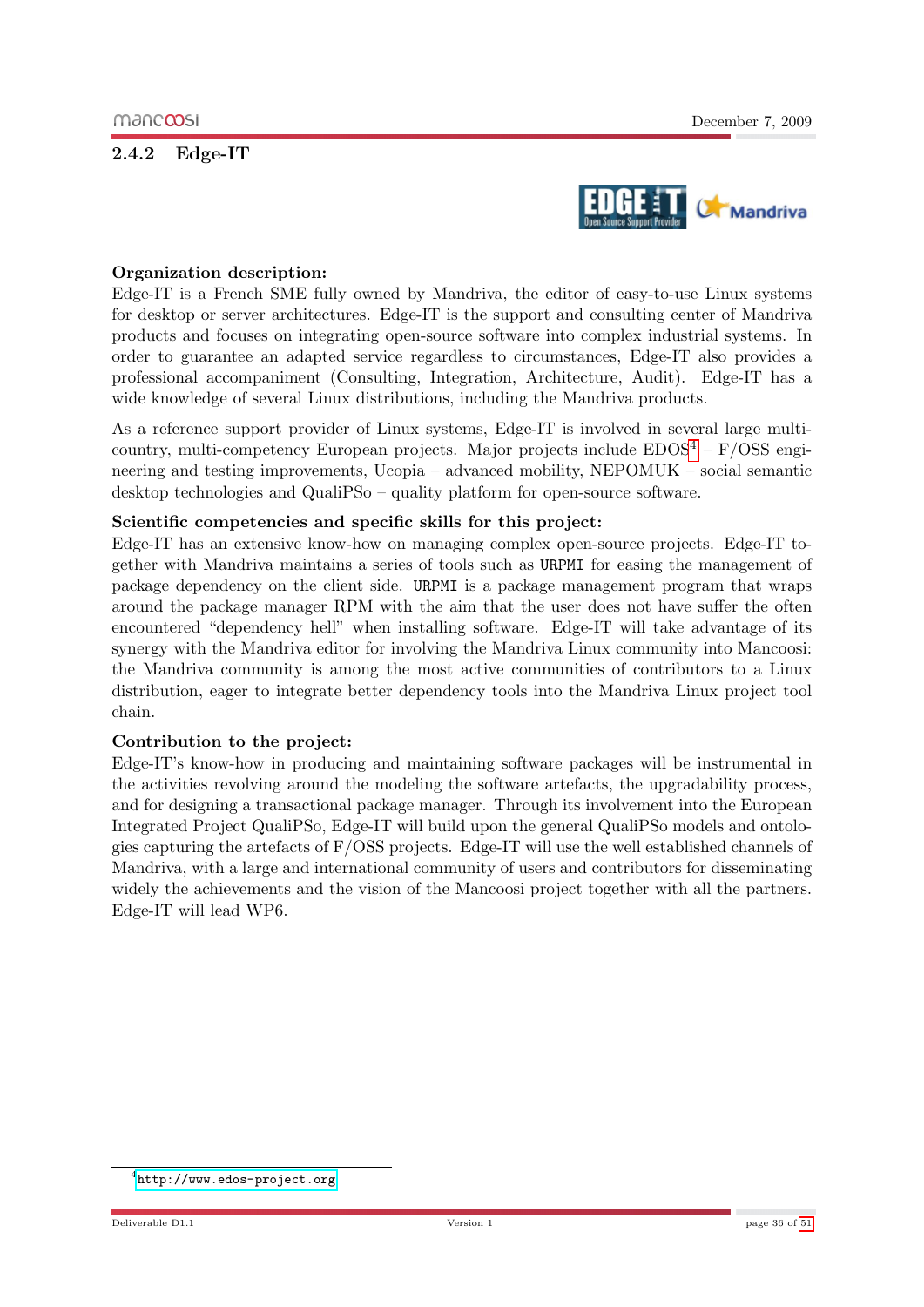#### <span id="page-35-0"></span>2.4.2 Edge-IT



#### Organization description:

Edge-IT is a French SME fully owned by Mandriva, the editor of easy-to-use Linux systems for desktop or server architectures. Edge-IT is the support and consulting center of Mandriva products and focuses on integrating open-source software into complex industrial systems. In order to guarantee an adapted service regardless to circumstances, Edge-IT also provides a professional accompaniment (Consulting, Integration, Architecture, Audit). Edge-IT has a wide knowledge of several Linux distributions, including the Mandriva products.

As a reference support provider of Linux systems, Edge-IT is involved in several large multicountry, multi-competency European projects. Major projects include  $EDOS^4 - F/OSS$  $EDOS^4 - F/OSS$  $EDOS^4 - F/OSS$  engineering and testing improvements, Ucopia – advanced mobility, NEPOMUK – social semantic desktop technologies and QualiPSo – quality platform for open-source software.

#### Scientific competencies and specific skills for this project:

Edge-IT has an extensive know-how on managing complex open-source projects. Edge-IT together with Mandriva maintains a series of tools such as URPMI for easing the management of package dependency on the client side. URPMI is a package management program that wraps around the package manager RPM with the aim that the user does not have suffer the often encountered "dependency hell" when installing software. Edge-IT will take advantage of its synergy with the Mandriva editor for involving the Mandriva Linux community into Mancoosi: the Mandriva community is among the most active communities of contributors to a Linux distribution, eager to integrate better dependency tools into the Mandriva Linux project tool chain.

#### Contribution to the project:

Edge-IT's know-how in producing and maintaining software packages will be instrumental in the activities revolving around the modeling the software artefacts, the upgradability process, and for designing a transactional package manager. Through its involvement into the European Integrated Project QualiPSo, Edge-IT will build upon the general QualiPSo models and ontologies capturing the artefacts of F/OSS projects. Edge-IT will use the well established channels of Mandriva, with a large and international community of users and contributors for disseminating widely the achievements and the vision of the Mancoosi project together with all the partners. Edge-IT will lead WP6.

<span id="page-35-1"></span><sup>4</sup> <http://www.edos-project.org>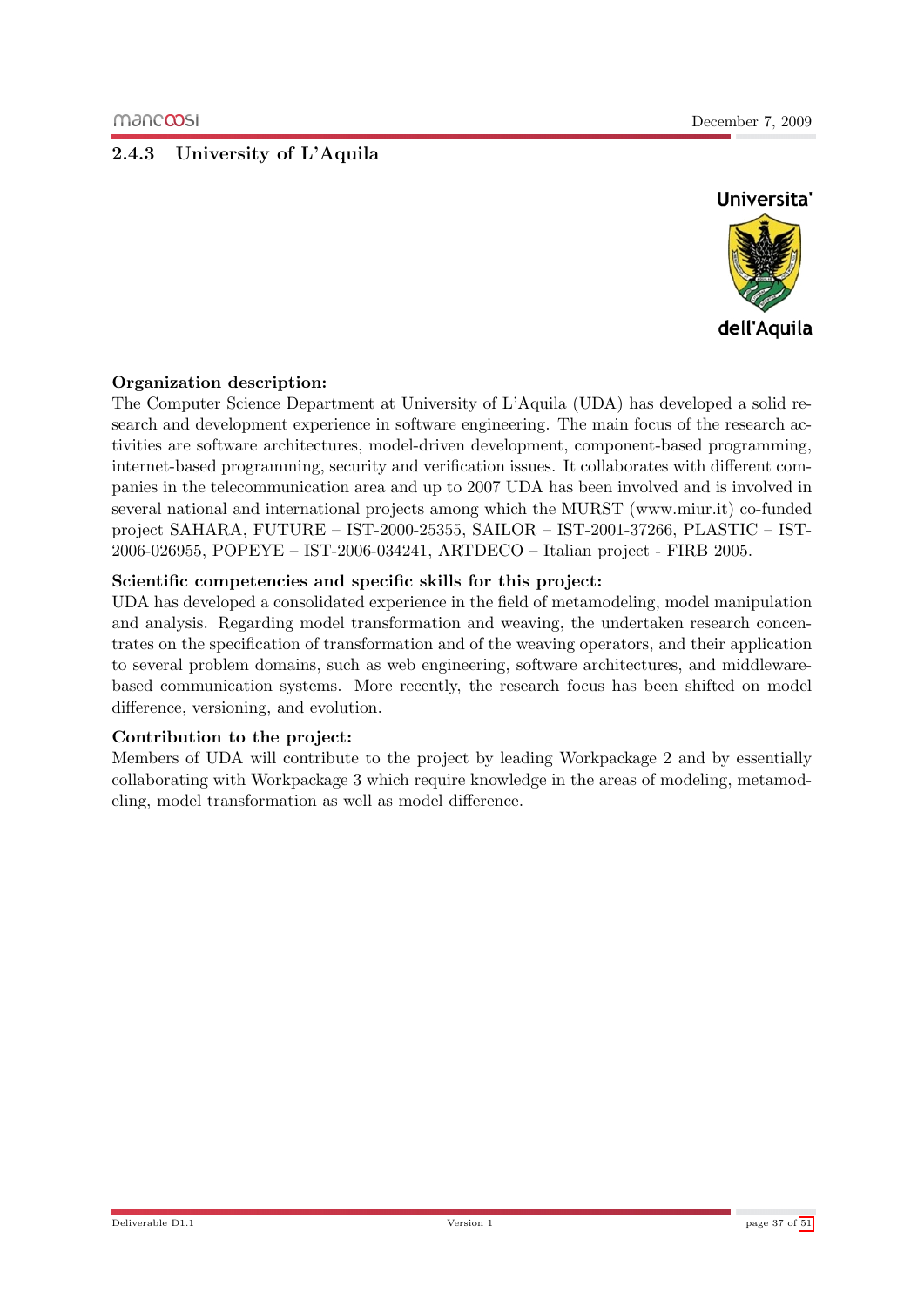## <span id="page-36-0"></span>2.4.3 University of L'Aquila



#### Organization description:

The Computer Science Department at University of L'Aquila (UDA) has developed a solid research and development experience in software engineering. The main focus of the research activities are software architectures, model-driven development, component-based programming, internet-based programming, security and verification issues. It collaborates with different companies in the telecommunication area and up to 2007 UDA has been involved and is involved in several national and international projects among which the MURST (www.miur.it) co-funded project SAHARA, FUTURE – IST-2000-25355, SAILOR – IST-2001-37266, PLASTIC – IST-2006-026955, POPEYE – IST-2006-034241, ARTDECO – Italian project - FIRB 2005.

#### Scientific competencies and specific skills for this project:

UDA has developed a consolidated experience in the field of metamodeling, model manipulation and analysis. Regarding model transformation and weaving, the undertaken research concentrates on the specification of transformation and of the weaving operators, and their application to several problem domains, such as web engineering, software architectures, and middlewarebased communication systems. More recently, the research focus has been shifted on model difference, versioning, and evolution.

#### Contribution to the project:

Members of UDA will contribute to the project by leading Workpackage 2 and by essentially collaborating with Workpackage 3 which require knowledge in the areas of modeling, metamodeling, model transformation as well as model difference.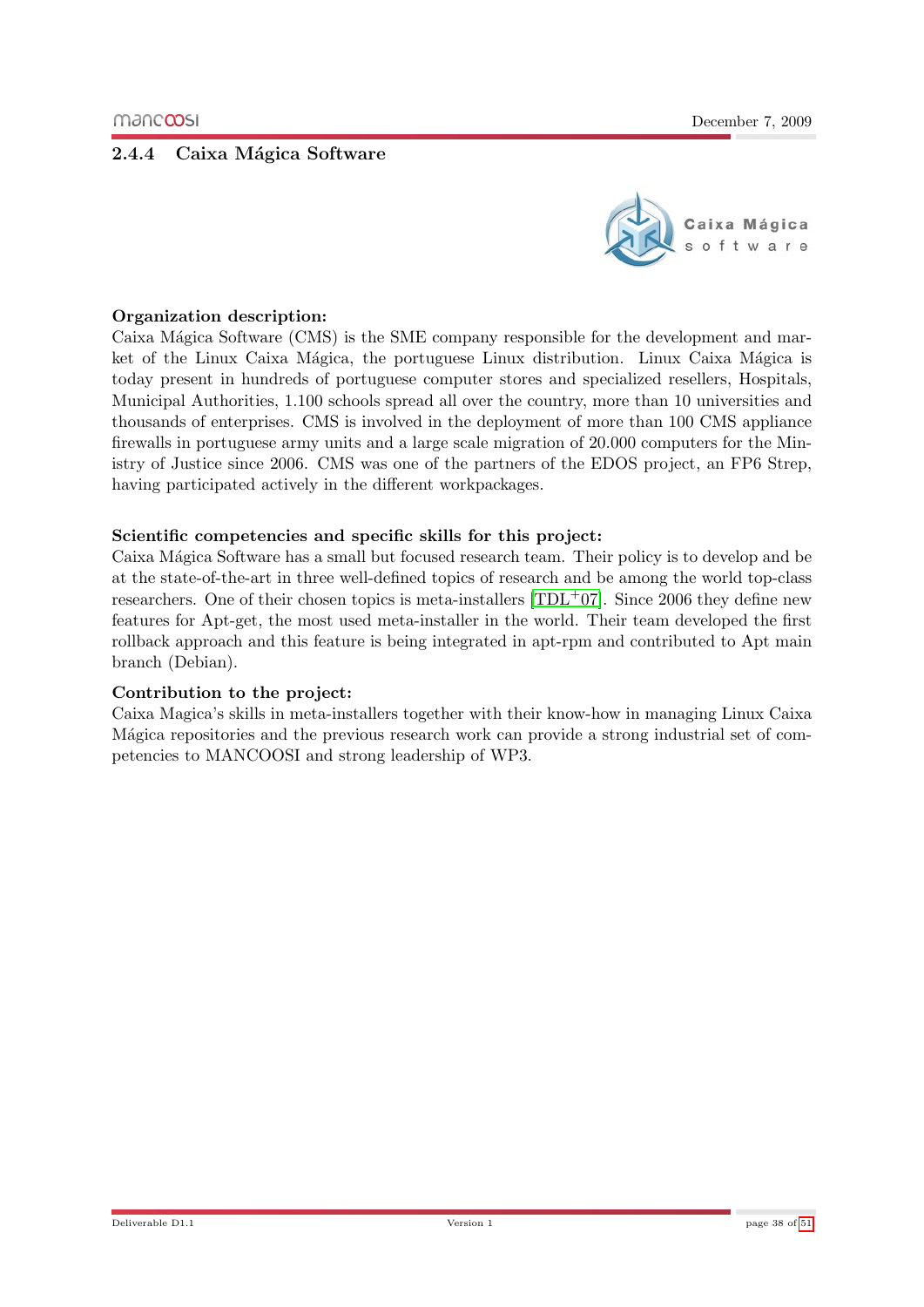#### <span id="page-37-0"></span>2.4.4 Caixa Mágica Software



#### Organization description:

Caixa Mágica Software (CMS) is the SME company responsible for the development and market of the Linux Caixa Mágica, the portuguese Linux distribution. Linux Caixa Mágica is today present in hundreds of portuguese computer stores and specialized resellers, Hospitals, Municipal Authorities, 1.100 schools spread all over the country, more than 10 universities and thousands of enterprises. CMS is involved in the deployment of more than 100 CMS appliance firewalls in portuguese army units and a large scale migration of 20.000 computers for the Ministry of Justice since 2006. CMS was one of the partners of the EDOS project, an FP6 Strep, having participated actively in the different workpackages.

#### Scientific competencies and specific skills for this project:

Caixa Mágica Software has a small but focused research team. Their policy is to develop and be at the state-of-the-art in three well-defined topics of research and be among the world top-class researchers. One of their chosen topics is meta-installers  $[TDL+07]$  $[TDL+07]$ . Since 2006 they define new features for Apt-get, the most used meta-installer in the world. Their team developed the first rollback approach and this feature is being integrated in apt-rpm and contributed to Apt main branch (Debian).

#### Contribution to the project:

Caixa Magica's skills in meta-installers together with their know-how in managing Linux Caixa Mágica repositories and the previous research work can provide a strong industrial set of competencies to MANCOOSI and strong leadership of WP3.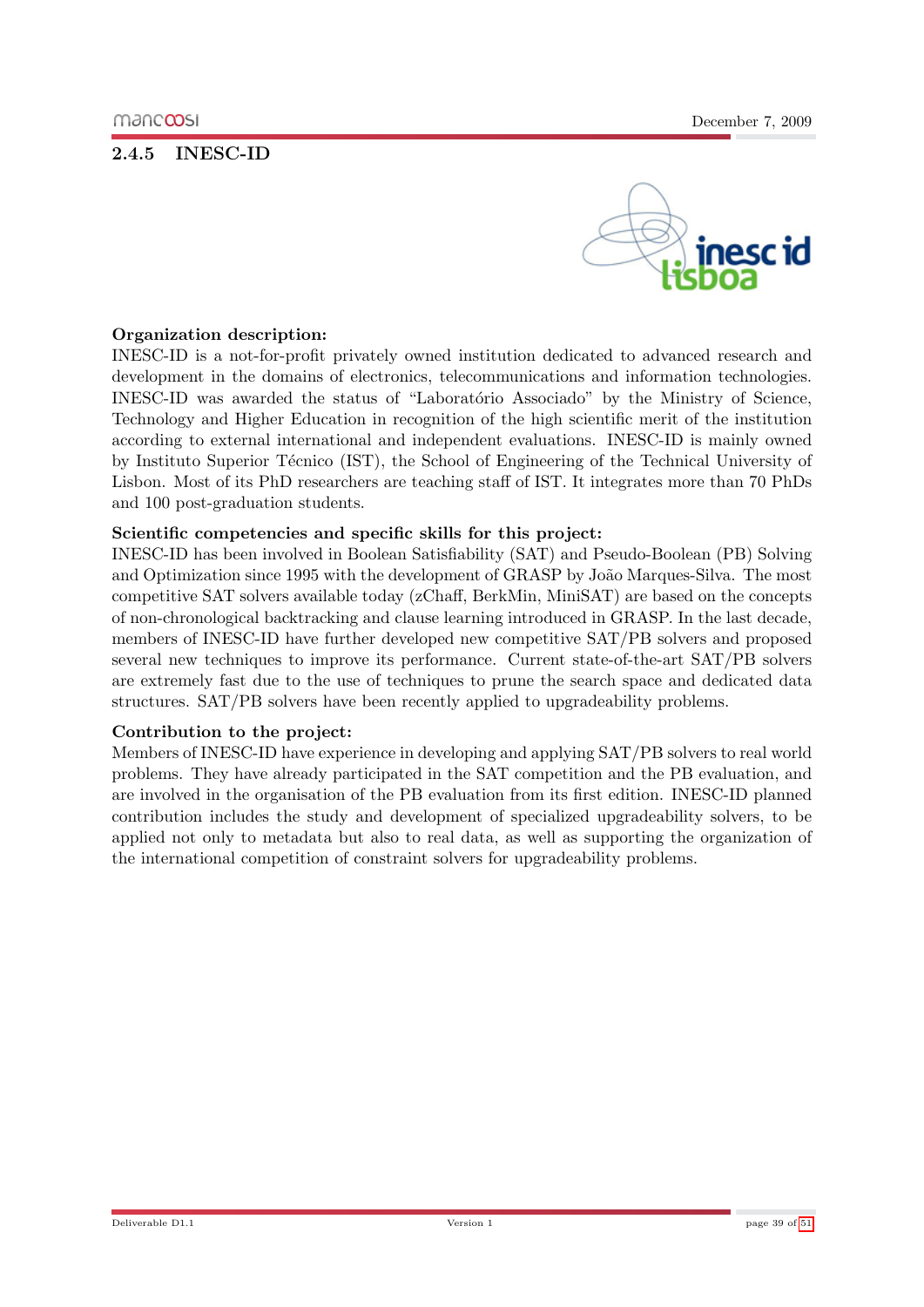## <span id="page-38-0"></span>2.4.5 INESC-ID



#### Organization description:

INESC-ID is a not-for-profit privately owned institution dedicated to advanced research and development in the domains of electronics, telecommunications and information technologies. INESC-ID was awarded the status of "Laboratório Associado" by the Ministry of Science, Technology and Higher Education in recognition of the high scientific merit of the institution according to external international and independent evaluations. INESC-ID is mainly owned by Instituto Superior Técnico (IST), the School of Engineering of the Technical University of Lisbon. Most of its PhD researchers are teaching staff of IST. It integrates more than 70 PhDs and 100 post-graduation students.

#### Scientific competencies and specific skills for this project:

INESC-ID has been involved in Boolean Satisfiability (SAT) and Pseudo-Boolean (PB) Solving and Optimization since 1995 with the development of GRASP by João Marques-Silva. The most competitive SAT solvers available today (zChaff, BerkMin, MiniSAT) are based on the concepts of non-chronological backtracking and clause learning introduced in GRASP. In the last decade, members of INESC-ID have further developed new competitive SAT/PB solvers and proposed several new techniques to improve its performance. Current state-of-the-art SAT/PB solvers are extremely fast due to the use of techniques to prune the search space and dedicated data structures. SAT/PB solvers have been recently applied to upgradeability problems.

#### Contribution to the project:

Members of INESC-ID have experience in developing and applying SAT/PB solvers to real world problems. They have already participated in the SAT competition and the PB evaluation, and are involved in the organisation of the PB evaluation from its first edition. INESC-ID planned contribution includes the study and development of specialized upgradeability solvers, to be applied not only to metadata but also to real data, as well as supporting the organization of the international competition of constraint solvers for upgradeability problems.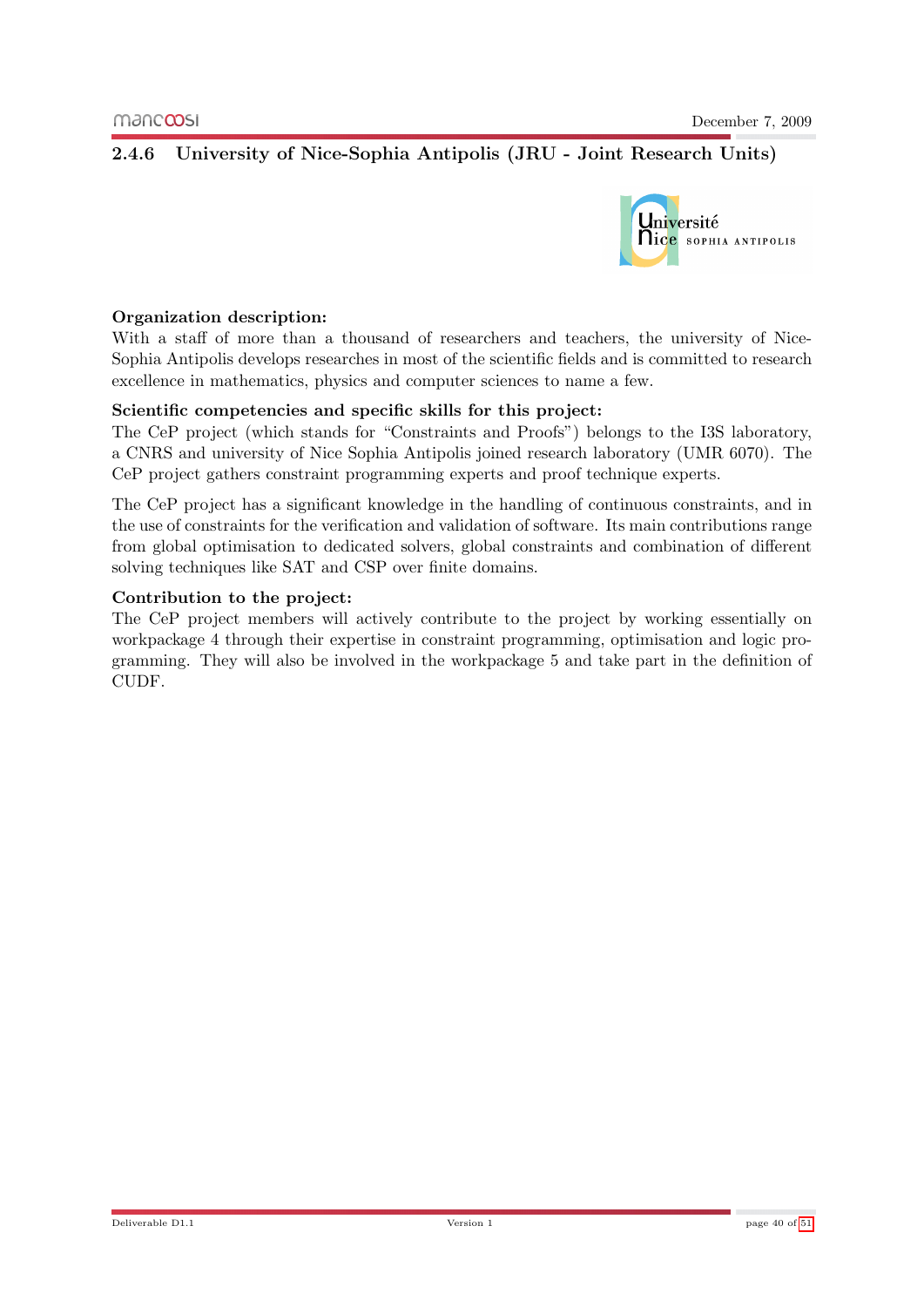## <span id="page-39-0"></span>2.4.6 University of Nice-Sophia Antipolis (JRU - Joint Research Units)



#### Organization description:

With a staff of more than a thousand of researchers and teachers, the university of Nice-Sophia Antipolis develops researches in most of the scientific fields and is committed to research excellence in mathematics, physics and computer sciences to name a few.

#### Scientific competencies and specific skills for this project:

The CeP project (which stands for "Constraints and Proofs") belongs to the I3S laboratory, a CNRS and university of Nice Sophia Antipolis joined research laboratory (UMR 6070). The CeP project gathers constraint programming experts and proof technique experts.

The CeP project has a significant knowledge in the handling of continuous constraints, and in the use of constraints for the verification and validation of software. Its main contributions range from global optimisation to dedicated solvers, global constraints and combination of different solving techniques like SAT and CSP over finite domains.

#### Contribution to the project:

The CeP project members will actively contribute to the project by working essentially on workpackage 4 through their expertise in constraint programming, optimisation and logic programming. They will also be involved in the workpackage 5 and take part in the definition of CUDF.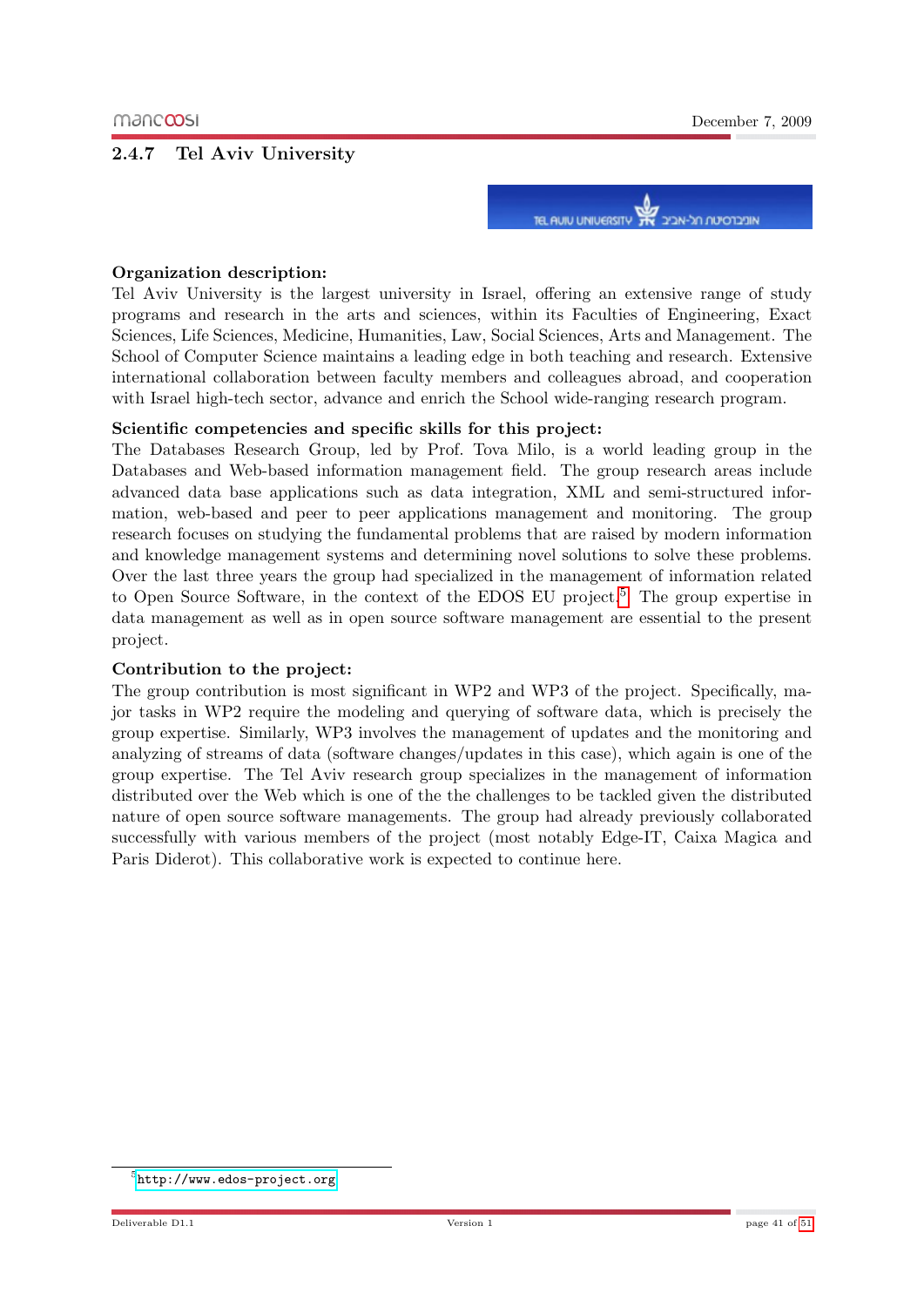#### <span id="page-40-0"></span>2.4.7 Tel Aviv University



#### Organization description:

Tel Aviv University is the largest university in Israel, offering an extensive range of study programs and research in the arts and sciences, within its Faculties of Engineering, Exact Sciences, Life Sciences, Medicine, Humanities, Law, Social Sciences, Arts and Management. The School of Computer Science maintains a leading edge in both teaching and research. Extensive international collaboration between faculty members and colleagues abroad, and cooperation with Israel high-tech sector, advance and enrich the School wide-ranging research program.

#### Scientific competencies and specific skills for this project:

The Databases Research Group, led by Prof. Tova Milo, is a world leading group in the Databases and Web-based information management field. The group research areas include advanced data base applications such as data integration, XML and semi-structured information, web-based and peer to peer applications management and monitoring. The group research focuses on studying the fundamental problems that are raised by modern information and knowledge management systems and determining novel solutions to solve these problems. Over the last three years the group had specialized in the management of information related to Open Source Software, in the context of the EDOS EU project.<sup>[5](#page-40-1)</sup> The group expertise in data management as well as in open source software management are essential to the present project.

#### Contribution to the project:

The group contribution is most significant in WP2 and WP3 of the project. Specifically, major tasks in WP2 require the modeling and querying of software data, which is precisely the group expertise. Similarly, WP3 involves the management of updates and the monitoring and analyzing of streams of data (software changes/updates in this case), which again is one of the group expertise. The Tel Aviv research group specializes in the management of information distributed over the Web which is one of the the challenges to be tackled given the distributed nature of open source software managements. The group had already previously collaborated successfully with various members of the project (most notably Edge-IT, Caixa Magica and Paris Diderot). This collaborative work is expected to continue here.

<span id="page-40-1"></span><sup>5</sup> <http://www.edos-project.org>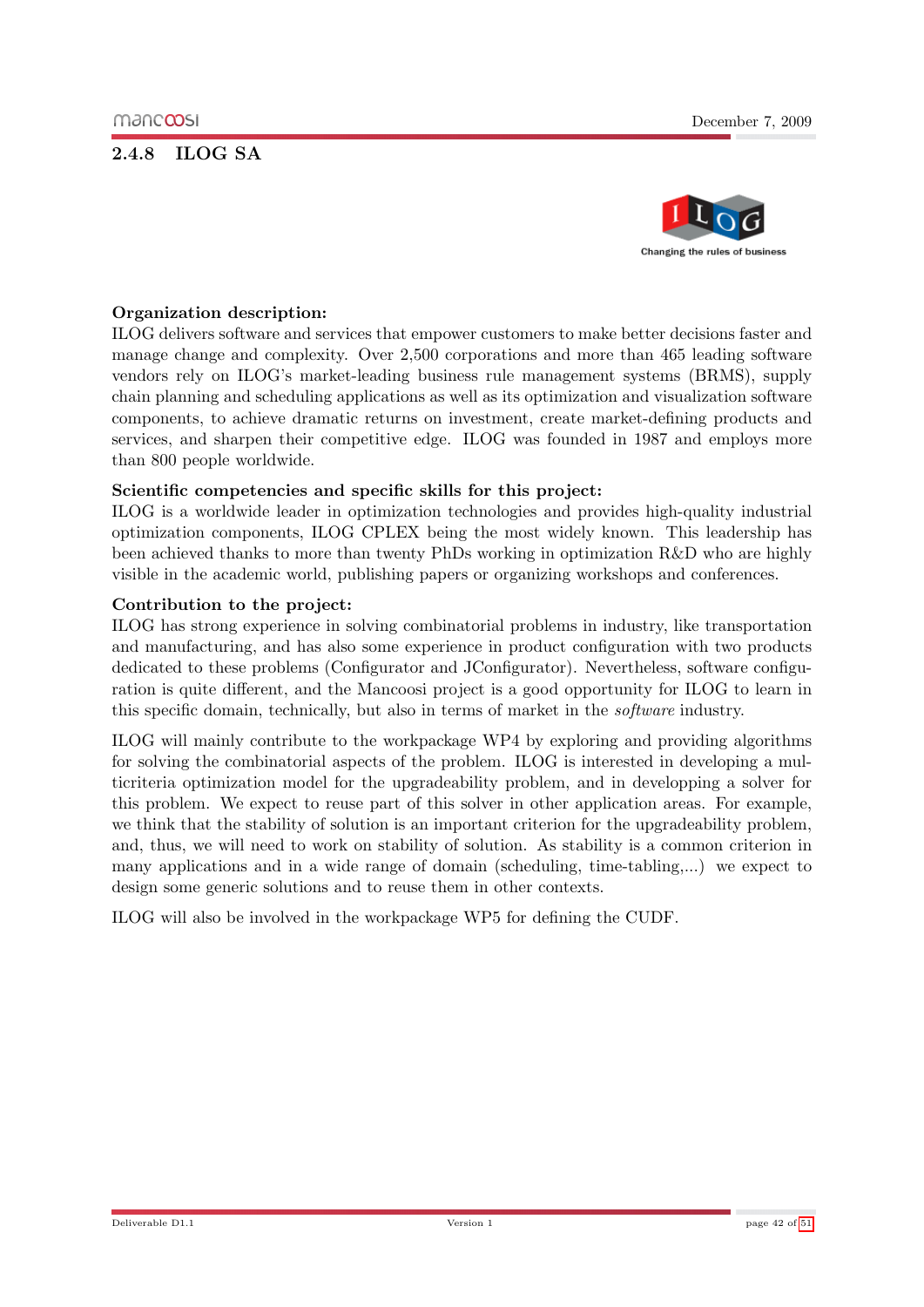## <span id="page-41-0"></span>2.4.8 ILOG SA



#### Organization description:

ILOG delivers software and services that empower customers to make better decisions faster and manage change and complexity. Over 2,500 corporations and more than 465 leading software vendors rely on ILOG's market-leading business rule management systems (BRMS), supply chain planning and scheduling applications as well as its optimization and visualization software components, to achieve dramatic returns on investment, create market-defining products and services, and sharpen their competitive edge. ILOG was founded in 1987 and employs more than 800 people worldwide.

#### Scientific competencies and specific skills for this project:

ILOG is a worldwide leader in optimization technologies and provides high-quality industrial optimization components, ILOG CPLEX being the most widely known. This leadership has been achieved thanks to more than twenty PhDs working in optimization R&D who are highly visible in the academic world, publishing papers or organizing workshops and conferences.

#### Contribution to the project:

ILOG has strong experience in solving combinatorial problems in industry, like transportation and manufacturing, and has also some experience in product configuration with two products dedicated to these problems (Configurator and JConfigurator). Nevertheless, software configuration is quite different, and the Mancoosi project is a good opportunity for ILOG to learn in this specific domain, technically, but also in terms of market in the software industry.

ILOG will mainly contribute to the workpackage WP4 by exploring and providing algorithms for solving the combinatorial aspects of the problem. ILOG is interested in developing a multicriteria optimization model for the upgradeability problem, and in developping a solver for this problem. We expect to reuse part of this solver in other application areas. For example, we think that the stability of solution is an important criterion for the upgradeability problem, and, thus, we will need to work on stability of solution. As stability is a common criterion in many applications and in a wide range of domain (scheduling, time-tabling,...) we expect to design some generic solutions and to reuse them in other contexts.

ILOG will also be involved in the workpackage WP5 for defining the CUDF.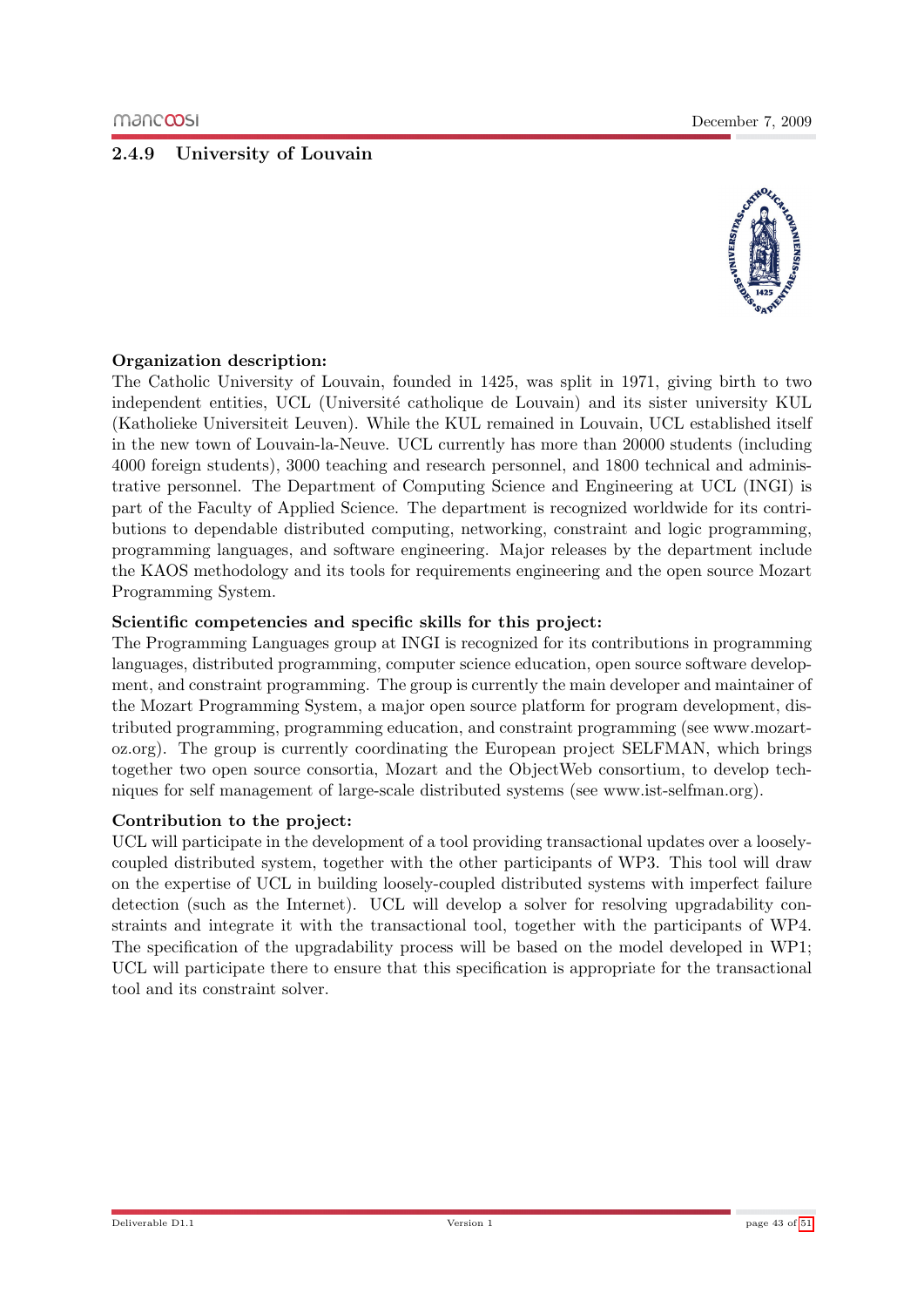## <span id="page-42-0"></span>2.4.9 University of Louvain



#### Organization description:

The Catholic University of Louvain, founded in 1425, was split in 1971, giving birth to two independent entities, UCL (Université catholique de Louvain) and its sister university KUL (Katholieke Universiteit Leuven). While the KUL remained in Louvain, UCL established itself in the new town of Louvain-la-Neuve. UCL currently has more than 20000 students (including 4000 foreign students), 3000 teaching and research personnel, and 1800 technical and administrative personnel. The Department of Computing Science and Engineering at UCL (INGI) is part of the Faculty of Applied Science. The department is recognized worldwide for its contributions to dependable distributed computing, networking, constraint and logic programming, programming languages, and software engineering. Major releases by the department include the KAOS methodology and its tools for requirements engineering and the open source Mozart Programming System.

#### Scientific competencies and specific skills for this project:

The Programming Languages group at INGI is recognized for its contributions in programming languages, distributed programming, computer science education, open source software development, and constraint programming. The group is currently the main developer and maintainer of the Mozart Programming System, a major open source platform for program development, distributed programming, programming education, and constraint programming (see www.mozartoz.org). The group is currently coordinating the European project SELFMAN, which brings together two open source consortia, Mozart and the ObjectWeb consortium, to develop techniques for self management of large-scale distributed systems (see www.ist-selfman.org).

#### Contribution to the project:

UCL will participate in the development of a tool providing transactional updates over a looselycoupled distributed system, together with the other participants of WP3. This tool will draw on the expertise of UCL in building loosely-coupled distributed systems with imperfect failure detection (such as the Internet). UCL will develop a solver for resolving upgradability constraints and integrate it with the transactional tool, together with the participants of WP4. The specification of the upgradability process will be based on the model developed in WP1; UCL will participate there to ensure that this specification is appropriate for the transactional tool and its constraint solver.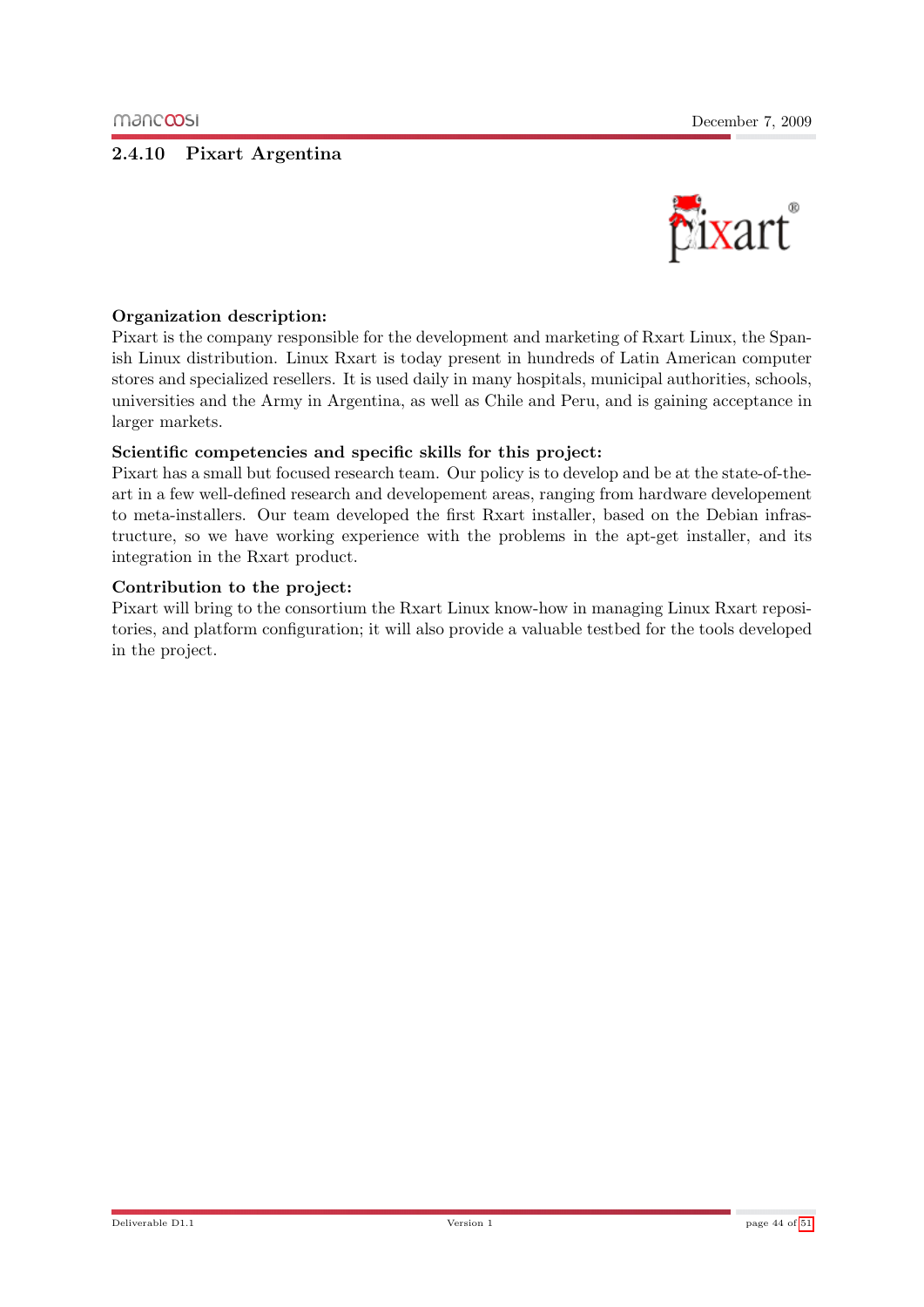#### <span id="page-43-0"></span>2.4.10 Pixart Argentina



#### Organization description:

Pixart is the company responsible for the development and marketing of Rxart Linux, the Spanish Linux distribution. Linux Rxart is today present in hundreds of Latin American computer stores and specialized resellers. It is used daily in many hospitals, municipal authorities, schools, universities and the Army in Argentina, as well as Chile and Peru, and is gaining acceptance in larger markets.

#### Scientific competencies and specific skills for this project:

Pixart has a small but focused research team. Our policy is to develop and be at the state-of-theart in a few well-defined research and developement areas, ranging from hardware developement to meta-installers. Our team developed the first Rxart installer, based on the Debian infrastructure, so we have working experience with the problems in the apt-get installer, and its integration in the Rxart product.

#### Contribution to the project:

Pixart will bring to the consortium the Rxart Linux know-how in managing Linux Rxart repositories, and platform configuration; it will also provide a valuable testbed for the tools developed in the project.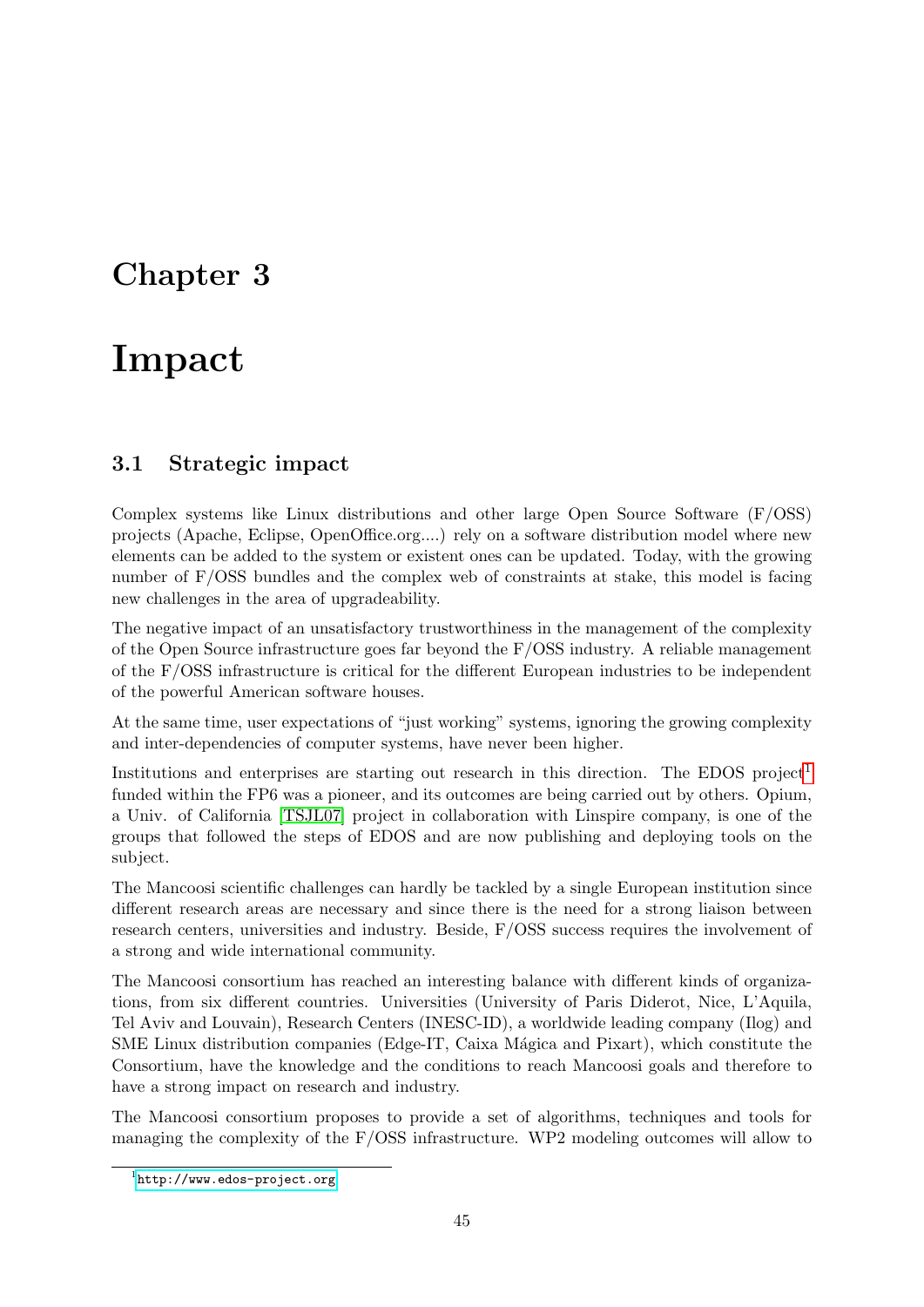## <span id="page-44-0"></span>Chapter 3

# Impact

## <span id="page-44-1"></span>3.1 Strategic impact

Complex systems like Linux distributions and other large Open Source Software (F/OSS) projects (Apache, Eclipse, OpenOffice.org....) rely on a software distribution model where new elements can be added to the system or existent ones can be updated. Today, with the growing number of F/OSS bundles and the complex web of constraints at stake, this model is facing new challenges in the area of upgradeability.

The negative impact of an unsatisfactory trustworthiness in the management of the complexity of the Open Source infrastructure goes far beyond the F/OSS industry. A reliable management of the F/OSS infrastructure is critical for the different European industries to be independent of the powerful American software houses.

At the same time, user expectations of "just working" systems, ignoring the growing complexity and inter-dependencies of computer systems, have never been higher.

Institutions and enterprises are starting out research in this direction. The EDOS project<sup>[1](#page-44-2)</sup> funded within the FP6 was a pioneer, and its outcomes are being carried out by others. Opium, a Univ. of California [\[TSJL07\]](#page-50-11) project in collaboration with Linspire company, is one of the groups that followed the steps of EDOS and are now publishing and deploying tools on the subject.

The Mancoosi scientific challenges can hardly be tackled by a single European institution since different research areas are necessary and since there is the need for a strong liaison between research centers, universities and industry. Beside, F/OSS success requires the involvement of a strong and wide international community.

The Mancoosi consortium has reached an interesting balance with different kinds of organizations, from six different countries. Universities (University of Paris Diderot, Nice, L'Aquila, Tel Aviv and Louvain), Research Centers (INESC-ID), a worldwide leading company (Ilog) and SME Linux distribution companies (Edge-IT, Caixa Mágica and Pixart), which constitute the Consortium, have the knowledge and the conditions to reach Mancoosi goals and therefore to have a strong impact on research and industry.

The Mancoosi consortium proposes to provide a set of algorithms, techniques and tools for managing the complexity of the F/OSS infrastructure. WP2 modeling outcomes will allow to

<span id="page-44-2"></span><sup>1</sup> <http://www.edos-project.org>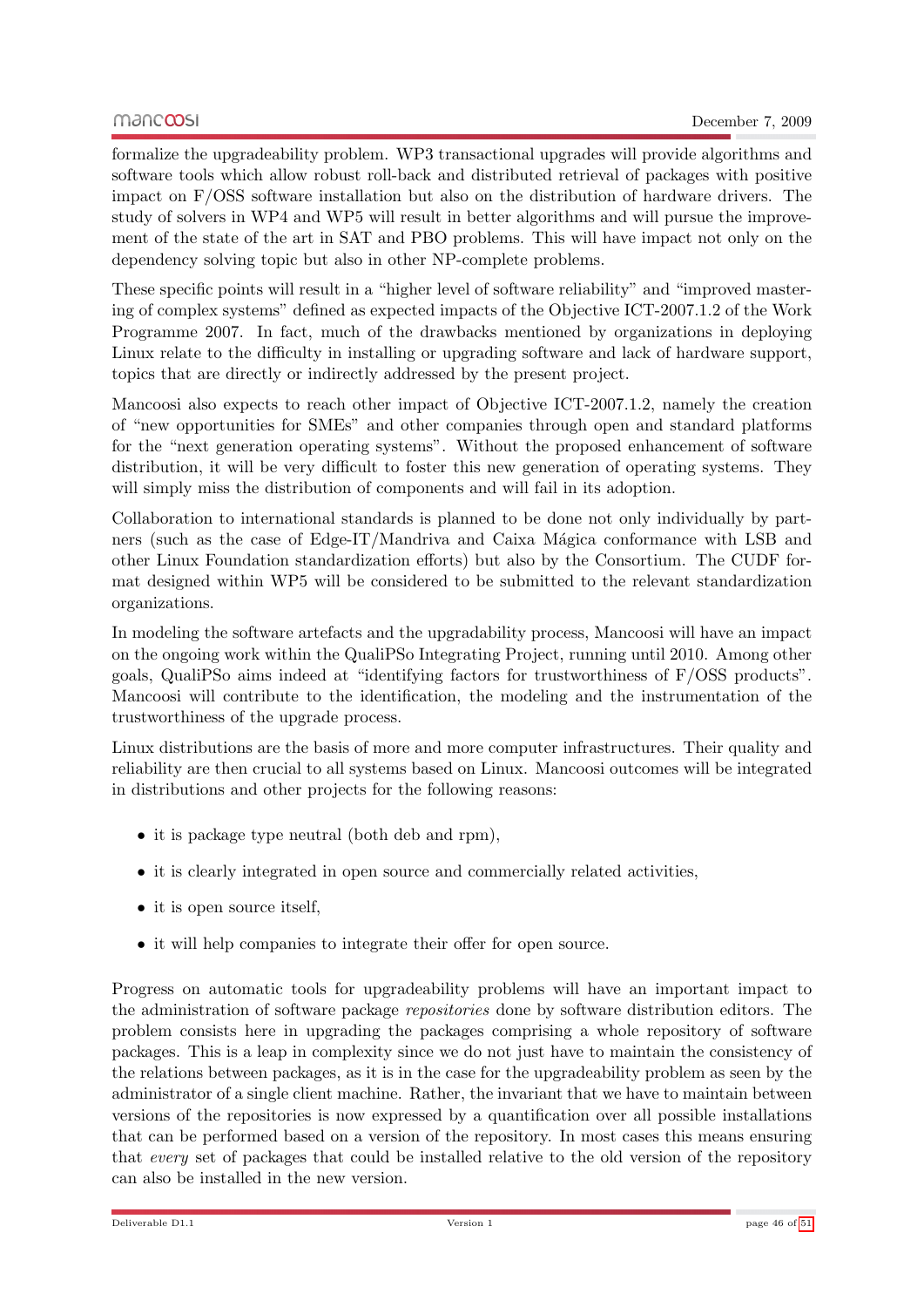formalize the upgradeability problem. WP3 transactional upgrades will provide algorithms and software tools which allow robust roll-back and distributed retrieval of packages with positive impact on F/OSS software installation but also on the distribution of hardware drivers. The study of solvers in WP4 and WP5 will result in better algorithms and will pursue the improvement of the state of the art in SAT and PBO problems. This will have impact not only on the dependency solving topic but also in other NP-complete problems.

These specific points will result in a "higher level of software reliability" and "improved mastering of complex systems" defined as expected impacts of the Objective ICT-2007.1.2 of the Work Programme 2007. In fact, much of the drawbacks mentioned by organizations in deploying Linux relate to the difficulty in installing or upgrading software and lack of hardware support, topics that are directly or indirectly addressed by the present project.

Mancoosi also expects to reach other impact of Objective ICT-2007.1.2, namely the creation of "new opportunities for SMEs" and other companies through open and standard platforms for the "next generation operating systems". Without the proposed enhancement of software distribution, it will be very difficult to foster this new generation of operating systems. They will simply miss the distribution of components and will fail in its adoption.

Collaboration to international standards is planned to be done not only individually by partners (such as the case of Edge-IT/Mandriva and Caixa Mágica conformance with LSB and other Linux Foundation standardization efforts) but also by the Consortium. The CUDF format designed within WP5 will be considered to be submitted to the relevant standardization organizations.

In modeling the software artefacts and the upgradability process, Mancoosi will have an impact on the ongoing work within the QualiPSo Integrating Project, running until 2010. Among other goals, QualiPSo aims indeed at "identifying factors for trustworthiness of F/OSS products". Mancoosi will contribute to the identification, the modeling and the instrumentation of the trustworthiness of the upgrade process.

Linux distributions are the basis of more and more computer infrastructures. Their quality and reliability are then crucial to all systems based on Linux. Mancoosi outcomes will be integrated in distributions and other projects for the following reasons:

- it is package type neutral (both deb and rpm),
- it is clearly integrated in open source and commercially related activities,
- it is open source itself,
- it will help companies to integrate their offer for open source.

Progress on automatic tools for upgradeability problems will have an important impact to the administration of software package repositories done by software distribution editors. The problem consists here in upgrading the packages comprising a whole repository of software packages. This is a leap in complexity since we do not just have to maintain the consistency of the relations between packages, as it is in the case for the upgradeability problem as seen by the administrator of a single client machine. Rather, the invariant that we have to maintain between versions of the repositories is now expressed by a quantification over all possible installations that can be performed based on a version of the repository. In most cases this means ensuring that every set of packages that could be installed relative to the old version of the repository can also be installed in the new version.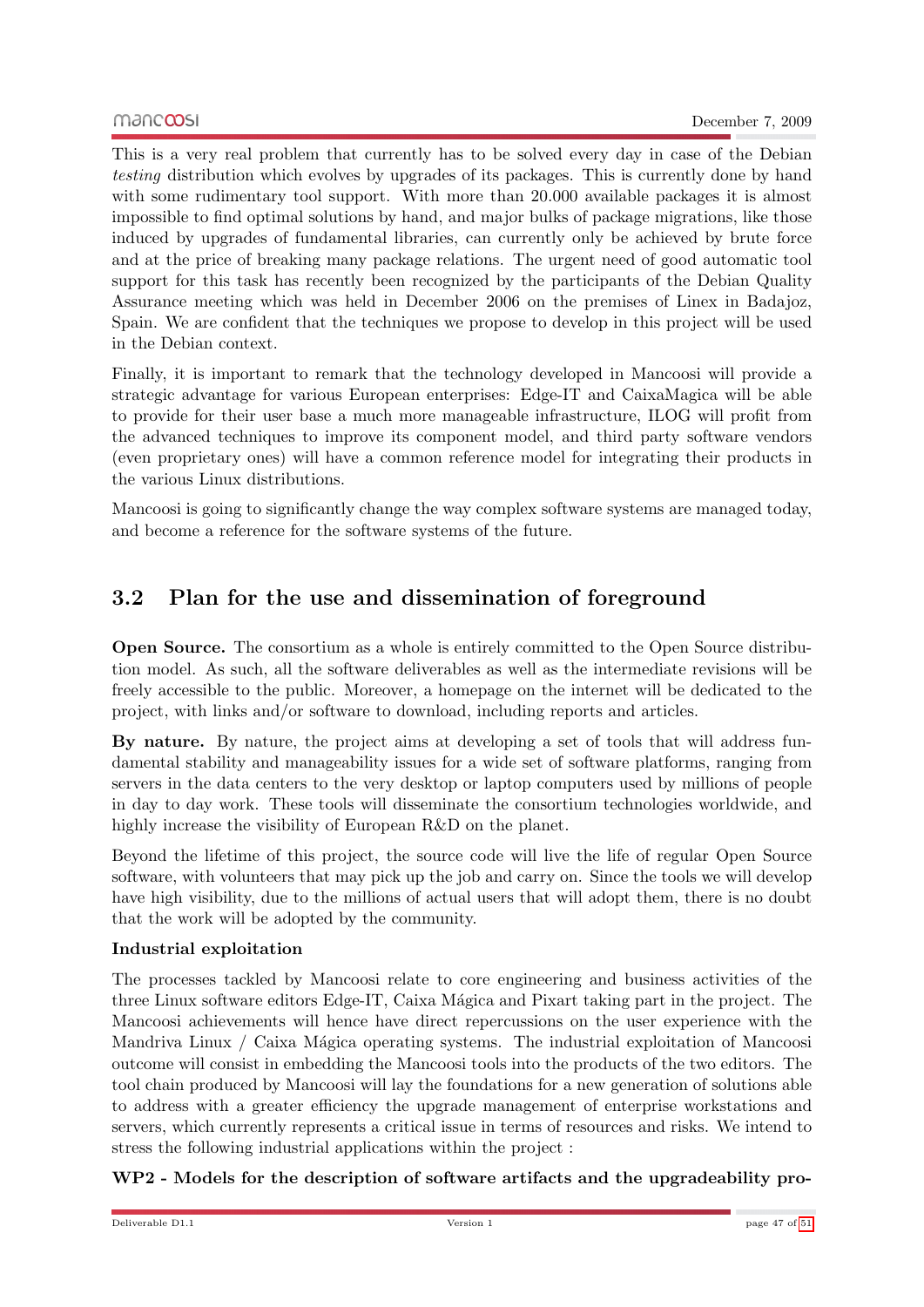This is a very real problem that currently has to be solved every day in case of the Debian testing distribution which evolves by upgrades of its packages. This is currently done by hand with some rudimentary tool support. With more than 20.000 available packages it is almost impossible to find optimal solutions by hand, and major bulks of package migrations, like those induced by upgrades of fundamental libraries, can currently only be achieved by brute force and at the price of breaking many package relations. The urgent need of good automatic tool support for this task has recently been recognized by the participants of the Debian Quality Assurance meeting which was held in December 2006 on the premises of Linex in Badajoz, Spain. We are confident that the techniques we propose to develop in this project will be used in the Debian context.

Finally, it is important to remark that the technology developed in Mancoosi will provide a strategic advantage for various European enterprises: Edge-IT and CaixaMagica will be able to provide for their user base a much more manageable infrastructure, ILOG will profit from the advanced techniques to improve its component model, and third party software vendors (even proprietary ones) will have a common reference model for integrating their products in the various Linux distributions.

Mancoosi is going to significantly change the way complex software systems are managed today, and become a reference for the software systems of the future.

## <span id="page-46-0"></span>3.2 Plan for the use and dissemination of foreground

Open Source. The consortium as a whole is entirely committed to the Open Source distribution model. As such, all the software deliverables as well as the intermediate revisions will be freely accessible to the public. Moreover, a homepage on the internet will be dedicated to the project, with links and/or software to download, including reports and articles.

By nature. By nature, the project aims at developing a set of tools that will address fundamental stability and manageability issues for a wide set of software platforms, ranging from servers in the data centers to the very desktop or laptop computers used by millions of people in day to day work. These tools will disseminate the consortium technologies worldwide, and highly increase the visibility of European R&D on the planet.

Beyond the lifetime of this project, the source code will live the life of regular Open Source software, with volunteers that may pick up the job and carry on. Since the tools we will develop have high visibility, due to the millions of actual users that will adopt them, there is no doubt that the work will be adopted by the community.

## Industrial exploitation

The processes tackled by Mancoosi relate to core engineering and business activities of the three Linux software editors Edge-IT, Caixa Mágica and Pixart taking part in the project. The Mancoosi achievements will hence have direct repercussions on the user experience with the Mandriva Linux / Caixa Mágica operating systems. The industrial exploitation of Mancoosi outcome will consist in embedding the Mancoosi tools into the products of the two editors. The tool chain produced by Mancoosi will lay the foundations for a new generation of solutions able to address with a greater efficiency the upgrade management of enterprise workstations and servers, which currently represents a critical issue in terms of resources and risks. We intend to stress the following industrial applications within the project :

## WP2 - Models for the description of software artifacts and the upgradeability pro-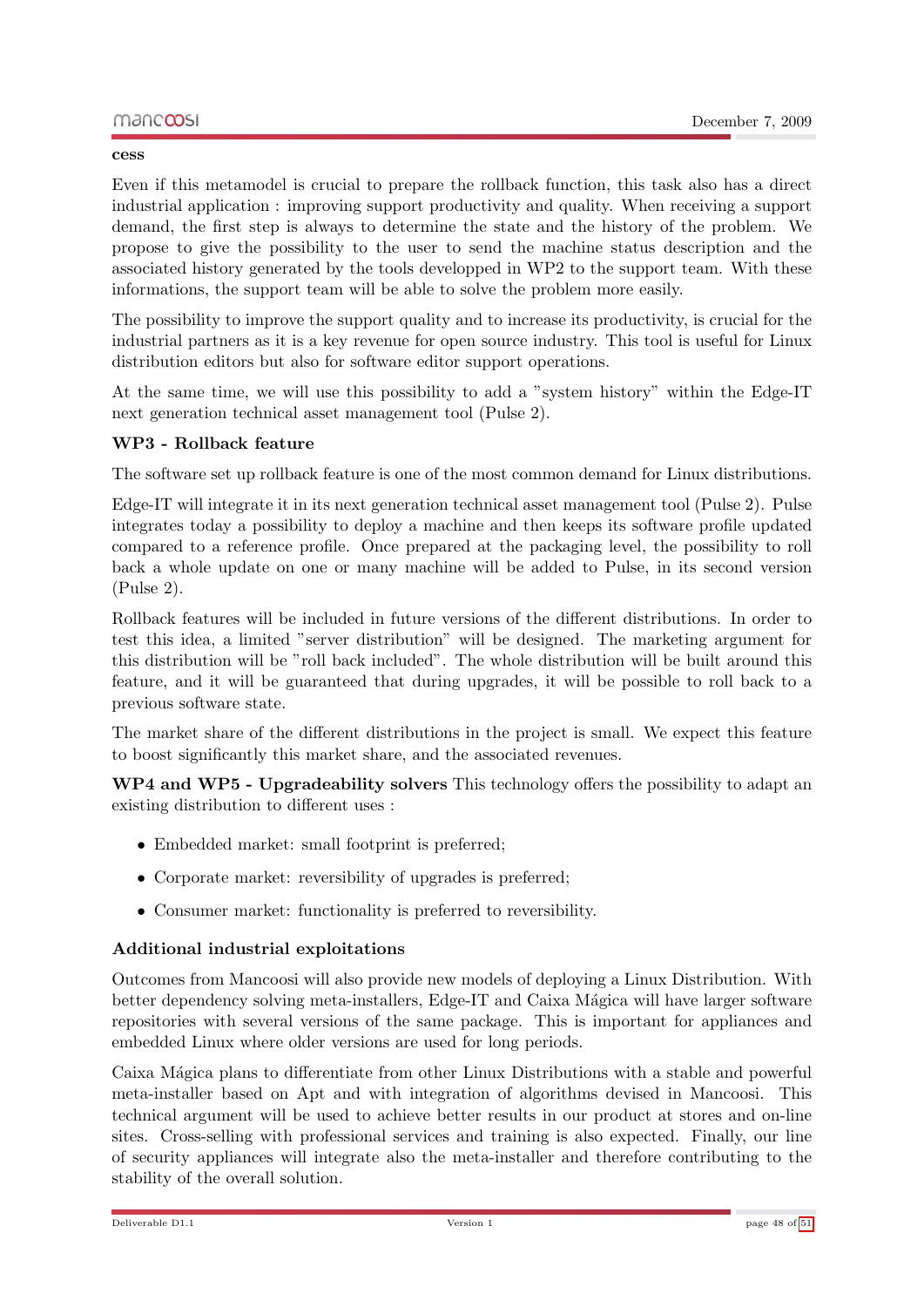Even if this metamodel is crucial to prepare the rollback function, this task also has a direct industrial application : improving support productivity and quality. When receiving a support demand, the first step is always to determine the state and the history of the problem. We propose to give the possibility to the user to send the machine status description and the associated history generated by the tools developped in WP2 to the support team. With these informations, the support team will be able to solve the problem more easily.

The possibility to improve the support quality and to increase its productivity, is crucial for the industrial partners as it is a key revenue for open source industry. This tool is useful for Linux distribution editors but also for software editor support operations.

At the same time, we will use this possibility to add a "system history" within the Edge-IT next generation technical asset management tool (Pulse 2).

#### WP3 - Rollback feature

The software set up rollback feature is one of the most common demand for Linux distributions.

Edge-IT will integrate it in its next generation technical asset management tool (Pulse 2). Pulse integrates today a possibility to deploy a machine and then keeps its software profile updated compared to a reference profile. Once prepared at the packaging level, the possibility to roll back a whole update on one or many machine will be added to Pulse, in its second version (Pulse 2).

Rollback features will be included in future versions of the different distributions. In order to test this idea, a limited "server distribution" will be designed. The marketing argument for this distribution will be "roll back included". The whole distribution will be built around this feature, and it will be guaranteed that during upgrades, it will be possible to roll back to a previous software state.

The market share of the different distributions in the project is small. We expect this feature to boost significantly this market share, and the associated revenues.

WP4 and WP5 - Upgradeability solvers This technology offers the possibility to adapt an existing distribution to different uses :

- Embedded market: small footprint is preferred:
- Corporate market: reversibility of upgrades is preferred;
- Consumer market: functionality is preferred to reversibility.

#### Additional industrial exploitations

Outcomes from Mancoosi will also provide new models of deploying a Linux Distribution. With better dependency solving meta-installers, Edge-IT and Caixa Mágica will have larger software repositories with several versions of the same package. This is important for appliances and embedded Linux where older versions are used for long periods.

Caixa Mágica plans to differentiate from other Linux Distributions with a stable and powerful meta-installer based on Apt and with integration of algorithms devised in Mancoosi. This technical argument will be used to achieve better results in our product at stores and on-line sites. Cross-selling with professional services and training is also expected. Finally, our line of security appliances will integrate also the meta-installer and therefore contributing to the stability of the overall solution.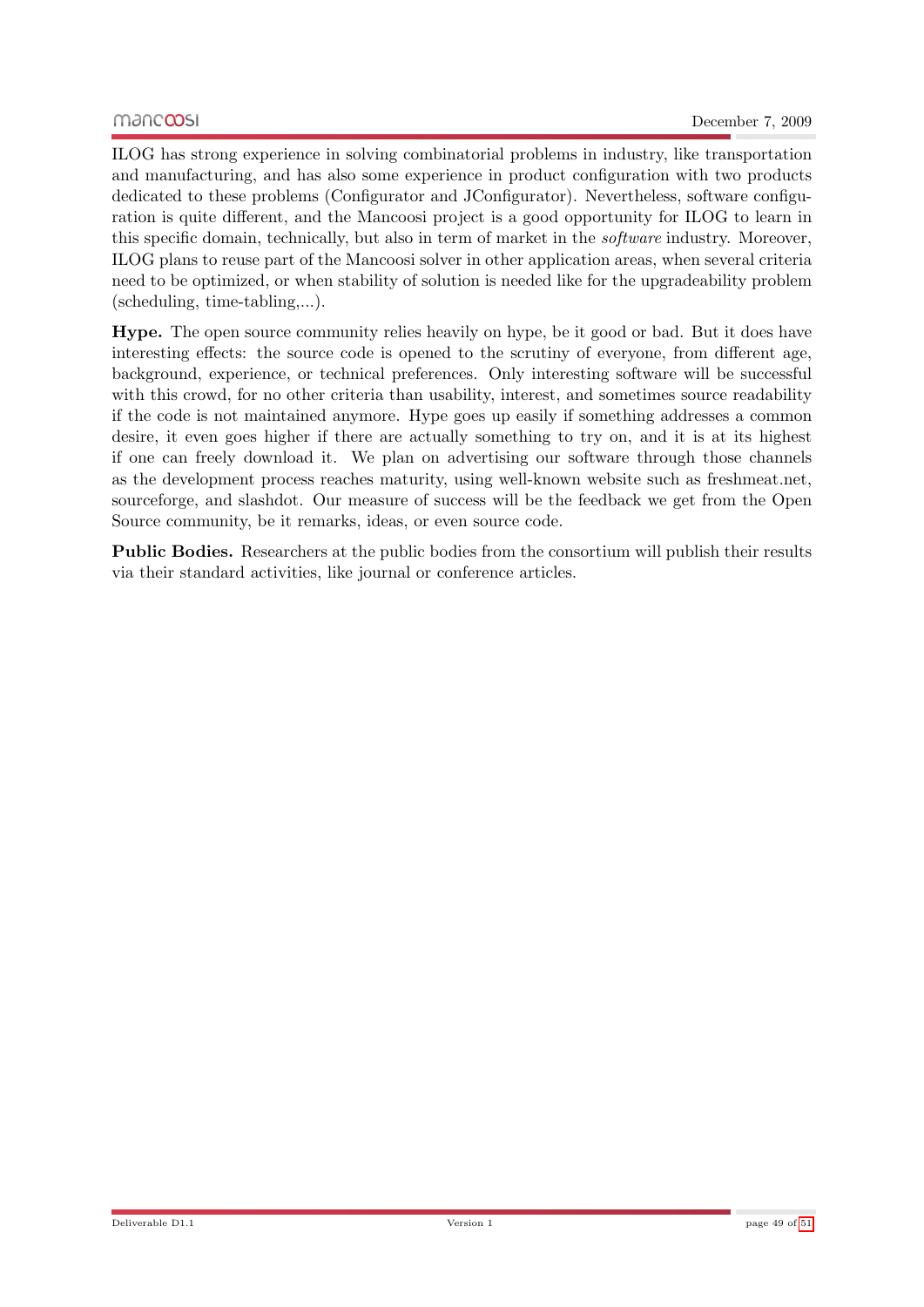ILOG has strong experience in solving combinatorial problems in industry, like transportation and manufacturing, and has also some experience in product configuration with two products dedicated to these problems (Configurator and JConfigurator). Nevertheless, software configuration is quite different, and the Mancoosi project is a good opportunity for ILOG to learn in this specific domain, technically, but also in term of market in the software industry. Moreover, ILOG plans to reuse part of the Mancoosi solver in other application areas, when several criteria need to be optimized, or when stability of solution is needed like for the upgradeability problem (scheduling, time-tabling,...).

Hype. The open source community relies heavily on hype, be it good or bad. But it does have interesting effects: the source code is opened to the scrutiny of everyone, from different age, background, experience, or technical preferences. Only interesting software will be successful with this crowd, for no other criteria than usability, interest, and sometimes source readability if the code is not maintained anymore. Hype goes up easily if something addresses a common desire, it even goes higher if there are actually something to try on, and it is at its highest if one can freely download it. We plan on advertising our software through those channels as the development process reaches maturity, using well-known website such as freshmeat.net, sourceforge, and slashdot. Our measure of success will be the feedback we get from the Open Source community, be it remarks, ideas, or even source code.

Public Bodies. Researchers at the public bodies from the consortium will publish their results via their standard activities, like journal or conference articles.